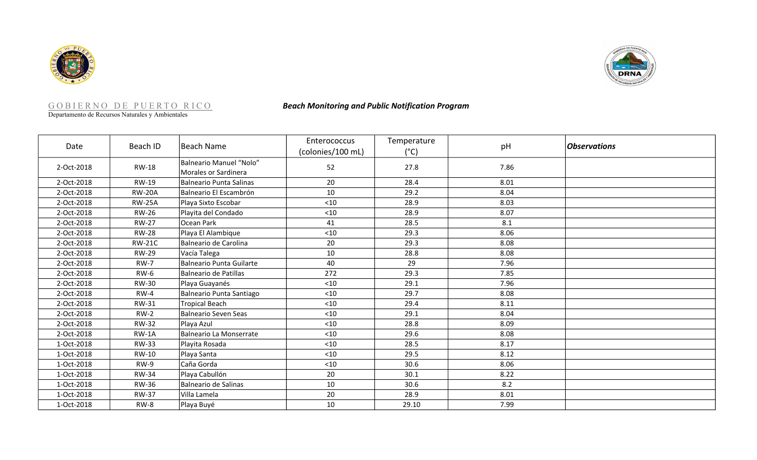



|                          | GOBIERNO DE PUERTO RICO<br>Departamento de Recursos Naturales y Ambientales |                                                        | <b>Beach Monitoring and Public Notification Program</b> |                              |      |                     |  |
|--------------------------|-----------------------------------------------------------------------------|--------------------------------------------------------|---------------------------------------------------------|------------------------------|------|---------------------|--|
| Date                     | Beach ID                                                                    | <b>Beach Name</b>                                      | Enterococcus<br>(colonies/100 mL)                       | Temperature<br>$(^{\circ}C)$ | pH   | <b>Observations</b> |  |
| 2-Oct-2018               | <b>RW-18</b>                                                                | <b>Balneario Manuel "Nolo"</b><br>Morales or Sardinera | 52                                                      | 27.8                         | 7.86 |                     |  |
| 2-Oct-2018               | RW-19                                                                       | <b>Balneario Punta Salinas</b>                         | 20                                                      | 28.4                         | 8.01 |                     |  |
| 2-Oct-2018               | <b>RW-20A</b>                                                               | Balneario El Escambrón                                 | 10                                                      | 29.2                         | 8.04 |                     |  |
| 2-Oct-2018               | <b>RW-25A</b>                                                               | Playa Sixto Escobar                                    | < 10                                                    | 28.9                         | 8.03 |                     |  |
| 2-Oct-2018               | <b>RW-26</b>                                                                | Playita del Condado                                    | < 10                                                    | 28.9                         | 8.07 |                     |  |
| 2-Oct-2018               | <b>RW-27</b>                                                                | Ocean Park                                             | 41                                                      | 28.5                         | 8.1  |                     |  |
| 2-Oct-2018               | <b>RW-28</b>                                                                | Playa El Alambique                                     | $<$ 10                                                  | 29.3                         | 8.06 |                     |  |
| 2-Oct-2018               | <b>RW-21C</b>                                                               | Balneario de Carolina                                  | 20                                                      | 29.3                         | 8.08 |                     |  |
| 2-Oct-2018               | <b>RW-29</b>                                                                | Vacía Talega                                           | 10                                                      | 28.8                         | 8.08 |                     |  |
| 2-Oct-2018               | $RW-7$                                                                      | <b>Balneario Punta Guilarte</b>                        | 40                                                      | 29                           | 7.96 |                     |  |
| 2-Oct-2018               | $RW-6$                                                                      | Balneario de Patillas                                  | 272                                                     | 29.3                         | 7.85 |                     |  |
| 2-Oct-2018               | <b>RW-30</b>                                                                | Playa Guayanés                                         | $<10$                                                   | 29.1                         | 7.96 |                     |  |
| 2-Oct-2018               | $RW-4$                                                                      | Balneario Punta Santiago                               | $<$ 10                                                  | 29.7                         | 8.08 |                     |  |
| 2-Oct-2018               | RW-31                                                                       | <b>Tropical Beach</b>                                  | $<10$                                                   | 29.4                         | 8.11 |                     |  |
| 2-Oct-2018               | $RW-2$                                                                      | <b>Balneario Seven Seas</b>                            | $<10$                                                   | 29.1                         | 8.04 |                     |  |
| 2-Oct-2018               | <b>RW-32</b>                                                                | Playa Azul                                             | < 10                                                    | 28.8                         | 8.09 |                     |  |
| 2-Oct-2018               | $RW-1A$                                                                     | Balneario La Monserrate                                | < 10                                                    | 29.6                         | 8.08 |                     |  |
| 1-Oct-2018               | <b>RW-33</b>                                                                | Playita Rosada                                         | $<10$                                                   | 28.5                         | 8.17 |                     |  |
| 1-Oct-2018               | RW-10                                                                       | Playa Santa                                            | < 10                                                    | 29.5                         | 8.12 |                     |  |
| 1-Oct-2018               | RW-9                                                                        | Caña Gorda                                             | < 10                                                    | 30.6                         | 8.06 |                     |  |
| 1-Oct-2018               | <b>RW-34</b>                                                                | Playa Cabullón                                         | 20                                                      | 30.1                         | 8.22 |                     |  |
| 1-Oct-2018               | RW-36                                                                       | Balneario de Salinas                                   | $10\,$                                                  | 30.6                         | 8.2  |                     |  |
|                          |                                                                             |                                                        | 20                                                      | 28.9                         | 8.01 |                     |  |
|                          |                                                                             |                                                        |                                                         |                              |      |                     |  |
| 1-Oct-2018<br>1-Oct-2018 | <b>RW-37</b><br>RW-8                                                        | Villa Lamela<br>Playa Buyé                             | 10                                                      | 29.10                        | 7.99 |                     |  |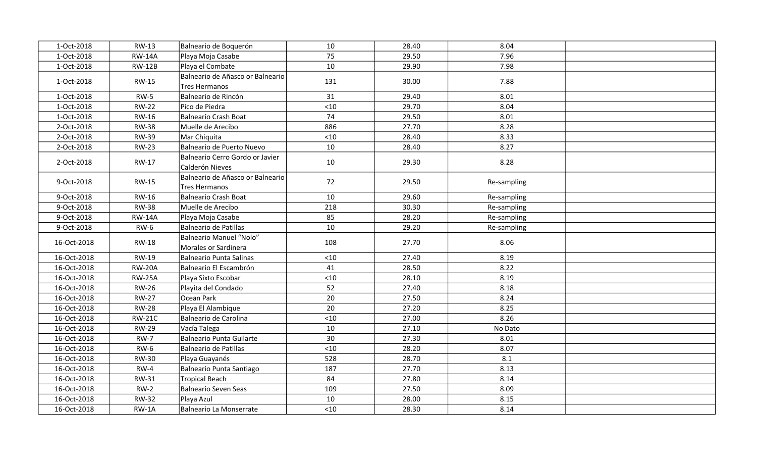| 1-Oct-2018  | <b>RW-13</b>  | Balneario de Boquerón                              | 10    | 28.40 | 8.04        |  |
|-------------|---------------|----------------------------------------------------|-------|-------|-------------|--|
| 1-Oct-2018  | <b>RW-14A</b> | Playa Moja Casabe                                  | 75    | 29.50 | 7.96        |  |
| 1-Oct-2018  | <b>RW-12B</b> | Playa el Combate                                   | 10    | 29.90 | 7.98        |  |
| 1-Oct-2018  | <b>RW-15</b>  | Balneario de Añasco or Balneario<br>Tres Hermanos  | 131   | 30.00 | 7.88        |  |
| 1-Oct-2018  | $RW-5$        | Balneario de Rincón                                | 31    | 29.40 | 8.01        |  |
| 1-Oct-2018  | <b>RW-22</b>  | Pico de Piedra                                     | < 10  | 29.70 | 8.04        |  |
| 1-Oct-2018  | RW-16         | Balneario Crash Boat                               | 74    | 29.50 | 8.01        |  |
| 2-Oct-2018  | <b>RW-38</b>  | Muelle de Arecibo                                  | 886   | 27.70 | 8.28        |  |
| 2-Oct-2018  | <b>RW-39</b>  | Mar Chiquita                                       | $<10$ | 28.40 | 8.33        |  |
| 2-Oct-2018  | <b>RW-23</b>  | Balneario de Puerto Nuevo                          | 10    | 28.40 | 8.27        |  |
| 2-Oct-2018  | RW-17         | Balneario Cerro Gordo or Javier<br>Calderón Nieves | 10    | 29.30 | 8.28        |  |
| 9-Oct-2018  | <b>RW-15</b>  | Balneario de Añasco or Balneario<br>Tres Hermanos  | 72    | 29.50 | Re-sampling |  |
| 9-Oct-2018  | RW-16         | Balneario Crash Boat                               | 10    | 29.60 | Re-sampling |  |
| 9-Oct-2018  | <b>RW-38</b>  | Muelle de Arecibo                                  | 218   | 30.30 | Re-sampling |  |
| 9-Oct-2018  | <b>RW-14A</b> | Playa Moja Casabe                                  | 85    | 28.20 | Re-sampling |  |
| 9-Oct-2018  | <b>RW-6</b>   | Balneario de Patillas                              | 10    | 29.20 | Re-sampling |  |
| 16-Oct-2018 | <b>RW-18</b>  | Balneario Manuel "Nolo"<br>Morales or Sardinera    | 108   | 27.70 | 8.06        |  |
| 16-Oct-2018 | <b>RW-19</b>  | Balneario Punta Salinas                            | $<10$ | 27.40 | 8.19        |  |
| 16-Oct-2018 | <b>RW-20A</b> | Balneario El Escambrón                             | 41    | 28.50 | 8.22        |  |
| 16-Oct-2018 | <b>RW-25A</b> | Playa Sixto Escobar                                | $<10$ | 28.10 | 8.19        |  |
| 16-Oct-2018 | <b>RW-26</b>  | Playita del Condado                                | 52    | 27.40 | 8.18        |  |
| 16-Oct-2018 | <b>RW-27</b>  | Ocean Park                                         | 20    | 27.50 | 8.24        |  |
| 16-Oct-2018 | <b>RW-28</b>  | Playa El Alambique                                 | 20    | 27.20 | 8.25        |  |
| 16-Oct-2018 | <b>RW-21C</b> | Balneario de Carolina                              | $<10$ | 27.00 | 8.26        |  |
| 16-Oct-2018 | <b>RW-29</b>  | Vacía Talega                                       | 10    | 27.10 | No Dato     |  |
| 16-Oct-2018 | <b>RW-7</b>   | Balneario Punta Guilarte                           | 30    | 27.30 | 8.01        |  |
| 16-Oct-2018 | $RW-6$        | Balneario de Patillas                              | $<10$ | 28.20 | 8.07        |  |
| 16-Oct-2018 | <b>RW-30</b>  | Playa Guayanés                                     | 528   | 28.70 | 8.1         |  |
| 16-Oct-2018 | $RW-4$        | Balneario Punta Santiago                           | 187   | 27.70 | 8.13        |  |
| 16-Oct-2018 | RW-31         | Tropical Beach                                     | 84    | 27.80 | 8.14        |  |
| 16-Oct-2018 | $RW-2$        | Balneario Seven Seas                               | 109   | 27.50 | 8.09        |  |
| 16-Oct-2018 | <b>RW-32</b>  | Playa Azul                                         | 10    | 28.00 | 8.15        |  |
| 16-Oct-2018 | $RW-1A$       | Balneario La Monserrate                            | < 10  | 28.30 | 8.14        |  |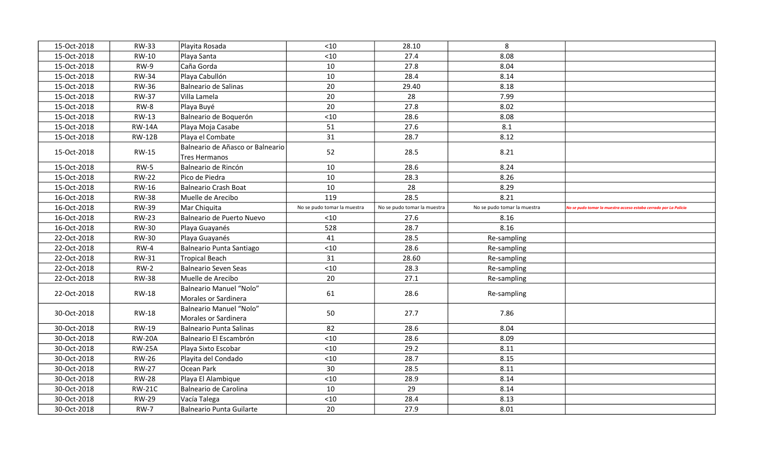| 15-Oct-2018 | <b>RW-33</b>  | Playita Rosada                                  | < 10                        | 28.10                       | 8                           |                                                                       |
|-------------|---------------|-------------------------------------------------|-----------------------------|-----------------------------|-----------------------------|-----------------------------------------------------------------------|
| 15-Oct-2018 | RW-10         | Playa Santa                                     | < 10                        | 27.4                        | 8.08                        |                                                                       |
| 15-Oct-2018 | <b>RW-9</b>   | Caña Gorda                                      | 10                          | 27.8                        | 8.04                        |                                                                       |
| 15-Oct-2018 | <b>RW-34</b>  | Playa Cabullón                                  | 10                          | 28.4                        | 8.14                        |                                                                       |
| 15-Oct-2018 | <b>RW-36</b>  | Balneario de Salinas                            | 20                          | 29.40                       | 8.18                        |                                                                       |
| 15-Oct-2018 | <b>RW-37</b>  | Villa Lamela                                    | 20                          | 28                          | 7.99                        |                                                                       |
| 15-Oct-2018 | RW-8          | Playa Buyé                                      | 20                          | 27.8                        | 8.02                        |                                                                       |
| 15-Oct-2018 | <b>RW-13</b>  | Balneario de Boquerón                           | $<10$                       | 28.6                        | 8.08                        |                                                                       |
| 15-Oct-2018 | <b>RW-14A</b> | Playa Moja Casabe                               | 51                          | 27.6                        | 8.1                         |                                                                       |
| 15-Oct-2018 | <b>RW-12B</b> | Playa el Combate                                | 31                          | 28.7                        | 8.12                        |                                                                       |
| 15-Oct-2018 | <b>RW-15</b>  | Balneario de Añasco or Balneario                | 52                          | 28.5                        | 8.21                        |                                                                       |
|             |               | Tres Hermanos                                   |                             |                             |                             |                                                                       |
| 15-Oct-2018 | $RW-5$        | Balneario de Rincón                             | 10                          | 28.6                        | 8.24                        |                                                                       |
| 15-Oct-2018 | <b>RW-22</b>  | Pico de Piedra                                  | 10                          | 28.3                        | 8.26                        |                                                                       |
| 15-Oct-2018 | <b>RW-16</b>  | Balneario Crash Boat                            | 10                          | 28                          | 8.29                        |                                                                       |
| 16-Oct-2018 | <b>RW-38</b>  | Muelle de Arecibo                               | 119                         | 28.5                        | 8.21                        |                                                                       |
| 16-Oct-2018 | <b>RW-39</b>  | Mar Chiquita                                    | No se pudo tomar la muestra | No se pudo tomar la muestra | No se pudo tomar la muestra | .<br>No se pudo tomar la muestra acceso estaba cerrado por La Policia |
| 16-Oct-2018 | <b>RW-23</b>  | Balneario de Puerto Nuevo                       | < 10                        | 27.6                        | 8.16                        |                                                                       |
| 16-Oct-2018 | <b>RW-30</b>  | Playa Guayanés                                  | 528                         | 28.7                        | 8.16                        |                                                                       |
| 22-Oct-2018 | <b>RW-30</b>  | Playa Guayanés                                  | 41                          | 28.5                        | Re-sampling                 |                                                                       |
| 22-Oct-2018 | $RW-4$        | Balneario Punta Santiago                        | < 10                        | 28.6                        | Re-sampling                 |                                                                       |
| 22-Oct-2018 | <b>RW-31</b>  | Tropical Beach                                  | 31                          | 28.60                       | Re-sampling                 |                                                                       |
| 22-Oct-2018 | $RW-2$        | Balneario Seven Seas                            | < 10                        | 28.3                        | Re-sampling                 |                                                                       |
| 22-Oct-2018 | <b>RW-38</b>  | Muelle de Arecibo                               | 20                          | 27.1                        | Re-sampling                 |                                                                       |
| 22-Oct-2018 | <b>RW-18</b>  | Balneario Manuel "Nolo"<br>Morales or Sardinera | 61                          | 28.6                        | Re-sampling                 |                                                                       |
| 30-Oct-2018 | <b>RW-18</b>  | Balneario Manuel "Nolo"<br>Morales or Sardinera | 50                          | 27.7                        | 7.86                        |                                                                       |
| 30-Oct-2018 | <b>RW-19</b>  | Balneario Punta Salinas                         | 82                          | 28.6                        | 8.04                        |                                                                       |
| 30-Oct-2018 | <b>RW-20A</b> | Balneario El Escambrón                          | < 10                        | 28.6                        | 8.09                        |                                                                       |
| 30-Oct-2018 | <b>RW-25A</b> | Playa Sixto Escobar                             | < 10                        | 29.2                        | 8.11                        |                                                                       |
| 30-Oct-2018 | <b>RW-26</b>  | Playita del Condado                             | < 10                        | 28.7                        | 8.15                        |                                                                       |
| 30-Oct-2018 | <b>RW-27</b>  | Ocean Park                                      | 30                          | 28.5                        | 8.11                        |                                                                       |
| 30-Oct-2018 | <b>RW-28</b>  | Playa El Alambique                              | < 10                        | 28.9                        | 8.14                        |                                                                       |
| 30-Oct-2018 | <b>RW-21C</b> | Balneario de Carolina                           | 10                          | 29                          | 8.14                        |                                                                       |
| 30-Oct-2018 | <b>RW-29</b>  | Vacía Talega                                    | < 10                        | 28.4                        | 8.13                        |                                                                       |
| 30-Oct-2018 | <b>RW-7</b>   | Balneario Punta Guilarte                        | 20                          | 27.9                        | 8.01                        |                                                                       |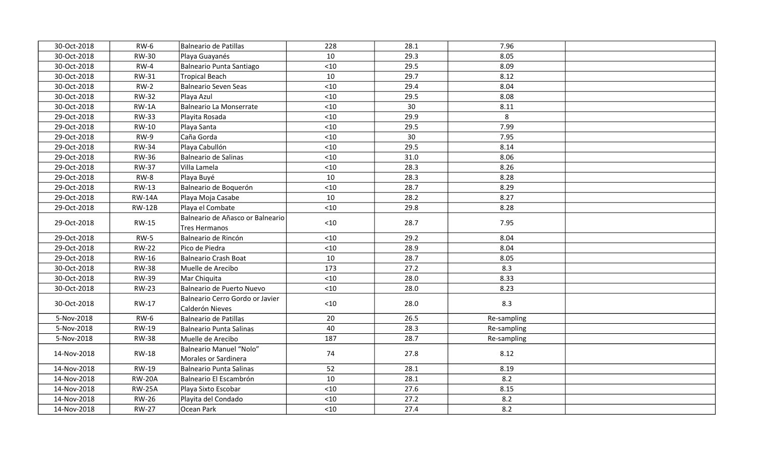| 30-Oct-2018 | $RW-6$        | Balneario de Patillas                              | 228    | 28.1 | 7.96        |  |
|-------------|---------------|----------------------------------------------------|--------|------|-------------|--|
| 30-Oct-2018 | <b>RW-30</b>  | Playa Guayanés                                     | 10     | 29.3 | 8.05        |  |
| 30-Oct-2018 | $RW-4$        | Balneario Punta Santiago                           | $<10$  | 29.5 | 8.09        |  |
| 30-Oct-2018 | RW-31         | <b>Tropical Beach</b>                              | 10     | 29.7 | 8.12        |  |
| 30-Oct-2018 | $RW-2$        | Balneario Seven Seas                               | $<10$  | 29.4 | 8.04        |  |
| 30-Oct-2018 | <b>RW-32</b>  | Playa Azul                                         | < 10   | 29.5 | 8.08        |  |
| 30-Oct-2018 | $RW-1A$       | Balneario La Monserrate                            | $<10$  | 30   | 8.11        |  |
| 29-Oct-2018 | <b>RW-33</b>  | Playita Rosada                                     | < 10   | 29.9 | 8           |  |
| 29-Oct-2018 | RW-10         | Playa Santa                                        | $<$ 10 | 29.5 | 7.99        |  |
| 29-Oct-2018 | RW-9          | Caña Gorda                                         | $<10$  | 30   | 7.95        |  |
| 29-Oct-2018 | <b>RW-34</b>  | Playa Cabullón                                     | $<10$  | 29.5 | 8.14        |  |
| 29-Oct-2018 | <b>RW-36</b>  | Balneario de Salinas                               | $<10$  | 31.0 | 8.06        |  |
| 29-Oct-2018 | <b>RW-37</b>  | Villa Lamela                                       | $<10$  | 28.3 | 8.26        |  |
| 29-Oct-2018 | RW-8          | Playa Buyé                                         | 10     | 28.3 | 8.28        |  |
| 29-Oct-2018 | RW-13         | Balneario de Boquerón                              | $<10$  | 28.7 | 8.29        |  |
| 29-Oct-2018 | <b>RW-14A</b> | Playa Moja Casabe                                  | 10     | 28.2 | 8.27        |  |
| 29-Oct-2018 | <b>RW-12B</b> | Playa el Combate                                   | $<10$  | 29.8 | 8.28        |  |
| 29-Oct-2018 | <b>RW-15</b>  | Balneario de Añasco or Balneario<br>Tres Hermanos  | $<10$  | 28.7 | 7.95        |  |
| 29-Oct-2018 | $RW-5$        | Balneario de Rincón                                | $<10$  | 29.2 | 8.04        |  |
| 29-Oct-2018 | <b>RW-22</b>  | Pico de Piedra                                     | $<10$  | 28.9 | 8.04        |  |
| 29-Oct-2018 | RW-16         | Balneario Crash Boat                               | 10     | 28.7 | 8.05        |  |
| 30-Oct-2018 | <b>RW-38</b>  | Muelle de Arecibo                                  | 173    | 27.2 | 8.3         |  |
| 30-Oct-2018 | <b>RW-39</b>  | Mar Chiquita                                       | $<10$  | 28.0 | 8.33        |  |
| 30-Oct-2018 | <b>RW-23</b>  | Balneario de Puerto Nuevo                          | $<10$  | 28.0 | 8.23        |  |
| 30-Oct-2018 | RW-17         | Balneario Cerro Gordo or Javier<br>Calderón Nieves | $<10$  | 28.0 | 8.3         |  |
| 5-Nov-2018  | $RW-6$        | Balneario de Patillas                              | 20     | 26.5 | Re-sampling |  |
| 5-Nov-2018  | RW-19         | Balneario Punta Salinas                            | 40     | 28.3 | Re-sampling |  |
| 5-Nov-2018  | <b>RW-38</b>  | Muelle de Arecibo                                  | 187    | 28.7 | Re-sampling |  |
| 14-Nov-2018 | <b>RW-18</b>  | Balneario Manuel "Nolo"<br>Morales or Sardinera    | 74     | 27.8 | 8.12        |  |
| 14-Nov-2018 | <b>RW-19</b>  | Balneario Punta Salinas                            | 52     | 28.1 | 8.19        |  |
| 14-Nov-2018 | <b>RW-20A</b> | Balneario El Escambrón                             | 10     | 28.1 | 8.2         |  |
| 14-Nov-2018 | <b>RW-25A</b> | Playa Sixto Escobar                                | < 10   | 27.6 | 8.15        |  |
| 14-Nov-2018 | <b>RW-26</b>  | Playita del Condado                                | < 10   | 27.2 | 8.2         |  |
| 14-Nov-2018 | <b>RW-27</b>  | Ocean Park                                         | $<$ 10 | 27.4 | 8.2         |  |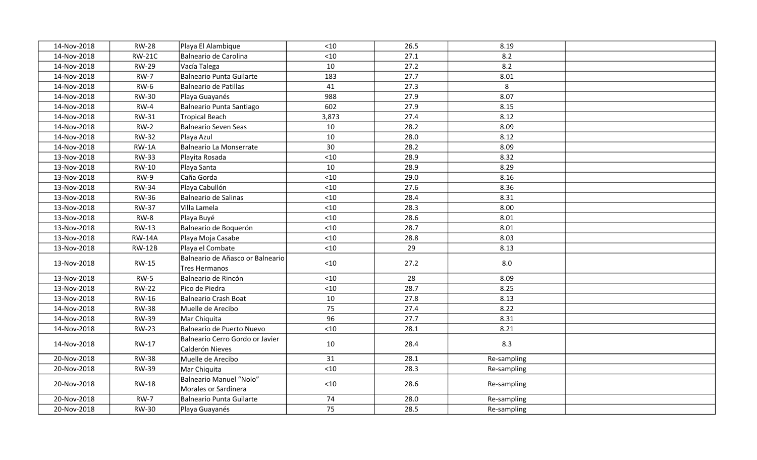| 14-Nov-2018 | <b>RW-28</b>  | Playa El Alambique                                 | < 10  | 26.5 | 8.19        |  |
|-------------|---------------|----------------------------------------------------|-------|------|-------------|--|
| 14-Nov-2018 | <b>RW-21C</b> | Balneario de Carolina                              | $<10$ | 27.1 | 8.2         |  |
| 14-Nov-2018 | <b>RW-29</b>  | Vacía Talega                                       | 10    | 27.2 | 8.2         |  |
| 14-Nov-2018 | $RW-7$        | Balneario Punta Guilarte                           | 183   | 27.7 | 8.01        |  |
| 14-Nov-2018 | <b>RW-6</b>   | Balneario de Patillas                              | 41    | 27.3 | 8           |  |
| 14-Nov-2018 | <b>RW-30</b>  | Playa Guayanés                                     | 988   | 27.9 | 8.07        |  |
| 14-Nov-2018 | $RW-4$        | Balneario Punta Santiago                           | 602   | 27.9 | 8.15        |  |
| 14-Nov-2018 | RW-31         | Tropical Beach                                     | 3,873 | 27.4 | 8.12        |  |
| 14-Nov-2018 | $RW-2$        | Balneario Seven Seas                               | 10    | 28.2 | 8.09        |  |
| 14-Nov-2018 | <b>RW-32</b>  | Playa Azul                                         | 10    | 28.0 | 8.12        |  |
| 14-Nov-2018 | $RW-1A$       | Balneario La Monserrate                            | 30    | 28.2 | 8.09        |  |
| 13-Nov-2018 | <b>RW-33</b>  | Playita Rosada                                     | $<10$ | 28.9 | 8.32        |  |
| 13-Nov-2018 | <b>RW-10</b>  | Playa Santa                                        | 10    | 28.9 | 8.29        |  |
| 13-Nov-2018 | $RW-9$        | Caña Gorda                                         | $<10$ | 29.0 | 8.16        |  |
| 13-Nov-2018 | <b>RW-34</b>  | Playa Cabullón                                     | < 10  | 27.6 | 8.36        |  |
| 13-Nov-2018 | <b>RW-36</b>  | Balneario de Salinas                               | < 10  | 28.4 | 8.31        |  |
| 13-Nov-2018 | <b>RW-37</b>  | Villa Lamela                                       | $<10$ | 28.3 | 8.00        |  |
| 13-Nov-2018 | $RW-8$        | Playa Buyé                                         | $<10$ | 28.6 | 8.01        |  |
| 13-Nov-2018 | <b>RW-13</b>  | Balneario de Boquerón                              | $<10$ | 28.7 | 8.01        |  |
| 13-Nov-2018 | <b>RW-14A</b> | Playa Moja Casabe                                  | $<10$ | 28.8 | 8.03        |  |
| 13-Nov-2018 | <b>RW-12B</b> | Playa el Combate                                   | $<10$ | 29   | 8.13        |  |
| 13-Nov-2018 | <b>RW-15</b>  | Balneario de Añasco or Balneario<br>Tres Hermanos  | $<10$ | 27.2 | 8.0         |  |
| 13-Nov-2018 | $RW-5$        | Balneario de Rincón                                | $<10$ | 28   | 8.09        |  |
| 13-Nov-2018 | <b>RW-22</b>  | Pico de Piedra                                     | < 10  | 28.7 | 8.25        |  |
| 13-Nov-2018 | <b>RW-16</b>  | Balneario Crash Boat                               | 10    | 27.8 | 8.13        |  |
| 14-Nov-2018 | <b>RW-38</b>  | Muelle de Arecibo                                  | 75    | 27.4 | 8.22        |  |
| 14-Nov-2018 | <b>RW-39</b>  | Mar Chiquita                                       | 96    | 27.7 | 8.31        |  |
| 14-Nov-2018 | <b>RW-23</b>  | Balneario de Puerto Nuevo                          | $<10$ | 28.1 | 8.21        |  |
| 14-Nov-2018 | <b>RW-17</b>  | Balneario Cerro Gordo or Javier<br>Calderón Nieves | 10    | 28.4 | 8.3         |  |
| 20-Nov-2018 | <b>RW-38</b>  | Muelle de Arecibo                                  | 31    | 28.1 | Re-sampling |  |
| 20-Nov-2018 | <b>RW-39</b>  | Mar Chiquita                                       | $<10$ | 28.3 | Re-sampling |  |
| 20-Nov-2018 | <b>RW-18</b>  | Balneario Manuel "Nolo"<br>Morales or Sardinera    | $<10$ | 28.6 | Re-sampling |  |
| 20-Nov-2018 | <b>RW-7</b>   | Balneario Punta Guilarte                           | 74    | 28.0 | Re-sampling |  |
| 20-Nov-2018 | <b>RW-30</b>  | Playa Guayanés                                     | 75    | 28.5 | Re-sampling |  |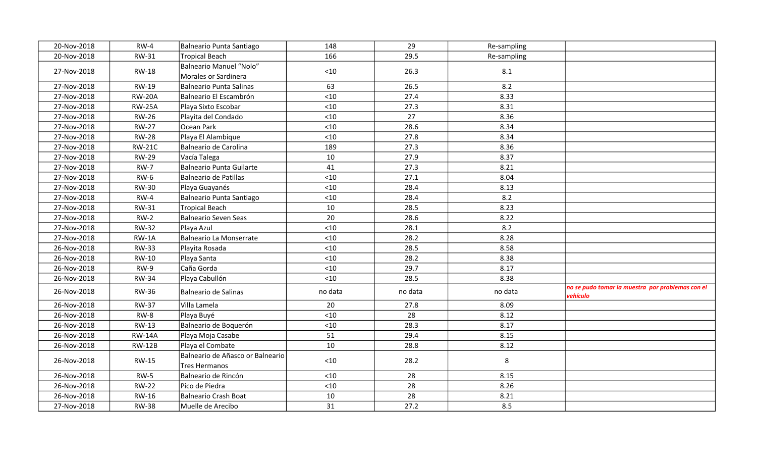| 20-Nov-2018 | $RW-4$        | Balneario Punta Santiago                          | 148     | 29      | Re-sampling |                                                              |
|-------------|---------------|---------------------------------------------------|---------|---------|-------------|--------------------------------------------------------------|
| 20-Nov-2018 | <b>RW-31</b>  | Tropical Beach                                    | 166     | 29.5    | Re-sampling |                                                              |
| 27-Nov-2018 | <b>RW-18</b>  | Balneario Manuel "Nolo"<br>Morales or Sardinera   | < 10    | 26.3    | 8.1         |                                                              |
| 27-Nov-2018 | <b>RW-19</b>  | Balneario Punta Salinas                           | 63      | 26.5    | 8.2         |                                                              |
| 27-Nov-2018 | <b>RW-20A</b> | Balneario El Escambrón                            | < 10    | 27.4    | 8.33        |                                                              |
| 27-Nov-2018 | <b>RW-25A</b> | Playa Sixto Escobar                               | $<$ 10  | 27.3    | 8.31        |                                                              |
| 27-Nov-2018 | <b>RW-26</b>  | Playita del Condado                               | $<$ 10  | 27      | 8.36        |                                                              |
| 27-Nov-2018 | <b>RW-27</b>  | Ocean Park                                        | < 10    | 28.6    | 8.34        |                                                              |
| 27-Nov-2018 | <b>RW-28</b>  | Playa El Alambique                                | < 10    | 27.8    | 8.34        |                                                              |
| 27-Nov-2018 | <b>RW-21C</b> | Balneario de Carolina                             | 189     | 27.3    | 8.36        |                                                              |
| 27-Nov-2018 | <b>RW-29</b>  | Vacía Talega                                      | 10      | 27.9    | 8.37        |                                                              |
| 27-Nov-2018 | <b>RW-7</b>   | Balneario Punta Guilarte                          | 41      | 27.3    | 8.21        |                                                              |
| 27-Nov-2018 | <b>RW-6</b>   | Balneario de Patillas                             | < 10    | 27.1    | 8.04        |                                                              |
| 27-Nov-2018 | <b>RW-30</b>  | Playa Guayanés                                    | < 10    | 28.4    | 8.13        |                                                              |
| 27-Nov-2018 | $RW-4$        | Balneario Punta Santiago                          | < 10    | 28.4    | 8.2         |                                                              |
| 27-Nov-2018 | <b>RW-31</b>  | Tropical Beach                                    | 10      | 28.5    | 8.23        |                                                              |
| 27-Nov-2018 | $RW-2$        | Balneario Seven Seas                              | 20      | 28.6    | 8.22        |                                                              |
| 27-Nov-2018 | <b>RW-32</b>  | Playa Azul                                        | < 10    | 28.1    | 8.2         |                                                              |
| 27-Nov-2018 | RW-1A         | Balneario La Monserrate                           | < 10    | 28.2    | 8.28        |                                                              |
| 26-Nov-2018 | <b>RW-33</b>  | Playita Rosada                                    | < 10    | 28.5    | 8.58        |                                                              |
| 26-Nov-2018 | RW-10         | Playa Santa                                       | < 10    | 28.2    | 8.38        |                                                              |
| 26-Nov-2018 | $RW-9$        | Caña Gorda                                        | < 10    | 29.7    | 8.17        |                                                              |
| 26-Nov-2018 | <b>RW-34</b>  | Playa Cabullón                                    | < 10    | 28.5    | 8.38        |                                                              |
| 26-Nov-2018 | <b>RW-36</b>  | Balneario de Salinas                              | no data | no data | no data     | no se pudo tomar la muestra por problemas con el<br>vehículo |
| 26-Nov-2018 | <b>RW-37</b>  | Villa Lamela                                      | 20      | 27.8    | 8.09        |                                                              |
| 26-Nov-2018 | RW-8          | Playa Buyé                                        | < 10    | 28      | 8.12        |                                                              |
| 26-Nov-2018 | <b>RW-13</b>  | Balneario de Boquerón                             | < 10    | 28.3    | 8.17        |                                                              |
| 26-Nov-2018 | <b>RW-14A</b> | Playa Moja Casabe                                 | 51      | 29.4    | 8.15        |                                                              |
| 26-Nov-2018 | <b>RW-12B</b> | Playa el Combate                                  | 10      | 28.8    | 8.12        |                                                              |
| 26-Nov-2018 | <b>RW-15</b>  | Balneario de Añasco or Balneario<br>Tres Hermanos | < 10    | 28.2    | 8           |                                                              |
| 26-Nov-2018 | $RW-5$        | Balneario de Rincón                               | < 10    | 28      | 8.15        |                                                              |
| 26-Nov-2018 | <b>RW-22</b>  | Pico de Piedra                                    | < 10    | 28      | 8.26        |                                                              |
| 26-Nov-2018 | RW-16         | Balneario Crash Boat                              | 10      | 28      | 8.21        |                                                              |
| 27-Nov-2018 | <b>RW-38</b>  | Muelle de Arecibo                                 | 31      | 27.2    | 8.5         |                                                              |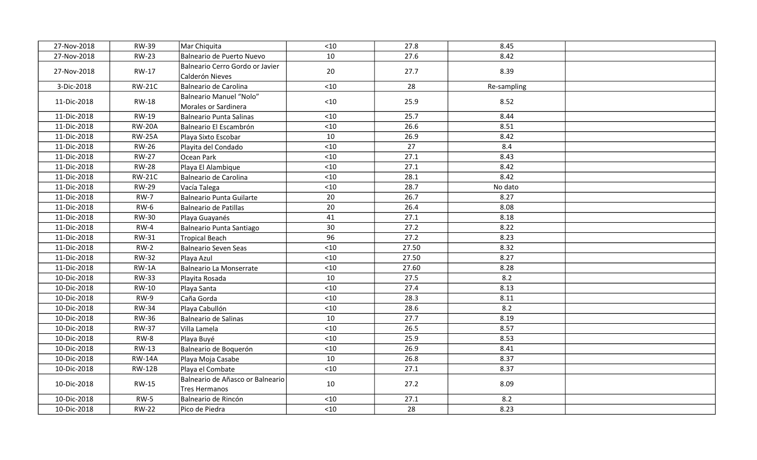| 27-Nov-2018 | <b>RW-39</b>  | Mar Chiquita                                       | < 10  | 27.8  | 8.45        |  |
|-------------|---------------|----------------------------------------------------|-------|-------|-------------|--|
| 27-Nov-2018 | <b>RW-23</b>  | Balneario de Puerto Nuevo                          | 10    | 27.6  | 8.42        |  |
| 27-Nov-2018 | RW-17         | Balneario Cerro Gordo or Javier<br>Calderón Nieves | 20    | 27.7  | 8.39        |  |
| 3-Dic-2018  | <b>RW-21C</b> | Balneario de Carolina                              | $<10$ | 28    | Re-sampling |  |
| 11-Dic-2018 | <b>RW-18</b>  | Balneario Manuel "Nolo"<br>Morales or Sardinera    | $<10$ | 25.9  | 8.52        |  |
| 11-Dic-2018 | RW-19         | Balneario Punta Salinas                            | $<10$ | 25.7  | 8.44        |  |
| 11-Dic-2018 | <b>RW-20A</b> | Balneario El Escambrón                             | $<10$ | 26.6  | 8.51        |  |
| 11-Dic-2018 | <b>RW-25A</b> | Playa Sixto Escobar                                | 10    | 26.9  | 8.42        |  |
| 11-Dic-2018 | <b>RW-26</b>  | Playita del Condado                                | $<10$ | 27    | 8.4         |  |
| 11-Dic-2018 | <b>RW-27</b>  | Ocean Park                                         | < 10  | 27.1  | 8.43        |  |
| 11-Dic-2018 | <b>RW-28</b>  | Playa El Alambique                                 | $<10$ | 27.1  | 8.42        |  |
| 11-Dic-2018 | <b>RW-21C</b> | Balneario de Carolina                              | < 10  | 28.1  | 8.42        |  |
| 11-Dic-2018 | <b>RW-29</b>  | Vacía Talega                                       | $<10$ | 28.7  | No dato     |  |
| 11-Dic-2018 | <b>RW-7</b>   | Balneario Punta Guilarte                           | 20    | 26.7  | 8.27        |  |
| 11-Dic-2018 | <b>RW-6</b>   | Balneario de Patillas                              | 20    | 26.4  | 8.08        |  |
| 11-Dic-2018 | <b>RW-30</b>  | Playa Guayanés                                     | 41    | 27.1  | 8.18        |  |
| 11-Dic-2018 | $RW-4$        | Balneario Punta Santiago                           | 30    | 27.2  | 8.22        |  |
| 11-Dic-2018 | <b>RW-31</b>  | Tropical Beach                                     | 96    | 27.2  | 8.23        |  |
| 11-Dic-2018 | $RW-2$        | Balneario Seven Seas                               | $<10$ | 27.50 | 8.32        |  |
| 11-Dic-2018 | <b>RW-32</b>  | Playa Azul                                         | < 10  | 27.50 | 8.27        |  |
| 11-Dic-2018 | $RW-1A$       | Balneario La Monserrate                            | $<10$ | 27.60 | 8.28        |  |
| 10-Dic-2018 | <b>RW-33</b>  | Playita Rosada                                     | 10    | 27.5  | 8.2         |  |
| 10-Dic-2018 | <b>RW-10</b>  | Playa Santa                                        | $<10$ | 27.4  | 8.13        |  |
| 10-Dic-2018 | $RW-9$        | Caña Gorda                                         | $<10$ | 28.3  | 8.11        |  |
| 10-Dic-2018 | <b>RW-34</b>  | Playa Cabullón                                     | < 10  | 28.6  | 8.2         |  |
| 10-Dic-2018 | <b>RW-36</b>  | Balneario de Salinas                               | 10    | 27.7  | 8.19        |  |
| 10-Dic-2018 | <b>RW-37</b>  | Villa Lamela                                       | < 10  | 26.5  | 8.57        |  |
| 10-Dic-2018 | $RW-8$        | Playa Buyé                                         | $<10$ | 25.9  | 8.53        |  |
| 10-Dic-2018 | RW-13         | Balneario de Boquerón                              | < 10  | 26.9  | 8.41        |  |
| 10-Dic-2018 | <b>RW-14A</b> | Playa Moja Casabe                                  | 10    | 26.8  | 8.37        |  |
| 10-Dic-2018 | <b>RW-12B</b> | Playa el Combate                                   | $<10$ | 27.1  | 8.37        |  |
| 10-Dic-2018 | RW-15         | Balneario de Añasco or Balneario<br>Tres Hermanos  | 10    | 27.2  | 8.09        |  |
| 10-Dic-2018 | $RW-5$        | Balneario de Rincón                                | $<10$ | 27.1  | 8.2         |  |
| 10-Dic-2018 | <b>RW-22</b>  | Pico de Piedra                                     | < 10  | 28    | 8.23        |  |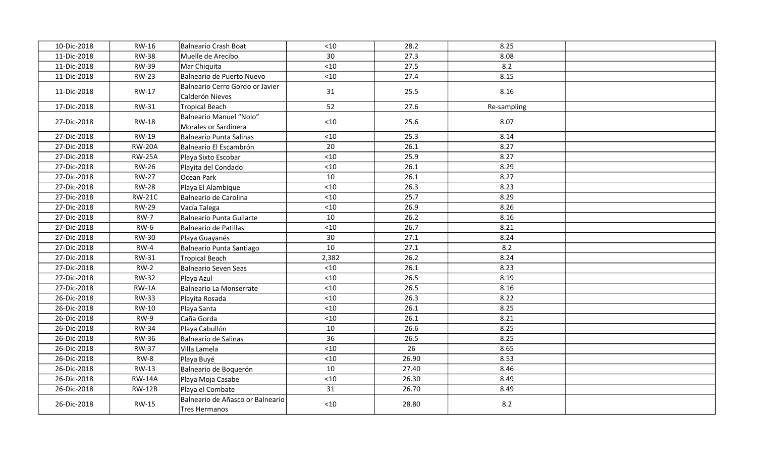| 10-Dic-2018 | <b>RW-16</b>  | Balneario Crash Boat                                   | $<10$ | 28.2  | 8.25        |  |
|-------------|---------------|--------------------------------------------------------|-------|-------|-------------|--|
| 11-Dic-2018 | <b>RW-38</b>  | Muelle de Arecibo                                      | 30    | 27.3  | 8.08        |  |
| 11-Dic-2018 | <b>RW-39</b>  | Mar Chiquita                                           | $<10$ | 27.5  | 8.2         |  |
| 11-Dic-2018 | <b>RW-23</b>  | Balneario de Puerto Nuevo                              | $<10$ | 27.4  | 8.15        |  |
| 11-Dic-2018 | RW-17         | Balneario Cerro Gordo or Javier<br>Calderón Nieves     | 31    | 25.5  | 8.16        |  |
| 17-Dic-2018 | <b>RW-31</b>  | <b>Tropical Beach</b>                                  | 52    | 27.6  | Re-sampling |  |
| 27-Dic-2018 | <b>RW-18</b>  | <b>Balneario Manuel "Nolo"</b><br>Morales or Sardinera | < 10  | 25.6  | 8.07        |  |
| 27-Dic-2018 | <b>RW-19</b>  | Balneario Punta Salinas                                | $<10$ | 25.3  | 8.14        |  |
| 27-Dic-2018 | <b>RW-20A</b> | Balneario El Escambrón                                 | 20    | 26.1  | 8.27        |  |
| 27-Dic-2018 | <b>RW-25A</b> | Playa Sixto Escobar                                    | $<10$ | 25.9  | 8.27        |  |
| 27-Dic-2018 | <b>RW-26</b>  | Playita del Condado                                    | < 10  | 26.1  | 8.29        |  |
| 27-Dic-2018 | <b>RW-27</b>  | Ocean Park                                             | 10    | 26.1  | 8.27        |  |
| 27-Dic-2018 | <b>RW-28</b>  | Playa El Alambique                                     | < 10  | 26.3  | 8.23        |  |
| 27-Dic-2018 | <b>RW-21C</b> | Balneario de Carolina                                  | < 10  | 25.7  | 8.29        |  |
| 27-Dic-2018 | <b>RW-29</b>  | Vacía Talega                                           | < 10  | 26.9  | 8.26        |  |
| 27-Dic-2018 | <b>RW-7</b>   | Balneario Punta Guilarte                               | 10    | 26.2  | 8.16        |  |
| 27-Dic-2018 | $RW-6$        | Balneario de Patillas                                  | $<10$ | 26.7  | 8.21        |  |
| 27-Dic-2018 | <b>RW-30</b>  | Playa Guayanés                                         | 30    | 27.1  | 8.24        |  |
| 27-Dic-2018 | $RW-4$        | Balneario Punta Santiago                               | 10    | 27.1  | 8.2         |  |
| 27-Dic-2018 | <b>RW-31</b>  | <b>Tropical Beach</b>                                  | 2,382 | 26.2  | 8.24        |  |
| 27-Dic-2018 | $RW-2$        | Balneario Seven Seas                                   | < 10  | 26.1  | 8.23        |  |
| 27-Dic-2018 | <b>RW-32</b>  | Playa Azul                                             | < 10  | 26.5  | 8.19        |  |
| 27-Dic-2018 | $RW-1A$       | Balneario La Monserrate                                | $<10$ | 26.5  | 8.16        |  |
| 26-Dic-2018 | <b>RW-33</b>  | Playita Rosada                                         | < 10  | 26.3  | 8.22        |  |
| 26-Dic-2018 | RW-10         | Playa Santa                                            | $<10$ | 26.1  | 8.25        |  |
| 26-Dic-2018 | $RW-9$        | Caña Gorda                                             | $<10$ | 26.1  | 8.21        |  |
| 26-Dic-2018 | <b>RW-34</b>  | Playa Cabullón                                         | 10    | 26.6  | 8.25        |  |
| 26-Dic-2018 | <b>RW-36</b>  | Balneario de Salinas                                   | 36    | 26.5  | 8.25        |  |
| 26-Dic-2018 | <b>RW-37</b>  | Villa Lamela                                           | $<10$ | 26    | 8.65        |  |
| 26-Dic-2018 | $RW-8$        | Playa Buyé                                             | $<10$ | 26.90 | 8.53        |  |
| 26-Dic-2018 | RW-13         | Balneario de Boquerón                                  | 10    | 27.40 | 8.46        |  |
| 26-Dic-2018 | <b>RW-14A</b> | Playa Moja Casabe                                      | $<10$ | 26.30 | 8.49        |  |
| 26-Dic-2018 | <b>RW-12B</b> | Playa el Combate                                       | 31    | 26.70 | 8.49        |  |
| 26-Dic-2018 | RW-15         | Balneario de Añasco or Balneario<br>Tres Hermanos      | $<10$ | 28.80 | 8.2         |  |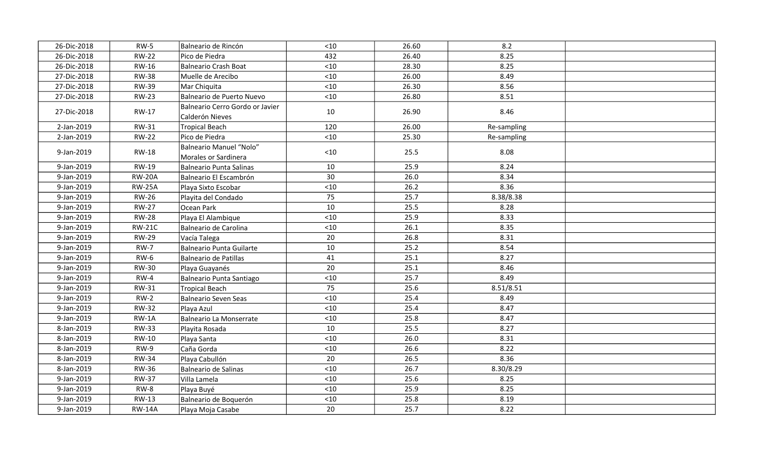| 26-Dic-2018 | $RW-5$        | Balneario de Rincón                                | $<10$ | 26.60 | 8.2         |  |
|-------------|---------------|----------------------------------------------------|-------|-------|-------------|--|
| 26-Dic-2018 | <b>RW-22</b>  | Pico de Piedra                                     | 432   | 26.40 | 8.25        |  |
| 26-Dic-2018 | <b>RW-16</b>  | Balneario Crash Boat                               | $<10$ | 28.30 | 8.25        |  |
| 27-Dic-2018 | <b>RW-38</b>  | Muelle de Arecibo                                  | < 10  | 26.00 | 8.49        |  |
| 27-Dic-2018 | <b>RW-39</b>  | Mar Chiquita                                       | < 10  | 26.30 | 8.56        |  |
| 27-Dic-2018 | <b>RW-23</b>  | Balneario de Puerto Nuevo                          | < 10  | 26.80 | 8.51        |  |
| 27-Dic-2018 | RW-17         | Balneario Cerro Gordo or Javier<br>Calderón Nieves | 10    | 26.90 | 8.46        |  |
| 2-Jan-2019  | RW-31         | Tropical Beach                                     | 120   | 26.00 | Re-sampling |  |
| 2-Jan-2019  | <b>RW-22</b>  | Pico de Piedra                                     | < 10  | 25.30 | Re-sampling |  |
| 9-Jan-2019  | RW-18         | Balneario Manuel "Nolo"<br>Morales or Sardinera    | $<10$ | 25.5  | 8.08        |  |
| 9-Jan-2019  | RW-19         | Balneario Punta Salinas                            | 10    | 25.9  | 8.24        |  |
| 9-Jan-2019  | <b>RW-20A</b> | Balneario El Escambrón                             | 30    | 26.0  | 8.34        |  |
| 9-Jan-2019  | <b>RW-25A</b> | Playa Sixto Escobar                                | $<10$ | 26.2  | 8.36        |  |
| 9-Jan-2019  | <b>RW-26</b>  | Playita del Condado                                | 75    | 25.7  | 8.38/8.38   |  |
| 9-Jan-2019  | <b>RW-27</b>  | Ocean Park                                         | 10    | 25.5  | 8.28        |  |
| 9-Jan-2019  | <b>RW-28</b>  | Playa El Alambique                                 | < 10  | 25.9  | 8.33        |  |
| 9-Jan-2019  | <b>RW-21C</b> | Balneario de Carolina                              | $<10$ | 26.1  | 8.35        |  |
| 9-Jan-2019  | <b>RW-29</b>  | Vacía Talega                                       | 20    | 26.8  | 8.31        |  |
| 9-Jan-2019  | <b>RW-7</b>   | Balneario Punta Guilarte                           | 10    | 25.2  | 8.54        |  |
| 9-Jan-2019  | $RW-6$        | Balneario de Patillas                              | 41    | 25.1  | 8.27        |  |
| 9-Jan-2019  | <b>RW-30</b>  | Playa Guayanés                                     | 20    | 25.1  | 8.46        |  |
| 9-Jan-2019  | $RW-4$        | Balneario Punta Santiago                           | < 10  | 25.7  | 8.49        |  |
| 9-Jan-2019  | <b>RW-31</b>  | Tropical Beach                                     | 75    | 25.6  | 8.51/8.51   |  |
| 9-Jan-2019  | $RW-2$        | Balneario Seven Seas                               | $<10$ | 25.4  | 8.49        |  |
| 9-Jan-2019  | <b>RW-32</b>  | Playa Azul                                         | $<10$ | 25.4  | 8.47        |  |
| 9-Jan-2019  | $RW-1A$       | Balneario La Monserrate                            | $<10$ | 25.8  | 8.47        |  |
| 8-Jan-2019  | <b>RW-33</b>  | Playita Rosada                                     | 10    | 25.5  | 8.27        |  |
| 8-Jan-2019  | <b>RW-10</b>  | Playa Santa                                        | < 10  | 26.0  | 8.31        |  |
| 8-Jan-2019  | $RW-9$        | Caña Gorda                                         | $<10$ | 26.6  | 8.22        |  |
| 8-Jan-2019  | <b>RW-34</b>  | Playa Cabullón                                     | 20    | 26.5  | 8.36        |  |
| 8-Jan-2019  | <b>RW-36</b>  | Balneario de Salinas                               | < 10  | 26.7  | 8.30/8.29   |  |
| 9-Jan-2019  | <b>RW-37</b>  | Villa Lamela                                       | < 10  | 25.6  | 8.25        |  |
| 9-Jan-2019  | $RW-8$        | Playa Buyé                                         | < 10  | 25.9  | 8.25        |  |
| 9-Jan-2019  | <b>RW-13</b>  | Balneario de Boquerón                              | $<10$ | 25.8  | 8.19        |  |
| 9-Jan-2019  | <b>RW-14A</b> | Playa Moja Casabe                                  | 20    | 25.7  | 8.22        |  |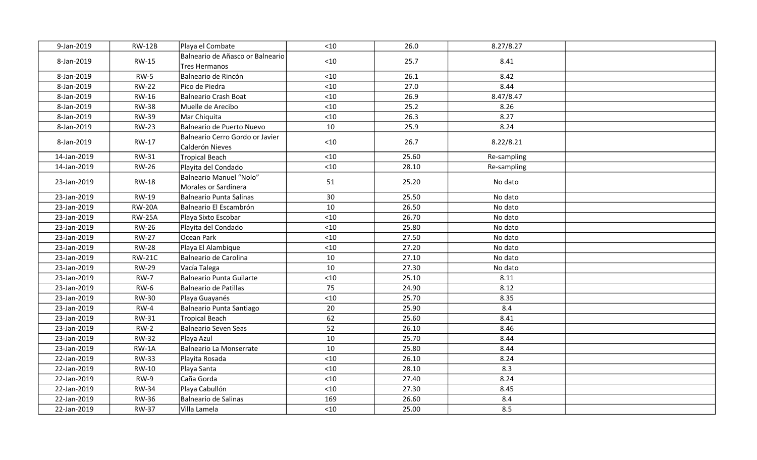| 9-Jan-2019  | <b>RW-12B</b> | Playa el Combate                                   | < 10  | 26.0  | 8.27/8.27   |  |
|-------------|---------------|----------------------------------------------------|-------|-------|-------------|--|
| 8-Jan-2019  | <b>RW-15</b>  | Balneario de Añasco or Balneario<br>Tres Hermanos  | $<10$ | 25.7  | 8.41        |  |
| 8-Jan-2019  | $RW-5$        | Balneario de Rincón                                | $<10$ | 26.1  | 8.42        |  |
| 8-Jan-2019  | <b>RW-22</b>  | Pico de Piedra                                     | < 10  | 27.0  | 8.44        |  |
| 8-Jan-2019  | RW-16         | Balneario Crash Boat                               | < 10  | 26.9  | 8.47/8.47   |  |
| 8-Jan-2019  | <b>RW-38</b>  | Muelle de Arecibo                                  | $<10$ | 25.2  | 8.26        |  |
| 8-Jan-2019  | <b>RW-39</b>  | Mar Chiquita                                       | $<10$ | 26.3  | 8.27        |  |
| 8-Jan-2019  | <b>RW-23</b>  | Balneario de Puerto Nuevo                          | 10    | 25.9  | 8.24        |  |
| 8-Jan-2019  | RW-17         | Balneario Cerro Gordo or Javier<br>Calderón Nieves | < 10  | 26.7  | 8.22/8.21   |  |
| 14-Jan-2019 | RW-31         | Tropical Beach                                     | $<10$ | 25.60 | Re-sampling |  |
| 14-Jan-2019 | <b>RW-26</b>  | Playita del Condado                                | $<10$ | 28.10 | Re-sampling |  |
| 23-Jan-2019 | <b>RW-18</b>  | Balneario Manuel "Nolo"<br>Morales or Sardinera    | 51    | 25.20 | No dato     |  |
| 23-Jan-2019 | <b>RW-19</b>  | Balneario Punta Salinas                            | 30    | 25.50 | No dato     |  |
| 23-Jan-2019 | <b>RW-20A</b> | Balneario El Escambrón                             | 10    | 26.50 | No dato     |  |
| 23-Jan-2019 | <b>RW-25A</b> | Playa Sixto Escobar                                | $<10$ | 26.70 | No dato     |  |
| 23-Jan-2019 | <b>RW-26</b>  | Playita del Condado                                | $<10$ | 25.80 | No dato     |  |
| 23-Jan-2019 | <b>RW-27</b>  | Ocean Park                                         | $<10$ | 27.50 | No dato     |  |
| 23-Jan-2019 | <b>RW-28</b>  | Playa El Alambique                                 | $<10$ | 27.20 | No dato     |  |
| 23-Jan-2019 | <b>RW-21C</b> | Balneario de Carolina                              | 10    | 27.10 | No dato     |  |
| 23-Jan-2019 | <b>RW-29</b>  | Vacía Talega                                       | 10    | 27.30 | No dato     |  |
| 23-Jan-2019 | <b>RW-7</b>   | Balneario Punta Guilarte                           | $<10$ | 25.10 | 8.11        |  |
| 23-Jan-2019 | $RW-6$        | Balneario de Patillas                              | 75    | 24.90 | 8.12        |  |
| 23-Jan-2019 | <b>RW-30</b>  | Playa Guayanés                                     | $<10$ | 25.70 | 8.35        |  |
| 23-Jan-2019 | $RW-4$        | Balneario Punta Santiago                           | 20    | 25.90 | 8.4         |  |
| 23-Jan-2019 | RW-31         | Tropical Beach                                     | 62    | 25.60 | 8.41        |  |
| 23-Jan-2019 | $RW-2$        | Balneario Seven Seas                               | 52    | 26.10 | 8.46        |  |
| 23-Jan-2019 | <b>RW-32</b>  | Playa Azul                                         | 10    | 25.70 | 8.44        |  |
| 23-Jan-2019 | $RW-1A$       | Balneario La Monserrate                            | 10    | 25.80 | 8.44        |  |
| 22-Jan-2019 | <b>RW-33</b>  | Playita Rosada                                     | $<10$ | 26.10 | 8.24        |  |
| 22-Jan-2019 | RW-10         | Playa Santa                                        | $<10$ | 28.10 | 8.3         |  |
| 22-Jan-2019 | RW-9          | Caña Gorda                                         | < 10  | 27.40 | 8.24        |  |
| 22-Jan-2019 | <b>RW-34</b>  | Playa Cabullón                                     | $<10$ | 27.30 | 8.45        |  |
| 22-Jan-2019 | <b>RW-36</b>  | Balneario de Salinas                               | 169   | 26.60 | 8.4         |  |
| 22-Jan-2019 | <b>RW-37</b>  | Villa Lamela                                       | < 10  | 25.00 | 8.5         |  |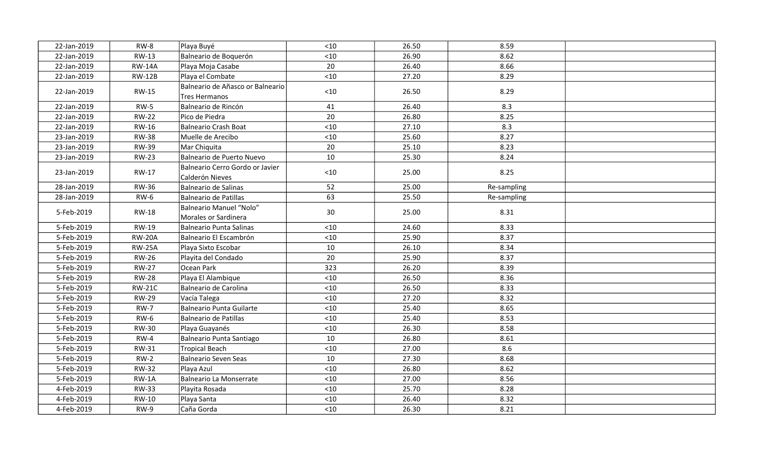| 22-Jan-2019 | $RW-8$        | Playa Buyé                                         | < 10  | 26.50 | 8.59        |  |
|-------------|---------------|----------------------------------------------------|-------|-------|-------------|--|
| 22-Jan-2019 | <b>RW-13</b>  | Balneario de Boquerón                              | $<10$ | 26.90 | 8.62        |  |
| 22-Jan-2019 | <b>RW-14A</b> | Playa Moja Casabe                                  | 20    | 26.40 | 8.66        |  |
| 22-Jan-2019 | <b>RW-12B</b> | Playa el Combate                                   | < 10  | 27.20 | 8.29        |  |
| 22-Jan-2019 | <b>RW-15</b>  | Balneario de Añasco or Balneario<br>Tres Hermanos  | $<10$ | 26.50 | 8.29        |  |
| 22-Jan-2019 | $RW-5$        | Balneario de Rincón                                | 41    | 26.40 | 8.3         |  |
| 22-Jan-2019 | <b>RW-22</b>  | Pico de Piedra                                     | 20    | 26.80 | 8.25        |  |
| 22-Jan-2019 | <b>RW-16</b>  | Balneario Crash Boat                               | < 10  | 27.10 | 8.3         |  |
| 23-Jan-2019 | <b>RW-38</b>  | Muelle de Arecibo                                  | $<10$ | 25.60 | 8.27        |  |
| 23-Jan-2019 | <b>RW-39</b>  | Mar Chiquita                                       | 20    | 25.10 | 8.23        |  |
| 23-Jan-2019 | <b>RW-23</b>  | Balneario de Puerto Nuevo                          | 10    | 25.30 | 8.24        |  |
| 23-Jan-2019 | RW-17         | Balneario Cerro Gordo or Javier<br>Calderón Nieves | $<10$ | 25.00 | 8.25        |  |
| 28-Jan-2019 | <b>RW-36</b>  | Balneario de Salinas                               | 52    | 25.00 | Re-sampling |  |
| 28-Jan-2019 | <b>RW-6</b>   | Balneario de Patillas                              | 63    | 25.50 | Re-sampling |  |
| 5-Feb-2019  | <b>RW-18</b>  | Balneario Manuel "Nolo"<br>Morales or Sardinera    | 30    | 25.00 | 8.31        |  |
| 5-Feb-2019  | <b>RW-19</b>  | Balneario Punta Salinas                            | $<10$ | 24.60 | 8.33        |  |
| 5-Feb-2019  | <b>RW-20A</b> | Balneario El Escambrón                             | $<10$ | 25.90 | 8.37        |  |
| 5-Feb-2019  | <b>RW-25A</b> | Playa Sixto Escobar                                | 10    | 26.10 | 8.34        |  |
| 5-Feb-2019  | <b>RW-26</b>  | Playita del Condado                                | 20    | 25.90 | 8.37        |  |
| 5-Feb-2019  | <b>RW-27</b>  | Ocean Park                                         | 323   | 26.20 | 8.39        |  |
| 5-Feb-2019  | <b>RW-28</b>  | Playa El Alambique                                 | $<10$ | 26.50 | 8.36        |  |
| 5-Feb-2019  | <b>RW-21C</b> | Balneario de Carolina                              | < 10  | 26.50 | 8.33        |  |
| 5-Feb-2019  | <b>RW-29</b>  | Vacía Talega                                       | $<10$ | 27.20 | 8.32        |  |
| 5-Feb-2019  | <b>RW-7</b>   | Balneario Punta Guilarte                           | $<10$ | 25.40 | 8.65        |  |
| 5-Feb-2019  | $RW-6$        | Balneario de Patillas                              | < 10  | 25.40 | 8.53        |  |
| 5-Feb-2019  | <b>RW-30</b>  | Playa Guayanés                                     | $<10$ | 26.30 | 8.58        |  |
| 5-Feb-2019  | $RW-4$        | Balneario Punta Santiago                           | 10    | 26.80 | 8.61        |  |
| 5-Feb-2019  | <b>RW-31</b>  | Tropical Beach                                     | $<10$ | 27.00 | 8.6         |  |
| 5-Feb-2019  | $RW-2$        | Balneario Seven Seas                               | 10    | 27.30 | 8.68        |  |
| 5-Feb-2019  | <b>RW-32</b>  | Playa Azul                                         | $<10$ | 26.80 | 8.62        |  |
| 5-Feb-2019  | $RW-1A$       | Balneario La Monserrate                            | < 10  | 27.00 | 8.56        |  |
| 4-Feb-2019  | <b>RW-33</b>  | Playita Rosada                                     | $<10$ | 25.70 | 8.28        |  |
| 4-Feb-2019  | RW-10         | Playa Santa                                        | < 10  | 26.40 | 8.32        |  |
| 4-Feb-2019  | $RW-9$        | Caña Gorda                                         | < 10  | 26.30 | 8.21        |  |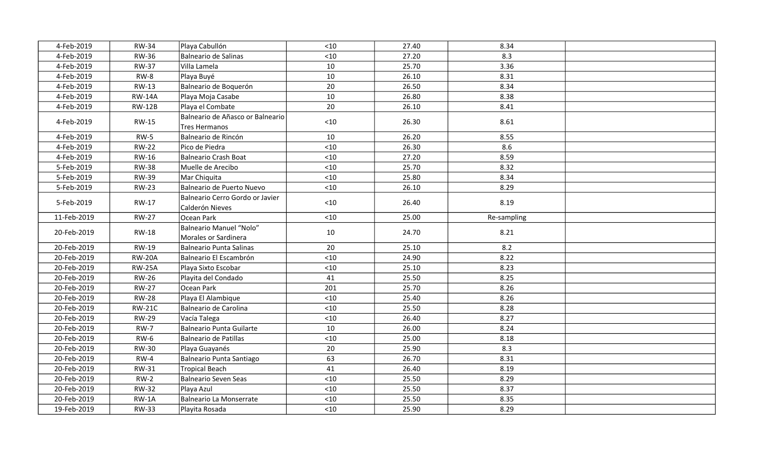| 4-Feb-2019  | <b>RW-34</b>  | Playa Cabullón                                     | < 10  | 27.40 | 8.34         |  |
|-------------|---------------|----------------------------------------------------|-------|-------|--------------|--|
| 4-Feb-2019  | <b>RW-36</b>  | Balneario de Salinas                               | $<10$ | 27.20 | 8.3          |  |
| 4-Feb-2019  | <b>RW-37</b>  | Villa Lamela                                       | 10    | 25.70 | 3.36         |  |
| 4-Feb-2019  | $RW-8$        | Playa Buyé                                         | 10    | 26.10 | 8.31         |  |
| 4-Feb-2019  | <b>RW-13</b>  | Balneario de Boquerón                              | 20    | 26.50 | 8.34         |  |
| 4-Feb-2019  | <b>RW-14A</b> | Playa Moja Casabe                                  | 10    | 26.80 | 8.38         |  |
| 4-Feb-2019  | <b>RW-12B</b> | Playa el Combate                                   | 20    | 26.10 | 8.41         |  |
| 4-Feb-2019  | RW-15         | Balneario de Añasco or Balneario<br>Tres Hermanos  | $<10$ | 26.30 | 8.61         |  |
| 4-Feb-2019  | $RW-5$        | Balneario de Rincón                                | 10    | 26.20 | 8.55         |  |
| 4-Feb-2019  | <b>RW-22</b>  | Pico de Piedra                                     | $<10$ | 26.30 | 8.6          |  |
| 4-Feb-2019  | <b>RW-16</b>  | Balneario Crash Boat                               | $<10$ | 27.20 | 8.59         |  |
| 5-Feb-2019  | <b>RW-38</b>  | Muelle de Arecibo                                  | < 10  | 25.70 | 8.32         |  |
| 5-Feb-2019  | <b>RW-39</b>  | Mar Chiquita                                       | < 10  | 25.80 | 8.34         |  |
| 5-Feb-2019  | <b>RW-23</b>  | Balneario de Puerto Nuevo                          | $<10$ | 26.10 | 8.29         |  |
| 5-Feb-2019  | RW-17         | Balneario Cerro Gordo or Javier<br>Calderón Nieves | $<10$ | 26.40 | 8.19         |  |
| 11-Feb-2019 | <b>RW-27</b>  | Ocean Park                                         | $<10$ | 25.00 | Re-sampling  |  |
| 20-Feb-2019 | <b>RW-18</b>  | Balneario Manuel "Nolo"<br>Morales or Sardinera    | 10    | 24.70 | 8.21         |  |
| 20-Feb-2019 | RW-19         | Balneario Punta Salinas                            | 20    | 25.10 | 8.2          |  |
|             |               |                                                    |       |       |              |  |
| 20-Feb-2019 | <b>RW-20A</b> | Balneario El Escambrón                             | $<10$ | 24.90 | 8.22         |  |
| 20-Feb-2019 | <b>RW-25A</b> | Playa Sixto Escobar                                | $<10$ | 25.10 | 8.23         |  |
| 20-Feb-2019 | <b>RW-26</b>  | Playita del Condado                                | 41    | 25.50 | 8.25         |  |
| 20-Feb-2019 | <b>RW-27</b>  | Ocean Park                                         | 201   | 25.70 | 8.26         |  |
| 20-Feb-2019 | <b>RW-28</b>  | Playa El Alambique                                 | $<10$ | 25.40 | 8.26         |  |
| 20-Feb-2019 | <b>RW-21C</b> | Balneario de Carolina                              | $<10$ | 25.50 | 8.28         |  |
| 20-Feb-2019 | <b>RW-29</b>  | Vacía Talega                                       | $<10$ | 26.40 | 8.27         |  |
| 20-Feb-2019 | <b>RW-7</b>   | Balneario Punta Guilarte                           | 10    | 26.00 | 8.24         |  |
| 20-Feb-2019 | $RW-6$        | Balneario de Patillas                              | < 10  | 25.00 | 8.18         |  |
| 20-Feb-2019 | <b>RW-30</b>  | Playa Guayanés                                     | 20    | 25.90 | 8.3          |  |
| 20-Feb-2019 | $RW-4$        | Balneario Punta Santiago                           | 63    | 26.70 | 8.31         |  |
| 20-Feb-2019 | <b>RW-31</b>  | Tropical Beach                                     | 41    | 26.40 | 8.19         |  |
| 20-Feb-2019 | $RW-2$        | Balneario Seven Seas                               | < 10  | 25.50 | 8.29         |  |
| 20-Feb-2019 | <b>RW-32</b>  | Playa Azul                                         | $<10$ | 25.50 | 8.37         |  |
| 20-Feb-2019 | $RW-1A$       | Balneario La Monserrate                            | < 10  | 25.50 | 8.35<br>8.29 |  |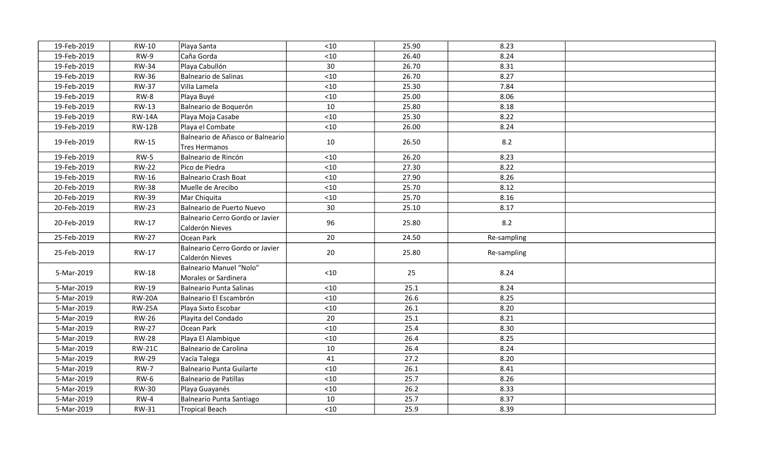| 19-Feb-2019              | RW-10           | Playa Santa                                        | < 10        | 25.90        | 8.23         |  |
|--------------------------|-----------------|----------------------------------------------------|-------------|--------------|--------------|--|
| 19-Feb-2019              | $RW-9$          | Caña Gorda                                         | $<10$       | 26.40        | 8.24         |  |
| 19-Feb-2019              | <b>RW-34</b>    | Playa Cabullón                                     | 30          | 26.70        | 8.31         |  |
| 19-Feb-2019              | <b>RW-36</b>    | Balneario de Salinas                               | < 10        | 26.70        | 8.27         |  |
| 19-Feb-2019              | <b>RW-37</b>    | Villa Lamela                                       | $<10$       | 25.30        | 7.84         |  |
| 19-Feb-2019              | $RW-8$          | Playa Buyé                                         | $<10$       | 25.00        | 8.06         |  |
| 19-Feb-2019              | RW-13           | Balneario de Boquerón                              | 10          | 25.80        | 8.18         |  |
| 19-Feb-2019              | <b>RW-14A</b>   | Playa Moja Casabe                                  | < 10        | 25.30        | 8.22         |  |
| 19-Feb-2019              | <b>RW-12B</b>   | Playa el Combate                                   | < 10        | 26.00        | 8.24         |  |
| 19-Feb-2019              | <b>RW-15</b>    | Balneario de Añasco or Balneario<br>Tres Hermanos  | 10          | 26.50        | 8.2          |  |
| 19-Feb-2019              | $RW-5$          | Balneario de Rincón                                | $<10$       | 26.20        | 8.23         |  |
| 19-Feb-2019              | <b>RW-22</b>    | Pico de Piedra                                     | < 10        | 27.30        | 8.22         |  |
| 19-Feb-2019              | RW-16           | Balneario Crash Boat                               | < 10        | 27.90        | 8.26         |  |
| 20-Feb-2019              | <b>RW-38</b>    | Muelle de Arecibo                                  | < 10        | 25.70        | 8.12         |  |
| 20-Feb-2019              | <b>RW-39</b>    | Mar Chiquita                                       | < 10        | 25.70        | 8.16         |  |
| 20-Feb-2019              | <b>RW-23</b>    | Balneario de Puerto Nuevo                          | 30          | 25.10        | 8.17         |  |
| 20-Feb-2019              | RW-17           | Balneario Cerro Gordo or Javier<br>Calderón Nieves | 96          | 25.80        | 8.2          |  |
| 25-Feb-2019              | <b>RW-27</b>    | Ocean Park                                         | 20          | 24.50        | Re-sampling  |  |
| 25-Feb-2019              | RW-17           | Balneario Cerro Gordo or Javier<br>Calderón Nieves | 20          | 25.80        | Re-sampling  |  |
| 5-Mar-2019               | <b>RW-18</b>    | Balneario Manuel "Nolo"<br>Morales or Sardinera    | $<10$       | 25           | 8.24         |  |
| 5-Mar-2019               | <b>RW-19</b>    | Balneario Punta Salinas                            | < 10        | 25.1         | 8.24         |  |
| 5-Mar-2019               | <b>RW-20A</b>   | Balneario El Escambrón                             | $<10$       | 26.6         | 8.25         |  |
| 5-Mar-2019               | <b>RW-25A</b>   | Playa Sixto Escobar                                | $<10$       | 26.1         | 8.20         |  |
| 5-Mar-2019               | <b>RW-26</b>    | Playita del Condado                                | 20          | 25.1         | 8.21         |  |
| 5-Mar-2019               | <b>RW-27</b>    | Ocean Park                                         | $<10$       | 25.4         | 8.30         |  |
| 5-Mar-2019               | <b>RW-28</b>    | Playa El Alambique                                 | < 10        | 26.4         | 8.25         |  |
| 5-Mar-2019               | <b>RW-21C</b>   | Balneario de Carolina                              | 10          | 26.4         | 8.24         |  |
| 5-Mar-2019               | <b>RW-29</b>    | Vacía Talega                                       | 41          | 27.2         | 8.20         |  |
| 5-Mar-2019               | <b>RW-7</b>     | Balneario Punta Guilarte                           | $<10$       | 26.1         | 8.41         |  |
| 5-Mar-2019               | $RW-6$          | Balneario de Patillas                              | < 10        | 25.7         | 8.26         |  |
| 5-Mar-2019               | <b>RW-30</b>    | Playa Guayanés                                     | $<10$       | 26.2         | 8.33         |  |
|                          |                 |                                                    |             |              |              |  |
| 5-Mar-2019<br>5-Mar-2019 | $RW-4$<br>RW-31 | Balneario Punta Santiago                           | 10<br>$<10$ | 25.7<br>25.9 | 8.37<br>8.39 |  |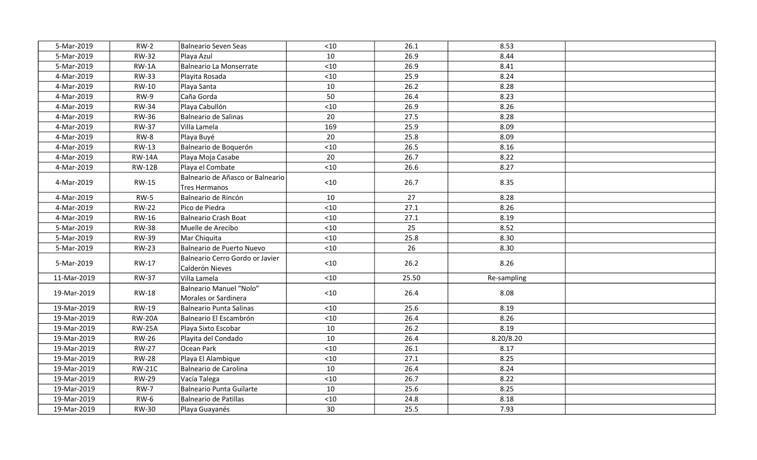| 5-Mar-2019  | $RW-2$        | Balneario Seven Seas                               | $<10$ | 26.1  | 8.53        |  |
|-------------|---------------|----------------------------------------------------|-------|-------|-------------|--|
| 5-Mar-2019  | <b>RW-32</b>  | Playa Azul                                         | 10    | 26.9  | 8.44        |  |
| 5-Mar-2019  | $RW-1A$       | Balneario La Monserrate                            | $<10$ | 26.9  | 8.41        |  |
| 4-Mar-2019  | <b>RW-33</b>  | Playita Rosada                                     | $<10$ | 25.9  | 8.24        |  |
| 4-Mar-2019  | RW-10         | Playa Santa                                        | 10    | 26.2  | 8.28        |  |
| 4-Mar-2019  | $RW-9$        | Caña Gorda                                         | 50    | 26.4  | 8.23        |  |
| 4-Mar-2019  | <b>RW-34</b>  | Playa Cabullón                                     | $<10$ | 26.9  | 8.26        |  |
| 4-Mar-2019  | <b>RW-36</b>  | Balneario de Salinas                               | 20    | 27.5  | 8.28        |  |
| 4-Mar-2019  | <b>RW-37</b>  | Villa Lamela                                       | 169   | 25.9  | 8.09        |  |
| 4-Mar-2019  | RW-8          | Playa Buyé                                         | 20    | 25.8  | 8.09        |  |
| 4-Mar-2019  | RW-13         | Balneario de Boquerón                              | $<10$ | 26.5  | 8.16        |  |
| 4-Mar-2019  | <b>RW-14A</b> | Playa Moja Casabe                                  | 20    | 26.7  | 8.22        |  |
| 4-Mar-2019  | <b>RW-12B</b> | Playa el Combate                                   | $<10$ | 26.6  | 8.27        |  |
| 4-Mar-2019  | <b>RW-15</b>  | Balneario de Añasco or Balneario<br>Tres Hermanos  | $<10$ | 26.7  | 8.35        |  |
| 4-Mar-2019  | $RW-5$        | Balneario de Rincón                                | 10    | 27    | 8.28        |  |
| 4-Mar-2019  | <b>RW-22</b>  | Pico de Piedra                                     | $<10$ | 27.1  | 8.26        |  |
| 4-Mar-2019  | RW-16         | Balneario Crash Boat                               | < 10  | 27.1  | 8.19        |  |
| 5-Mar-2019  | <b>RW-38</b>  | Muelle de Arecibo                                  | < 10  | 25    | 8.52        |  |
| 5-Mar-2019  | <b>RW-39</b>  | Mar Chiquita                                       | < 10  | 25.8  | 8.30        |  |
| 5-Mar-2019  | <b>RW-23</b>  | Balneario de Puerto Nuevo                          | $<10$ | 26    | 8.30        |  |
| 5-Mar-2019  | RW-17         | Balneario Cerro Gordo or Javier<br>Calderón Nieves | $<10$ | 26.2  | 8.26        |  |
| 11-Mar-2019 | <b>RW-37</b>  | Villa Lamela                                       | $<10$ | 25.50 | Re-sampling |  |
| 19-Mar-2019 | <b>RW-18</b>  | Balneario Manuel "Nolo"<br>Morales or Sardinera    | $<10$ | 26.4  | 8.08        |  |
| 19-Mar-2019 | RW-19         | Balneario Punta Salinas                            | $<10$ | 25.6  | 8.19        |  |
| 19-Mar-2019 | <b>RW-20A</b> | Balneario El Escambrón                             | < 10  | 26.4  | 8.26        |  |
| 19-Mar-2019 | <b>RW-25A</b> | Playa Sixto Escobar                                | 10    | 26.2  | 8.19        |  |
| 19-Mar-2019 | <b>RW-26</b>  | Playita del Condado                                | 10    | 26.4  | 8.20/8.20   |  |
| 19-Mar-2019 | <b>RW-27</b>  | Ocean Park                                         | $<10$ | 26.1  | 8.17        |  |
| 19-Mar-2019 | <b>RW-28</b>  | Playa El Alambique                                 | $<10$ | 27.1  | 8.25        |  |
| 19-Mar-2019 | <b>RW-21C</b> | Balneario de Carolina                              | 10    | 26.4  | 8.24        |  |
| 19-Mar-2019 | <b>RW-29</b>  | Vacía Talega                                       | < 10  | 26.7  | 8.22        |  |
| 19-Mar-2019 | <b>RW-7</b>   | Balneario Punta Guilarte                           | 10    | 25.6  | 8.25        |  |
| 19-Mar-2019 | <b>RW-6</b>   | Balneario de Patillas                              | < 10  | 24.8  | 8.18        |  |
| 19-Mar-2019 | <b>RW-30</b>  | Playa Guayanés                                     | 30    | 25.5  | 7.93        |  |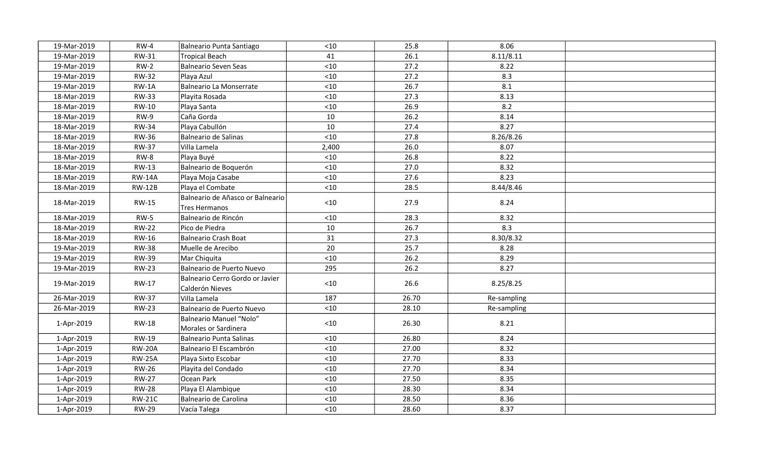| 19-Mar-2019 | $RW-4$        | Balneario Punta Santiago                           | $<10$  | 25.8  | 8.06        |  |
|-------------|---------------|----------------------------------------------------|--------|-------|-------------|--|
| 19-Mar-2019 | RW-31         | Tropical Beach                                     | 41     | 26.1  | 8.11/8.11   |  |
| 19-Mar-2019 | $RW-2$        | Balneario Seven Seas                               | $<10$  | 27.2  | 8.22        |  |
| 19-Mar-2019 | <b>RW-32</b>  | Playa Azul                                         | $<10$  | 27.2  | 8.3         |  |
| 19-Mar-2019 | $RW-1A$       | Balneario La Monserrate                            | $<10$  | 26.7  | 8.1         |  |
| 18-Mar-2019 | <b>RW-33</b>  | Playita Rosada                                     | < 10   | 27.3  | 8.13        |  |
| 18-Mar-2019 | RW-10         | Playa Santa                                        | < 10   | 26.9  | 8.2         |  |
| 18-Mar-2019 | $RW-9$        | Caña Gorda                                         | 10     | 26.2  | 8.14        |  |
| 18-Mar-2019 | <b>RW-34</b>  | Playa Cabullón                                     | 10     | 27.4  | 8.27        |  |
| 18-Mar-2019 | <b>RW-36</b>  | Balneario de Salinas                               | < 10   | 27.8  | 8.26/8.26   |  |
| 18-Mar-2019 | <b>RW-37</b>  | Villa Lamela                                       | 2,400  | 26.0  | 8.07        |  |
| 18-Mar-2019 | RW-8          | Playa Buyé                                         | $<$ 10 | 26.8  | 8.22        |  |
| 18-Mar-2019 | <b>RW-13</b>  | Balneario de Boquerón                              | < 10   | 27.0  | 8.32        |  |
| 18-Mar-2019 | <b>RW-14A</b> | Playa Moja Casabe                                  | < 10   | 27.6  | 8.23        |  |
| 18-Mar-2019 | <b>RW-12B</b> | Playa el Combate                                   | $<10$  | 28.5  | 8.44/8.46   |  |
| 18-Mar-2019 | <b>RW-15</b>  | Balneario de Añasco or Balneario<br>Tres Hermanos  | < 10   | 27.9  | 8.24        |  |
| 18-Mar-2019 | $RW-5$        | Balneario de Rincón                                | $<10$  | 28.3  | 8.32        |  |
| 18-Mar-2019 | <b>RW-22</b>  | Pico de Piedra                                     | 10     | 26.7  | 8.3         |  |
| 18-Mar-2019 | RW-16         | Balneario Crash Boat                               | 31     | 27.3  | 8.30/8.32   |  |
| 19-Mar-2019 | <b>RW-38</b>  | Muelle de Arecibo                                  | 20     | 25.7  | 8.28        |  |
| 19-Mar-2019 | <b>RW-39</b>  | Mar Chiquita                                       | < 10   | 26.2  | 8.29        |  |
| 19-Mar-2019 | <b>RW-23</b>  | Balneario de Puerto Nuevo                          | 295    | 26.2  | 8.27        |  |
| 19-Mar-2019 | RW-17         | Balneario Cerro Gordo or Javier<br>Calderón Nieves | < 10   | 26.6  | 8.25/8.25   |  |
| 26-Mar-2019 | <b>RW-37</b>  | Villa Lamela                                       | 187    | 26.70 | Re-sampling |  |
| 26-Mar-2019 | <b>RW-23</b>  | Balneario de Puerto Nuevo                          | < 10   | 28.10 | Re-sampling |  |
| 1-Apr-2019  | <b>RW-18</b>  | Balneario Manuel "Nolo"<br>Morales or Sardinera    | < 10   | 26.30 | 8.21        |  |
| 1-Apr-2019  | <b>RW-19</b>  | Balneario Punta Salinas                            | $<10$  | 26.80 | 8.24        |  |
| 1-Apr-2019  | <b>RW-20A</b> | Balneario El Escambrón                             | $<10$  | 27.00 | 8.32        |  |
| 1-Apr-2019  | <b>RW-25A</b> | Playa Sixto Escobar                                | $<10$  | 27.70 | 8.33        |  |
| 1-Apr-2019  | <b>RW-26</b>  | Playita del Condado                                | $<10$  | 27.70 | 8.34        |  |
| 1-Apr-2019  | <b>RW-27</b>  | Ocean Park                                         | < 10   | 27.50 | 8.35        |  |
| 1-Apr-2019  | <b>RW-28</b>  | Playa El Alambique                                 | $<10$  | 28.30 | 8.34        |  |
| 1-Apr-2019  | <b>RW-21C</b> | Balneario de Carolina                              | < 10   | 28.50 | 8.36        |  |
| 1-Apr-2019  | <b>RW-29</b>  | Vacía Talega                                       | $<$ 10 | 28.60 | 8.37        |  |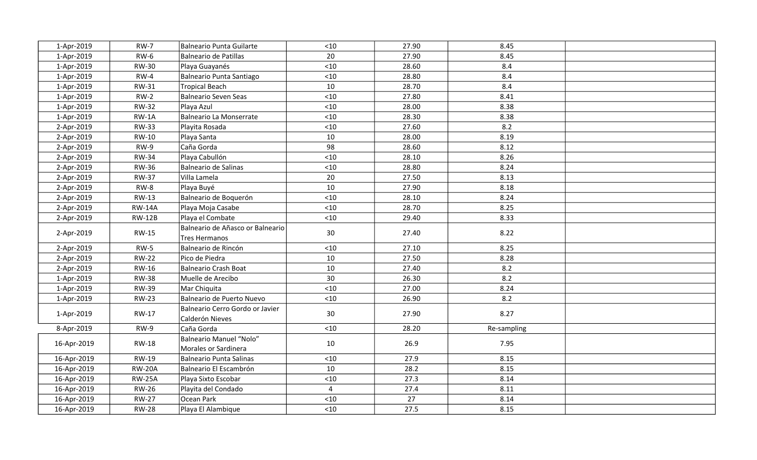| 1-Apr-2019  | <b>RW-7</b>   | Balneario Punta Guilarte                           | $<10$          | 27.90 | 8.45        |  |
|-------------|---------------|----------------------------------------------------|----------------|-------|-------------|--|
| 1-Apr-2019  | <b>RW-6</b>   | Balneario de Patillas                              | 20             | 27.90 | 8.45        |  |
| 1-Apr-2019  | <b>RW-30</b>  | Playa Guayanés                                     | $<10$          | 28.60 | 8.4         |  |
| 1-Apr-2019  | $RW-4$        | Balneario Punta Santiago                           | $<10$          | 28.80 | 8.4         |  |
| 1-Apr-2019  | <b>RW-31</b>  | <b>Tropical Beach</b>                              | 10             | 28.70 | 8.4         |  |
| 1-Apr-2019  | $RW-2$        | Balneario Seven Seas                               | < 10           | 27.80 | 8.41        |  |
| 1-Apr-2019  | <b>RW-32</b>  | Playa Azul                                         | $<10$          | 28.00 | 8.38        |  |
| 1-Apr-2019  | $RW-1A$       | Balneario La Monserrate                            | $<10$          | 28.30 | 8.38        |  |
| 2-Apr-2019  | <b>RW-33</b>  | Playita Rosada                                     | $<10$          | 27.60 | 8.2         |  |
| 2-Apr-2019  | <b>RW-10</b>  | Playa Santa                                        | 10             | 28.00 | 8.19        |  |
| 2-Apr-2019  | RW-9          | Caña Gorda                                         | 98             | 28.60 | 8.12        |  |
| 2-Apr-2019  | <b>RW-34</b>  | Playa Cabullón                                     | $<10$          | 28.10 | 8.26        |  |
| 2-Apr-2019  | <b>RW-36</b>  | Balneario de Salinas                               | $<10$          | 28.80 | 8.24        |  |
| 2-Apr-2019  | <b>RW-37</b>  | Villa Lamela                                       | 20             | 27.50 | 8.13        |  |
| 2-Apr-2019  | RW-8          | Playa Buyé                                         | 10             | 27.90 | 8.18        |  |
| 2-Apr-2019  | <b>RW-13</b>  | Balneario de Boquerón                              | $<10$          | 28.10 | 8.24        |  |
| 2-Apr-2019  | <b>RW-14A</b> | Playa Moja Casabe                                  | $<10$          | 28.70 | 8.25        |  |
| 2-Apr-2019  | <b>RW-12B</b> | Playa el Combate                                   | $<10$          | 29.40 | 8.33        |  |
| 2-Apr-2019  | <b>RW-15</b>  | Balneario de Añasco or Balneario<br>Tres Hermanos  | 30             | 27.40 | 8.22        |  |
| 2-Apr-2019  | $RW-5$        | Balneario de Rincón                                | $<10$          | 27.10 | 8.25        |  |
| 2-Apr-2019  | <b>RW-22</b>  | Pico de Piedra                                     | 10             | 27.50 | 8.28        |  |
| 2-Apr-2019  | <b>RW-16</b>  | Balneario Crash Boat                               | 10             | 27.40 | 8.2         |  |
| 1-Apr-2019  | <b>RW-38</b>  | Muelle de Arecibo                                  | 30             | 26.30 | 8.2         |  |
| 1-Apr-2019  | <b>RW-39</b>  | Mar Chiquita                                       | < 10           | 27.00 | 8.24        |  |
| 1-Apr-2019  | <b>RW-23</b>  | Balneario de Puerto Nuevo                          | $<10$          | 26.90 | 8.2         |  |
| 1-Apr-2019  | RW-17         | Balneario Cerro Gordo or Javier<br>Calderón Nieves | 30             | 27.90 | 8.27        |  |
| 8-Apr-2019  | RW-9          | Caña Gorda                                         | < 10           | 28.20 | Re-sampling |  |
| 16-Apr-2019 | <b>RW-18</b>  | Balneario Manuel "Nolo"<br>Morales or Sardinera    | 10             | 26.9  | 7.95        |  |
| 16-Apr-2019 | RW-19         | Balneario Punta Salinas                            | < 10           | 27.9  | 8.15        |  |
| 16-Apr-2019 | <b>RW-20A</b> | Balneario El Escambrón                             | 10             | 28.2  | 8.15        |  |
| 16-Apr-2019 | <b>RW-25A</b> | Playa Sixto Escobar                                | < 10           | 27.3  | 8.14        |  |
| 16-Apr-2019 | <b>RW-26</b>  | Playita del Condado                                | $\overline{4}$ | 27.4  | 8.11        |  |
| 16-Apr-2019 | <b>RW-27</b>  | Ocean Park                                         | < 10           | 27    | 8.14        |  |
| 16-Apr-2019 | <b>RW-28</b>  | Playa El Alambique                                 | $<10$          | 27.5  | 8.15        |  |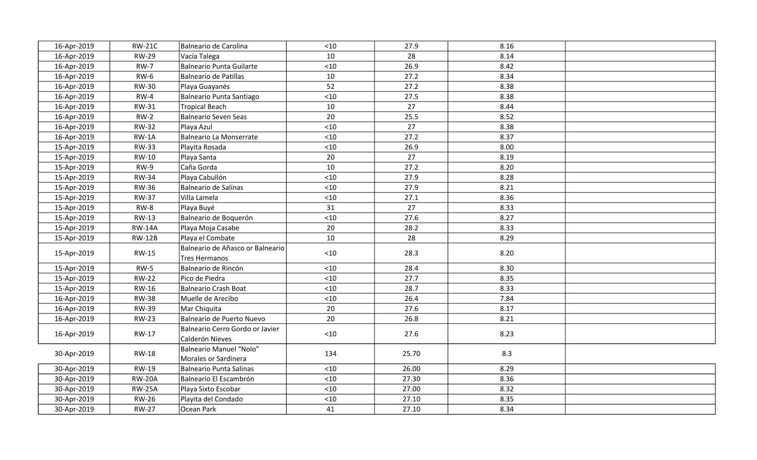| 16-Apr-2019 | <b>RW-21C</b> | Balneario de Carolina                              | $<10$ | 27.9  | 8.16 |  |
|-------------|---------------|----------------------------------------------------|-------|-------|------|--|
| 16-Apr-2019 | <b>RW-29</b>  | Vacía Talega                                       | 10    | 28    | 8.14 |  |
| 16-Apr-2019 | <b>RW-7</b>   | Balneario Punta Guilarte                           | $<10$ | 26.9  | 8.42 |  |
| 16-Apr-2019 | <b>RW-6</b>   | Balneario de Patillas                              | 10    | 27.2  | 8.34 |  |
| 16-Apr-2019 | <b>RW-30</b>  | Playa Guayanés                                     | 52    | 27.2  | 8.38 |  |
| 16-Apr-2019 | $RW-4$        | Balneario Punta Santiago                           | $<10$ | 27.5  | 8.38 |  |
| 16-Apr-2019 | RW-31         | Tropical Beach                                     | 10    | 27    | 8.44 |  |
| 16-Apr-2019 | $RW-2$        | Balneario Seven Seas                               | 20    | 25.5  | 8.52 |  |
| 16-Apr-2019 | <b>RW-32</b>  | Playa Azul                                         | $<10$ | 27    | 8.38 |  |
| 16-Apr-2019 | $RW-1A$       | Balneario La Monserrate                            | < 10  | 27.2  | 8.37 |  |
| 15-Apr-2019 | <b>RW-33</b>  | Playita Rosada                                     | $<10$ | 26.9  | 8.00 |  |
| 15-Apr-2019 | RW-10         | Playa Santa                                        | 20    | 27    | 8.19 |  |
| 15-Apr-2019 | RW-9          | Caña Gorda                                         | 10    | 27.2  | 8.20 |  |
| 15-Apr-2019 | <b>RW-34</b>  | Playa Cabullón                                     | $<10$ | 27.9  | 8.28 |  |
| 15-Apr-2019 | <b>RW-36</b>  | Balneario de Salinas                               | $<10$ | 27.9  | 8.21 |  |
| 15-Apr-2019 | <b>RW-37</b>  | Villa Lamela                                       | $<10$ | 27.1  | 8.36 |  |
| 15-Apr-2019 | RW-8          | Playa Buyé                                         | 31    | 27    | 8.33 |  |
| 15-Apr-2019 | <b>RW-13</b>  | Balneario de Boquerón                              | $<10$ | 27.6  | 8.27 |  |
| 15-Apr-2019 | <b>RW-14A</b> | Playa Moja Casabe                                  | 20    | 28.2  | 8.33 |  |
| 15-Apr-2019 | <b>RW-12B</b> | Playa el Combate                                   | 10    | 28    | 8.29 |  |
| 15-Apr-2019 | <b>RW-15</b>  | Balneario de Añasco or Balneario<br>Tres Hermanos  | $<10$ | 28.3  | 8.20 |  |
| 15-Apr-2019 | $RW-5$        | Balneario de Rincón                                | $<10$ | 28.4  | 8.30 |  |
| 15-Apr-2019 | <b>RW-22</b>  | Pico de Piedra                                     | $<10$ | 27.7  | 8.35 |  |
| 15-Apr-2019 | <b>RW-16</b>  | Balneario Crash Boat                               | $<10$ | 28.7  | 8.33 |  |
| 16-Apr-2019 | <b>RW-38</b>  | Muelle de Arecibo                                  | $<10$ | 26.4  | 7.84 |  |
| 16-Apr-2019 | <b>RW-39</b>  | Mar Chiquita                                       | 20    | 27.6  | 8.17 |  |
| 16-Apr-2019 | <b>RW-23</b>  | Balneario de Puerto Nuevo                          | 20    | 26.8  | 8.21 |  |
| 16-Apr-2019 | RW-17         | Balneario Cerro Gordo or Javier<br>Calderón Nieves | $<10$ | 27.6  | 8.23 |  |
| 30-Apr-2019 | <b>RW-18</b>  | Balneario Manuel "Nolo"<br>Morales or Sardinera    | 134   | 25.70 | 8.3  |  |
| 30-Apr-2019 | <b>RW-19</b>  | Balneario Punta Salinas                            | $<10$ | 26.00 | 8.29 |  |
| 30-Apr-2019 | <b>RW-20A</b> | Balneario El Escambrón                             | < 10  | 27.30 | 8.36 |  |
| 30-Apr-2019 | <b>RW-25A</b> | Playa Sixto Escobar                                | $<10$ | 27.00 | 8.32 |  |
| 30-Apr-2019 | <b>RW-26</b>  | Playita del Condado                                | $<10$ | 27.10 | 8.35 |  |
| 30-Apr-2019 | <b>RW-27</b>  | Ocean Park                                         | 41    | 27.10 | 8.34 |  |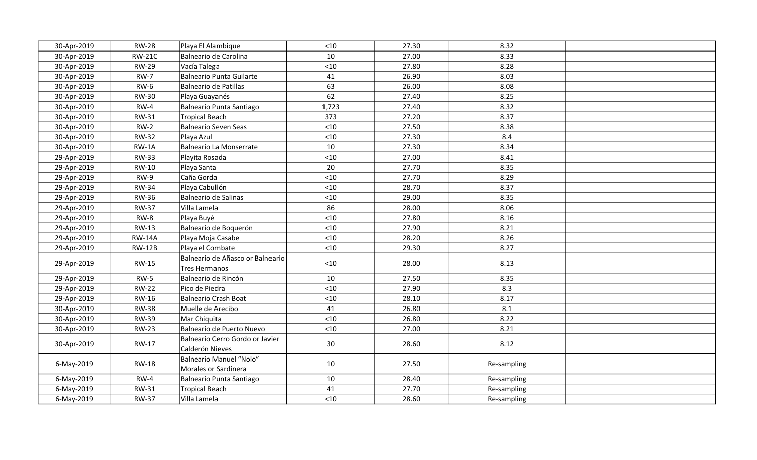| 30-Apr-2019 | <b>RW-28</b>  | Playa El Alambique                                       | $<10$ | 27.30 | 8.32        |  |
|-------------|---------------|----------------------------------------------------------|-------|-------|-------------|--|
| 30-Apr-2019 | <b>RW-21C</b> | Balneario de Carolina                                    | 10    | 27.00 | 8.33        |  |
| 30-Apr-2019 | <b>RW-29</b>  | Vacía Talega                                             | < 10  | 27.80 | 8.28        |  |
| 30-Apr-2019 | <b>RW-7</b>   | Balneario Punta Guilarte                                 | 41    | 26.90 | 8.03        |  |
| 30-Apr-2019 | $RW-6$        | Balneario de Patillas                                    | 63    | 26.00 | 8.08        |  |
| 30-Apr-2019 | <b>RW-30</b>  | Playa Guayanés                                           | 62    | 27.40 | 8.25        |  |
| 30-Apr-2019 | $RW-4$        | Balneario Punta Santiago                                 | 1,723 | 27.40 | 8.32        |  |
| 30-Apr-2019 | RW-31         | Tropical Beach                                           | 373   | 27.20 | 8.37        |  |
| 30-Apr-2019 | $RW-2$        | Balneario Seven Seas                                     | $<10$ | 27.50 | 8.38        |  |
| 30-Apr-2019 | <b>RW-32</b>  | Playa Azul                                               | $<10$ | 27.30 | 8.4         |  |
| 30-Apr-2019 | $RW-1A$       | Balneario La Monserrate                                  | 10    | 27.30 | 8.34        |  |
| 29-Apr-2019 | <b>RW-33</b>  | Playita Rosada                                           | < 10  | 27.00 | 8.41        |  |
| 29-Apr-2019 | <b>RW-10</b>  | Playa Santa                                              | 20    | 27.70 | 8.35        |  |
| 29-Apr-2019 | <b>RW-9</b>   | Caña Gorda                                               | $<10$ | 27.70 | 8.29        |  |
| 29-Apr-2019 | <b>RW-34</b>  | Playa Cabullón                                           | $<10$ | 28.70 | 8.37        |  |
| 29-Apr-2019 | <b>RW-36</b>  | Balneario de Salinas                                     | $<10$ | 29.00 | 8.35        |  |
| 29-Apr-2019 | <b>RW-37</b>  | Villa Lamela                                             | 86    | 28.00 | 8.06        |  |
| 29-Apr-2019 | $RW-8$        | Playa Buyé                                               | < 10  | 27.80 | 8.16        |  |
| 29-Apr-2019 | <b>RW-13</b>  | Balneario de Boquerón                                    | < 10  | 27.90 | 8.21        |  |
| 29-Apr-2019 | <b>RW-14A</b> | Playa Moja Casabe                                        | < 10  | 28.20 | 8.26        |  |
| 29-Apr-2019 | <b>RW-12B</b> | Playa el Combate                                         | $<10$ | 29.30 | 8.27        |  |
| 29-Apr-2019 | <b>RW-15</b>  | Balneario de Añasco or Balneario<br><b>Tres Hermanos</b> | $<10$ | 28.00 | 8.13        |  |
| 29-Apr-2019 | $RW-5$        | Balneario de Rincón                                      | 10    | 27.50 | 8.35        |  |
| 29-Apr-2019 | <b>RW-22</b>  | Pico de Piedra                                           | < 10  | 27.90 | 8.3         |  |
| 29-Apr-2019 | <b>RW-16</b>  | Balneario Crash Boat                                     | < 10  | 28.10 | 8.17        |  |
| 30-Apr-2019 | <b>RW-38</b>  | Muelle de Arecibo                                        | 41    | 26.80 | 8.1         |  |
| 30-Apr-2019 | <b>RW-39</b>  | Mar Chiquita                                             | < 10  | 26.80 | 8.22        |  |
| 30-Apr-2019 | <b>RW-23</b>  | Balneario de Puerto Nuevo                                | $<10$ | 27.00 | 8.21        |  |
| 30-Apr-2019 | RW-17         | Balneario Cerro Gordo or Javier<br>Calderón Nieves       | 30    | 28.60 | 8.12        |  |
| 6-May-2019  | <b>RW-18</b>  | Balneario Manuel "Nolo"<br>Morales or Sardinera          | 10    | 27.50 | Re-sampling |  |
| 6-May-2019  | $RW-4$        | Balneario Punta Santiago                                 | 10    | 28.40 | Re-sampling |  |
| 6-May-2019  | RW-31         | Tropical Beach                                           | 41    | 27.70 | Re-sampling |  |
| 6-May-2019  | <b>RW-37</b>  | Villa Lamela                                             | $<10$ | 28.60 | Re-sampling |  |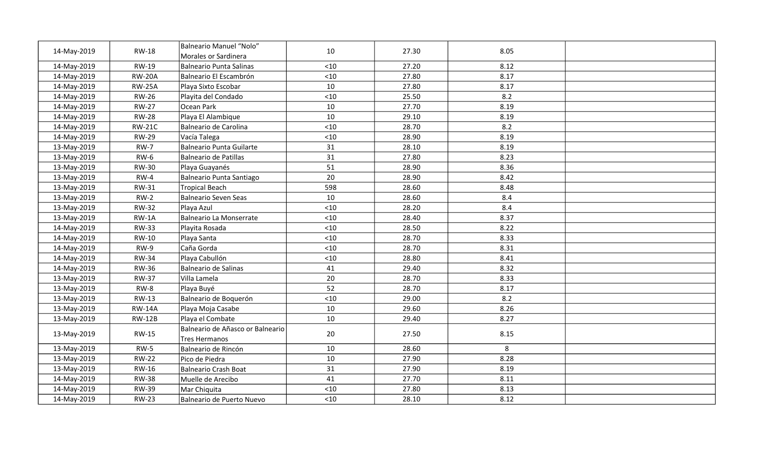| 14-May-2019 | <b>RW-18</b>  | Balneario Manuel "Nolo"<br>Morales or Sardinera   | 10    | 27.30 | 8.05 |  |
|-------------|---------------|---------------------------------------------------|-------|-------|------|--|
| 14-May-2019 | RW-19         | Balneario Punta Salinas                           | $<10$ | 27.20 | 8.12 |  |
| 14-May-2019 | <b>RW-20A</b> | Balneario El Escambrón                            | $<10$ | 27.80 | 8.17 |  |
| 14-May-2019 | <b>RW-25A</b> | Playa Sixto Escobar                               | 10    | 27.80 | 8.17 |  |
| 14-May-2019 | <b>RW-26</b>  | Playita del Condado                               | < 10  | 25.50 | 8.2  |  |
| 14-May-2019 | <b>RW-27</b>  | Ocean Park                                        | 10    | 27.70 | 8.19 |  |
| 14-May-2019 | <b>RW-28</b>  | Playa El Alambique                                | 10    | 29.10 | 8.19 |  |
| 14-May-2019 | <b>RW-21C</b> | Balneario de Carolina                             | < 10  | 28.70 | 8.2  |  |
| 14-May-2019 | <b>RW-29</b>  | Vacía Talega                                      | $<10$ | 28.90 | 8.19 |  |
| 13-May-2019 | <b>RW-7</b>   | Balneario Punta Guilarte                          | 31    | 28.10 | 8.19 |  |
| 13-May-2019 | $RW-6$        | Balneario de Patillas                             | 31    | 27.80 | 8.23 |  |
| 13-May-2019 | <b>RW-30</b>  | Playa Guayanés                                    | 51    | 28.90 | 8.36 |  |
| 13-May-2019 | $RW-4$        | Balneario Punta Santiago                          | 20    | 28.90 | 8.42 |  |
| 13-May-2019 | RW-31         | Tropical Beach                                    | 598   | 28.60 | 8.48 |  |
| 13-May-2019 | $RW-2$        | Balneario Seven Seas                              | 10    | 28.60 | 8.4  |  |
| 13-May-2019 | <b>RW-32</b>  | Playa Azul                                        | $<10$ | 28.20 | 8.4  |  |
| 13-May-2019 | $RW-1A$       | Balneario La Monserrate                           | < 10  | 28.40 | 8.37 |  |
| 14-May-2019 | <b>RW-33</b>  | Playita Rosada                                    | $<10$ | 28.50 | 8.22 |  |
| 14-May-2019 | <b>RW-10</b>  | Playa Santa                                       | < 10  | 28.70 | 8.33 |  |
| 14-May-2019 | $RW-9$        | Caña Gorda                                        | < 10  | 28.70 | 8.31 |  |
| 14-May-2019 | <b>RW-34</b>  | Playa Cabullón                                    | $<10$ | 28.80 | 8.41 |  |
| 14-May-2019 | <b>RW-36</b>  | Balneario de Salinas                              | 41    | 29.40 | 8.32 |  |
| 13-May-2019 | <b>RW-37</b>  | Villa Lamela                                      | 20    | 28.70 | 8.33 |  |
| 13-May-2019 | $RW-8$        | Playa Buyé                                        | 52    | 28.70 | 8.17 |  |
| 13-May-2019 | RW-13         | Balneario de Boquerón                             | $<10$ | 29.00 | 8.2  |  |
| 13-May-2019 | <b>RW-14A</b> | Playa Moja Casabe                                 | 10    | 29.60 | 8.26 |  |
| 13-May-2019 | <b>RW-12B</b> | Playa el Combate                                  | 10    | 29.40 | 8.27 |  |
| 13-May-2019 | <b>RW-15</b>  | Balneario de Añasco or Balneario<br>Tres Hermanos | 20    | 27.50 | 8.15 |  |
| 13-May-2019 | $RW-5$        | Balneario de Rincón                               | 10    | 28.60 | 8    |  |
| 13-May-2019 | <b>RW-22</b>  | Pico de Piedra                                    | 10    | 27.90 | 8.28 |  |
| 13-May-2019 | RW-16         | Balneario Crash Boat                              | 31    | 27.90 | 8.19 |  |
| 14-May-2019 | <b>RW-38</b>  | Muelle de Arecibo                                 | 41    | 27.70 | 8.11 |  |
| 14-May-2019 | <b>RW-39</b>  | Mar Chiquita                                      | < 10  | 27.80 | 8.13 |  |
| 14-May-2019 | <b>RW-23</b>  | Balneario de Puerto Nuevo                         | $<10$ | 28.10 | 8.12 |  |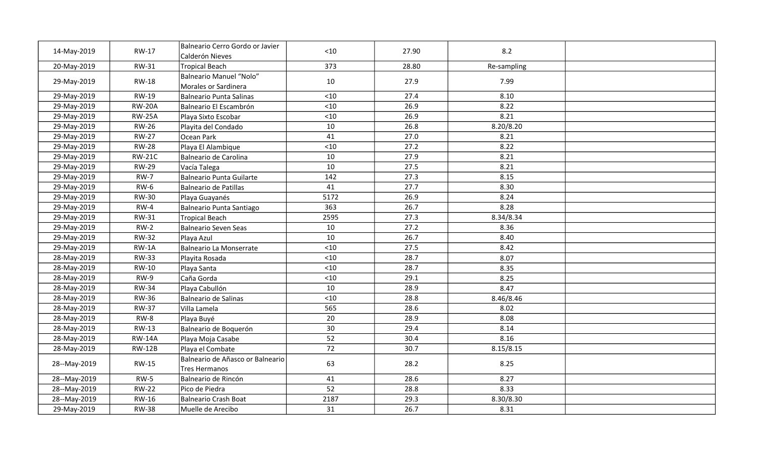| 14-May-2019  | <b>RW-17</b>  | Balneario Cerro Gordo or Javier<br>Calderón Nieves | $<10$ | 27.90 | 8.2         |  |
|--------------|---------------|----------------------------------------------------|-------|-------|-------------|--|
| 20-May-2019  | <b>RW-31</b>  | Tropical Beach                                     | 373   | 28.80 | Re-sampling |  |
| 29-May-2019  | <b>RW-18</b>  | Balneario Manuel "Nolo"<br>Morales or Sardinera    | 10    | 27.9  | 7.99        |  |
| 29-May-2019  | RW-19         | Balneario Punta Salinas                            | $<10$ | 27.4  | 8.10        |  |
| 29-May-2019  | <b>RW-20A</b> | Balneario El Escambrón                             | $<10$ | 26.9  | 8.22        |  |
| 29-May-2019  | <b>RW-25A</b> | Playa Sixto Escobar                                | $<10$ | 26.9  | 8.21        |  |
| 29-May-2019  | <b>RW-26</b>  | Playita del Condado                                | 10    | 26.8  | 8.20/8.20   |  |
| 29-May-2019  | <b>RW-27</b>  | Ocean Park                                         | 41    | 27.0  | 8.21        |  |
| 29-May-2019  | <b>RW-28</b>  | Playa El Alambique                                 | $<10$ | 27.2  | 8.22        |  |
| 29-May-2019  | <b>RW-21C</b> | Balneario de Carolina                              | 10    | 27.9  | 8.21        |  |
| 29-May-2019  | <b>RW-29</b>  | Vacía Talega                                       | 10    | 27.5  | 8.21        |  |
| 29-May-2019  | <b>RW-7</b>   | Balneario Punta Guilarte                           | 142   | 27.3  | 8.15        |  |
| 29-May-2019  | $RW-6$        | Balneario de Patillas                              | 41    | 27.7  | 8.30        |  |
| 29-May-2019  | <b>RW-30</b>  | Playa Guayanés                                     | 5172  | 26.9  | 8.24        |  |
| 29-May-2019  | $RW-4$        | Balneario Punta Santiago                           | 363   | 26.7  | 8.28        |  |
| 29-May-2019  | RW-31         | Tropical Beach                                     | 2595  | 27.3  | 8.34/8.34   |  |
| 29-May-2019  | $RW-2$        | Balneario Seven Seas                               | 10    | 27.2  | 8.36        |  |
| 29-May-2019  | <b>RW-32</b>  | Playa Azul                                         | 10    | 26.7  | 8.40        |  |
| 29-May-2019  | $RW-1A$       | Balneario La Monserrate                            | $<10$ | 27.5  | 8.42        |  |
| 28-May-2019  | <b>RW-33</b>  | Playita Rosada                                     | $<10$ | 28.7  | 8.07        |  |
| 28-May-2019  | <b>RW-10</b>  | Playa Santa                                        | $<10$ | 28.7  | 8.35        |  |
| 28-May-2019  | $RW-9$        | Caña Gorda                                         | $<10$ | 29.1  | 8.25        |  |
| 28-May-2019  | <b>RW-34</b>  | Playa Cabullón                                     | 10    | 28.9  | 8.47        |  |
| 28-May-2019  | <b>RW-36</b>  | Balneario de Salinas                               | < 10  | 28.8  | 8.46/8.46   |  |
| 28-May-2019  | <b>RW-37</b>  | Villa Lamela                                       | 565   | 28.6  | 8.02        |  |
| 28-May-2019  | $RW-8$        | Playa Buyé                                         | 20    | 28.9  | 8.08        |  |
| 28-May-2019  | RW-13         | Balneario de Boquerón                              | 30    | 29.4  | 8.14        |  |
| 28-May-2019  | <b>RW-14A</b> | Playa Moja Casabe                                  | 52    | 30.4  | 8.16        |  |
| 28-May-2019  | <b>RW-12B</b> | Playa el Combate                                   | 72    | 30.7  | 8.15/8.15   |  |
| 28--May-2019 | <b>RW-15</b>  | Balneario de Añasco or Balneario<br>Tres Hermanos  | 63    | 28.2  | 8.25        |  |
| 28--May-2019 | $RW-5$        | Balneario de Rincón                                | 41    | 28.6  | 8.27        |  |
| 28--May-2019 | <b>RW-22</b>  | Pico de Piedra                                     | 52    | 28.8  | 8.33        |  |
| 28--May-2019 | <b>RW-16</b>  | Balneario Crash Boat                               | 2187  | 29.3  | 8.30/8.30   |  |
| 29-May-2019  | <b>RW-38</b>  | lMuelle de Arecibo                                 | 31    | 26.7  | 8.31        |  |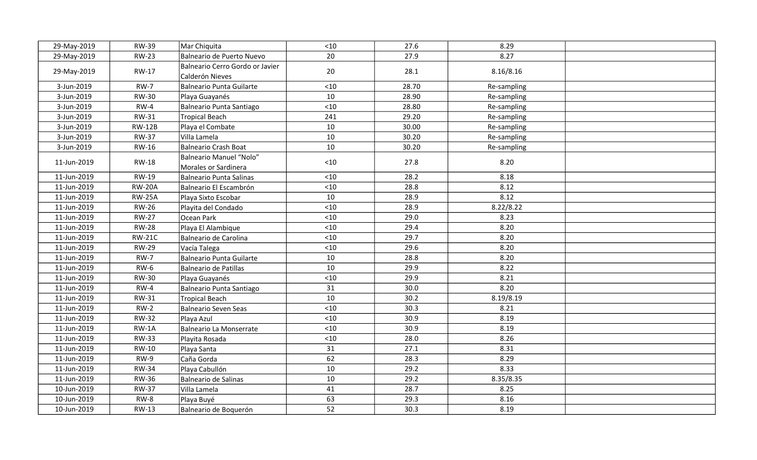| 29-May-2019 | <b>RW-39</b>  | Mar Chiquita                                       | < 10  | 27.6  | 8.29        |  |
|-------------|---------------|----------------------------------------------------|-------|-------|-------------|--|
| 29-May-2019 | <b>RW-23</b>  | Balneario de Puerto Nuevo                          | 20    | 27.9  | 8.27        |  |
| 29-May-2019 | <b>RW-17</b>  | Balneario Cerro Gordo or Javier<br>Calderón Nieves | 20    | 28.1  | 8.16/8.16   |  |
| 3-Jun-2019  | $RW-7$        | Balneario Punta Guilarte                           | < 10  | 28.70 | Re-sampling |  |
| 3-Jun-2019  | <b>RW-30</b>  | Playa Guayanés                                     | 10    | 28.90 | Re-sampling |  |
| 3-Jun-2019  | $RW-4$        | Balneario Punta Santiago                           | $<10$ | 28.80 | Re-sampling |  |
| 3-Jun-2019  | <b>RW-31</b>  | <b>Tropical Beach</b>                              | 241   | 29.20 | Re-sampling |  |
| 3-Jun-2019  | <b>RW-12B</b> | Playa el Combate                                   | 10    | 30.00 | Re-sampling |  |
| 3-Jun-2019  | <b>RW-37</b>  | Villa Lamela                                       | 10    | 30.20 | Re-sampling |  |
| 3-Jun-2019  | RW-16         | Balneario Crash Boat                               | 10    | 30.20 | Re-sampling |  |
| 11-Jun-2019 | <b>RW-18</b>  | Balneario Manuel "Nolo"<br>Morales or Sardinera    | $<10$ | 27.8  | 8.20        |  |
| 11-Jun-2019 | <b>RW-19</b>  | Balneario Punta Salinas                            | < 10  | 28.2  | 8.18        |  |
| 11-Jun-2019 | <b>RW-20A</b> | Balneario El Escambrón                             | $<10$ | 28.8  | 8.12        |  |
| 11-Jun-2019 | <b>RW-25A</b> | Playa Sixto Escobar                                | 10    | 28.9  | 8.12        |  |
| 11-Jun-2019 | <b>RW-26</b>  | Playita del Condado                                | $<10$ | 28.9  | 8.22/8.22   |  |
| 11-Jun-2019 | <b>RW-27</b>  | Ocean Park                                         | < 10  | 29.0  | 8.23        |  |
| 11-Jun-2019 | <b>RW-28</b>  | Playa El Alambique                                 | $<10$ | 29.4  | 8.20        |  |
| 11-Jun-2019 | <b>RW-21C</b> | Balneario de Carolina                              | < 10  | 29.7  | 8.20        |  |
| 11-Jun-2019 | <b>RW-29</b>  | Vacía Talega                                       | $<10$ | 29.6  | 8.20        |  |
| 11-Jun-2019 | <b>RW-7</b>   | Balneario Punta Guilarte                           | 10    | 28.8  | 8.20        |  |
| 11-Jun-2019 | $RW-6$        | Balneario de Patillas                              | 10    | 29.9  | 8.22        |  |
| 11-Jun-2019 | <b>RW-30</b>  | Playa Guayanés                                     | $<10$ | 29.9  | 8.21        |  |
| 11-Jun-2019 | $RW-4$        | Balneario Punta Santiago                           | 31    | 30.0  | 8.20        |  |
| 11-Jun-2019 | <b>RW-31</b>  | Tropical Beach                                     | 10    | 30.2  | 8.19/8.19   |  |
| 11-Jun-2019 | $RW-2$        | Balneario Seven Seas                               | < 10  | 30.3  | 8.21        |  |
| 11-Jun-2019 | <b>RW-32</b>  | Playa Azul                                         | $<10$ | 30.9  | 8.19        |  |
| 11-Jun-2019 | $RW-1A$       | Balneario La Monserrate                            | < 10  | 30.9  | 8.19        |  |
| 11-Jun-2019 | <b>RW-33</b>  | Playita Rosada                                     | $<10$ | 28.0  | 8.26        |  |
| 11-Jun-2019 | <b>RW-10</b>  | Playa Santa                                        | 31    | 27.1  | 8.31        |  |
| 11-Jun-2019 | <b>RW-9</b>   | Caña Gorda                                         | 62    | 28.3  | 8.29        |  |
| 11-Jun-2019 | <b>RW-34</b>  | Playa Cabullón                                     | 10    | 29.2  | 8.33        |  |
| 11-Jun-2019 | <b>RW-36</b>  | Balneario de Salinas                               | 10    | 29.2  | 8.35/8.35   |  |
| 10-Jun-2019 | <b>RW-37</b>  | Villa Lamela                                       | 41    | 28.7  | 8.25        |  |
| 10-Jun-2019 | RW-8          | Playa Buyé                                         | 63    | 29.3  | 8.16        |  |
| 10-Jun-2019 | RW-13         | Balneario de Boquerón                              | 52    | 30.3  | 8.19        |  |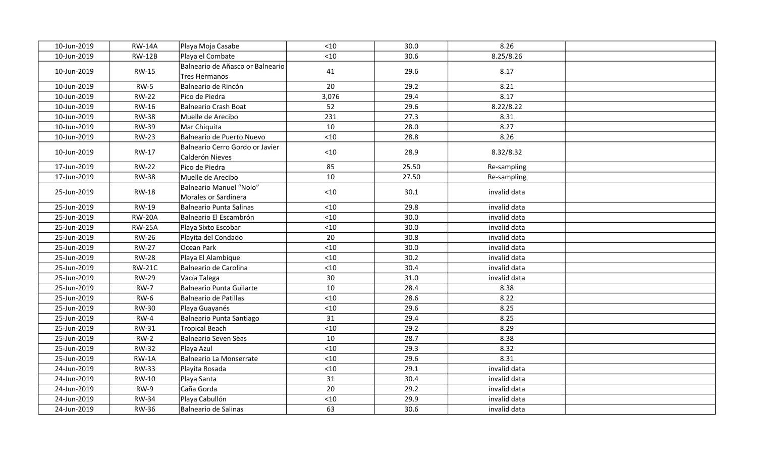| 10-Jun-2019 | <b>RW-14A</b> | Playa Moja Casabe                                  | $<10$ | 30.0  | 8.26         |  |
|-------------|---------------|----------------------------------------------------|-------|-------|--------------|--|
| 10-Jun-2019 | <b>RW-12B</b> | Playa el Combate                                   | $<10$ | 30.6  | 8.25/8.26    |  |
| 10-Jun-2019 | <b>RW-15</b>  | Balneario de Añasco or Balneario<br>Tres Hermanos  | 41    | 29.6  | 8.17         |  |
| 10-Jun-2019 | $RW-5$        | Balneario de Rincón                                | 20    | 29.2  | 8.21         |  |
| 10-Jun-2019 | <b>RW-22</b>  | lPico de Piedra                                    | 3,076 | 29.4  | 8.17         |  |
| 10-Jun-2019 | RW-16         | Balneario Crash Boat                               | 52    | 29.6  | 8.22/8.22    |  |
| 10-Jun-2019 | <b>RW-38</b>  | lMuelle de Arecibo                                 | 231   | 27.3  | 8.31         |  |
| 10-Jun-2019 | <b>RW-39</b>  | Mar Chiquita                                       | 10    | 28.0  | 8.27         |  |
| 10-Jun-2019 | <b>RW-23</b>  | Balneario de Puerto Nuevo                          | $<10$ | 28.8  | 8.26         |  |
| 10-Jun-2019 | RW-17         | Balneario Cerro Gordo or Javier<br>Calderón Nieves | $<10$ | 28.9  | 8.32/8.32    |  |
| 17-Jun-2019 | <b>RW-22</b>  | Pico de Piedra                                     | 85    | 25.50 | Re-sampling  |  |
| 17-Jun-2019 | <b>RW-38</b>  | Muelle de Arecibo                                  | 10    | 27.50 | Re-sampling  |  |
| 25-Jun-2019 | <b>RW-18</b>  | Balneario Manuel "Nolo"<br>Morales or Sardinera    | $<10$ | 30.1  | invalid data |  |
| 25-Jun-2019 | RW-19         | Balneario Punta Salinas                            | $<10$ | 29.8  | invalid data |  |
| 25-Jun-2019 | <b>RW-20A</b> | Balneario El Escambrón                             | $<10$ | 30.0  | invalid data |  |
| 25-Jun-2019 | <b>RW-25A</b> | Playa Sixto Escobar                                | $<10$ | 30.0  | invalid data |  |
| 25-Jun-2019 | <b>RW-26</b>  | Playita del Condado                                | 20    | 30.8  | invalid data |  |
| 25-Jun-2019 | <b>RW-27</b>  | Ocean Park                                         | < 10  | 30.0  | invalid data |  |
| 25-Jun-2019 | <b>RW-28</b>  | Playa El Alambique                                 | $<10$ | 30.2  | invalid data |  |
| 25-Jun-2019 | <b>RW-21C</b> | Balneario de Carolina                              | $<10$ | 30.4  | invalid data |  |
| 25-Jun-2019 | <b>RW-29</b>  | Vacía Talega                                       | 30    | 31.0  | invalid data |  |
| 25-Jun-2019 | <b>RW-7</b>   | Balneario Punta Guilarte                           | 10    | 28.4  | 8.38         |  |
| 25-Jun-2019 | $RW-6$        | Balneario de Patillas                              | < 10  | 28.6  | 8.22         |  |
| 25-Jun-2019 | <b>RW-30</b>  | Playa Guayanés                                     | $<10$ | 29.6  | 8.25         |  |
| 25-Jun-2019 | $RW-4$        | Balneario Punta Santiago                           | 31    | 29.4  | 8.25         |  |
| 25-Jun-2019 | <b>RW-31</b>  | Tropical Beach                                     | $<10$ | 29.2  | 8.29         |  |
| 25-Jun-2019 | $RW-2$        | Balneario Seven Seas                               | 10    | 28.7  | 8.38         |  |
| 25-Jun-2019 | <b>RW-32</b>  | Playa Azul                                         | $<10$ | 29.3  | 8.32         |  |
| 25-Jun-2019 | $RW-1A$       | Balneario La Monserrate                            | $<10$ | 29.6  | 8.31         |  |
| 24-Jun-2019 | <b>RW-33</b>  | Playita Rosada                                     | $<10$ | 29.1  | invalid data |  |
| 24-Jun-2019 | RW-10         | Playa Santa                                        | 31    | 30.4  | invalid data |  |
| 24-Jun-2019 | $RW-9$        | Caña Gorda                                         | 20    | 29.2  | invalid data |  |
| 24-Jun-2019 | <b>RW-34</b>  | Playa Cabullón                                     | < 10  | 29.9  | invalid data |  |
| 24-Jun-2019 | <b>RW-36</b>  | Balneario de Salinas                               | 63    | 30.6  | invalid data |  |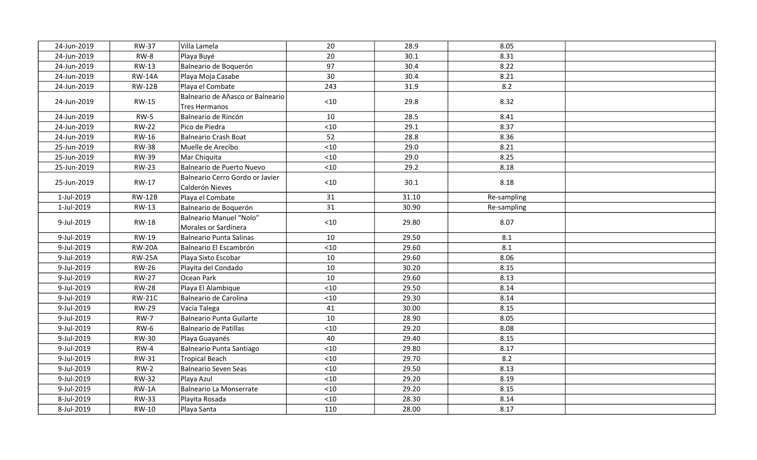| 24-Jun-2019 | <b>RW-37</b>  | Villa Lamela                                       | 20    | 28.9  | 8.05        |  |
|-------------|---------------|----------------------------------------------------|-------|-------|-------------|--|
| 24-Jun-2019 | $RW-8$        | Playa Buyé                                         | 20    | 30.1  | 8.31        |  |
| 24-Jun-2019 | RW-13         | Balneario de Boquerón                              | 97    | 30.4  | 8.22        |  |
| 24-Jun-2019 | <b>RW-14A</b> | Playa Moja Casabe                                  | 30    | 30.4  | 8.21        |  |
| 24-Jun-2019 | <b>RW-12B</b> | Playa el Combate                                   | 243   | 31.9  | 8.2         |  |
| 24-Jun-2019 | RW-15         | Balneario de Añasco or Balneario<br>Tres Hermanos  | < 10  | 29.8  | 8.32        |  |
| 24-Jun-2019 | $RW-5$        | Balneario de Rincón                                | 10    | 28.5  | 8.41        |  |
| 24-Jun-2019 | <b>RW-22</b>  | Pico de Piedra                                     | < 10  | 29.1  | 8.37        |  |
| 24-Jun-2019 | RW-16         | Balneario Crash Boat                               | 52    | 28.8  | 8.36        |  |
| 25-Jun-2019 | <b>RW-38</b>  | Muelle de Arecibo                                  | $<10$ | 29.0  | 8.21        |  |
| 25-Jun-2019 | <b>RW-39</b>  | Mar Chiquita                                       | $<10$ | 29.0  | 8.25        |  |
| 25-Jun-2019 | <b>RW-23</b>  | Balneario de Puerto Nuevo                          | $<10$ | 29.2  | 8.18        |  |
| 25-Jun-2019 | RW-17         | Balneario Cerro Gordo or Javier<br>Calderón Nieves | $<10$ | 30.1  | 8.18        |  |
| 1-Jul-2019  | <b>RW-12B</b> | Playa el Combate                                   | 31    | 31.10 | Re-sampling |  |
| 1-Jul-2019  | RW-13         | Balneario de Boquerón                              | 31    | 30.90 | Re-sampling |  |
| 9-Jul-2019  | <b>RW-18</b>  | Balneario Manuel "Nolo"<br>Morales or Sardinera    | $<10$ | 29.80 | 8.07        |  |
| 9-Jul-2019  | <b>RW-19</b>  | Balneario Punta Salinas                            | 10    | 29.50 | 8.1         |  |
| 9-Jul-2019  | <b>RW-20A</b> | Balneario El Escambrón                             | $<10$ | 29.60 | 8.1         |  |
| 9-Jul-2019  | <b>RW-25A</b> | Playa Sixto Escobar                                | 10    | 29.60 | 8.06        |  |
| 9-Jul-2019  | <b>RW-26</b>  | Playita del Condado                                | 10    | 30.20 | 8.15        |  |
| 9-Jul-2019  | <b>RW-27</b>  | Ocean Park                                         | 10    | 29.60 | 8.13        |  |
| 9-Jul-2019  | <b>RW-28</b>  | Playa El Alambique                                 | $<10$ | 29.50 | 8.14        |  |
| 9-Jul-2019  | <b>RW-21C</b> | Balneario de Carolina                              | $<10$ | 29.30 | 8.14        |  |
| 9-Jul-2019  | <b>RW-29</b>  | Vacía Talega                                       | 41    | 30.00 | 8.15        |  |
| 9-Jul-2019  | <b>RW-7</b>   | Balneario Punta Guilarte                           | 10    | 28.90 | 8.05        |  |
| 9-Jul-2019  | <b>RW-6</b>   | Balneario de Patillas                              | $<10$ | 29.20 | 8.08        |  |
| 9-Jul-2019  | <b>RW-30</b>  | Playa Guayanés                                     | 40    | 29.40 | 8.15        |  |
| 9-Jul-2019  | $RW-4$        | Balneario Punta Santiago                           | $<10$ | 29.80 | 8.17        |  |
| 9-Jul-2019  | <b>RW-31</b>  | Tropical Beach                                     | $<10$ | 29.70 | 8.2         |  |
| 9-Jul-2019  | $RW-2$        | Balneario Seven Seas                               | $<10$ | 29.50 | 8.13        |  |
| 9-Jul-2019  | <b>RW-32</b>  | Playa Azul                                         | < 10  | 29.20 | 8.19        |  |
| 9-Jul-2019  | $RW-1A$       | Balneario La Monserrate                            | $<10$ | 29.20 | 8.15        |  |
| 8-Jul-2019  | <b>RW-33</b>  | Playita Rosada                                     | $<10$ | 28.30 | 8.14        |  |
| 8-Jul-2019  | RW-10         | Playa Santa                                        | 110   | 28.00 | 8.17        |  |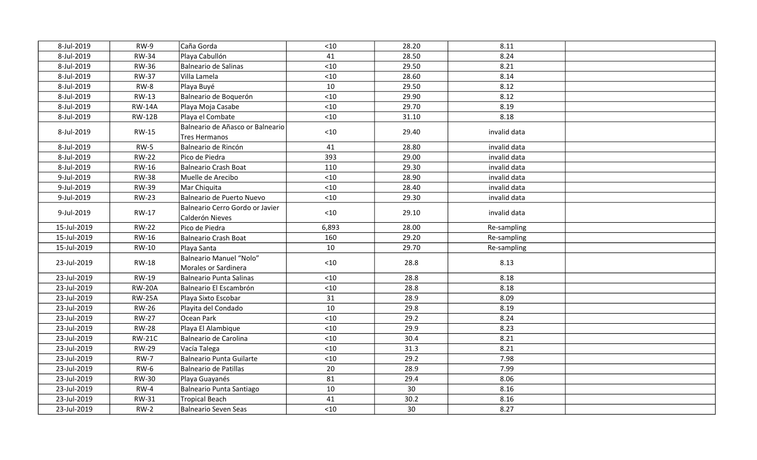| 8-Jul-2019  | $RW-9$        | Caña Gorda                                         | $<10$ | 28.20 | 8.11         |  |
|-------------|---------------|----------------------------------------------------|-------|-------|--------------|--|
| 8-Jul-2019  | <b>RW-34</b>  | Playa Cabullón                                     | 41    | 28.50 | 8.24         |  |
| 8-Jul-2019  | <b>RW-36</b>  | <b>Balneario de Salinas</b>                        | $<10$ | 29.50 | 8.21         |  |
| 8-Jul-2019  | <b>RW-37</b>  | Villa Lamela                                       | < 10  | 28.60 | 8.14         |  |
| 8-Jul-2019  | <b>RW-8</b>   | Playa Buyé                                         | 10    | 29.50 | 8.12         |  |
| 8-Jul-2019  | RW-13         | Balneario de Boquerón                              | < 10  | 29.90 | 8.12         |  |
| 8-Jul-2019  | <b>RW-14A</b> | Playa Moja Casabe                                  | < 10  | 29.70 | 8.19         |  |
| 8-Jul-2019  | <b>RW-12B</b> | Playa el Combate                                   | $<10$ | 31.10 | 8.18         |  |
| 8-Jul-2019  | RW-15         | Balneario de Añasco or Balneario<br>Tres Hermanos  | < 10  | 29.40 | invalid data |  |
| 8-Jul-2019  | <b>RW-5</b>   | Balneario de Rincón                                | 41    | 28.80 | invalid data |  |
| 8-Jul-2019  | <b>RW-22</b>  | Pico de Piedra                                     | 393   | 29.00 | invalid data |  |
| 8-Jul-2019  | <b>RW-16</b>  | Balneario Crash Boat                               | 110   | 29.30 | invalid data |  |
| 9-Jul-2019  | <b>RW-38</b>  | Muelle de Arecibo                                  | $<10$ | 28.90 | invalid data |  |
| 9-Jul-2019  | <b>RW-39</b>  | Mar Chiquita                                       | $<10$ | 28.40 | invalid data |  |
| 9-Jul-2019  | <b>RW-23</b>  | Balneario de Puerto Nuevo                          | $<10$ | 29.30 | invalid data |  |
| 9-Jul-2019  | RW-17         | Balneario Cerro Gordo or Javier<br>Calderón Nieves | $<10$ | 29.10 | invalid data |  |
| 15-Jul-2019 | <b>RW-22</b>  | Pico de Piedra                                     | 6,893 | 28.00 | Re-sampling  |  |
| 15-Jul-2019 | <b>RW-16</b>  | Balneario Crash Boat                               | 160   | 29.20 | Re-sampling  |  |
| 15-Jul-2019 | RW-10         | Playa Santa                                        | 10    | 29.70 | Re-sampling  |  |
| 23-Jul-2019 | <b>RW-18</b>  | Balneario Manuel "Nolo"<br>Morales or Sardinera    | $<10$ | 28.8  | 8.13         |  |
| 23-Jul-2019 | <b>RW-19</b>  | Balneario Punta Salinas                            | < 10  | 28.8  | 8.18         |  |
| 23-Jul-2019 | <b>RW-20A</b> | Balneario El Escambrón                             | $<10$ | 28.8  | 8.18         |  |
| 23-Jul-2019 | <b>RW-25A</b> | Playa Sixto Escobar                                | 31    | 28.9  | 8.09         |  |
| 23-Jul-2019 | <b>RW-26</b>  | Playita del Condado                                | 10    | 29.8  | 8.19         |  |
| 23-Jul-2019 | <b>RW-27</b>  | Ocean Park                                         | < 10  | 29.2  | 8.24         |  |
| 23-Jul-2019 | <b>RW-28</b>  | Playa El Alambique                                 | $<10$ | 29.9  | 8.23         |  |
| 23-Jul-2019 | <b>RW-21C</b> | Balneario de Carolina                              | < 10  | 30.4  | 8.21         |  |
| 23-Jul-2019 | <b>RW-29</b>  | Vacía Talega                                       | $<10$ | 31.3  | 8.21         |  |
| 23-Jul-2019 | $RW-7$        | Balneario Punta Guilarte                           | $<10$ | 29.2  | 7.98         |  |
| 23-Jul-2019 | <b>RW-6</b>   | Balneario de Patillas                              | 20    | 28.9  | 7.99         |  |
| 23-Jul-2019 | <b>RW-30</b>  | Playa Guayanés                                     | 81    | 29.4  | 8.06         |  |
| 23-Jul-2019 | $RW-4$        | Balneario Punta Santiago                           | 10    | 30    | 8.16         |  |
| 23-Jul-2019 | <b>RW-31</b>  | <b>Tropical Beach</b>                              | 41    | 30.2  | 8.16         |  |
| 23-Jul-2019 | $RW-2$        | <b>Balneario Seven Seas</b>                        | < 10  | 30    | 8.27         |  |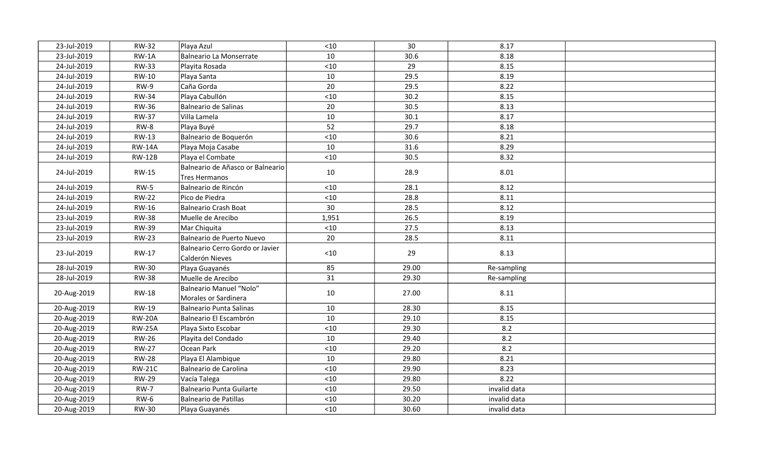| 23-Jul-2019 | <b>RW-32</b>  | Playa Azul                                             | $<10$ | 30    | 8.17         |  |
|-------------|---------------|--------------------------------------------------------|-------|-------|--------------|--|
| 23-Jul-2019 | $RW-1A$       | <b>Balneario La Monserrate</b>                         | 10    | 30.6  | 8.18         |  |
| 24-Jul-2019 | <b>RW-33</b>  | Playita Rosada                                         | $<10$ | 29    | 8.15         |  |
| 24-Jul-2019 | RW-10         | Playa Santa                                            | 10    | 29.5  | 8.19         |  |
| 24-Jul-2019 | $RW-9$        | Caña Gorda                                             | 20    | 29.5  | 8.22         |  |
| 24-Jul-2019 | <b>RW-34</b>  | Playa Cabullón                                         | $<10$ | 30.2  | 8.15         |  |
| 24-Jul-2019 | <b>RW-36</b>  | Balneario de Salinas                                   | 20    | 30.5  | 8.13         |  |
| 24-Jul-2019 | <b>RW-37</b>  | Villa Lamela                                           | 10    | 30.1  | 8.17         |  |
| 24-Jul-2019 | <b>RW-8</b>   | Playa Buyé                                             | 52    | 29.7  | 8.18         |  |
| 24-Jul-2019 | <b>RW-13</b>  | Balneario de Boquerón                                  | < 10  | 30.6  | 8.21         |  |
| 24-Jul-2019 | <b>RW-14A</b> | Playa Moja Casabe                                      | 10    | 31.6  | 8.29         |  |
| 24-Jul-2019 | <b>RW-12B</b> | Playa el Combate                                       | $<10$ | 30.5  | 8.32         |  |
| 24-Jul-2019 | <b>RW-15</b>  | Balneario de Añasco or Balneario<br>Tres Hermanos      | 10    | 28.9  | 8.01         |  |
| 24-Jul-2019 | $RW-5$        | Balneario de Rincón                                    | $<10$ | 28.1  | 8.12         |  |
| 24-Jul-2019 | <b>RW-22</b>  | Pico de Piedra                                         | $<10$ | 28.8  | 8.11         |  |
| 24-Jul-2019 | RW-16         | Balneario Crash Boat                                   | 30    | 28.5  | 8.12         |  |
| 23-Jul-2019 | <b>RW-38</b>  | Muelle de Arecibo                                      | 1,951 | 26.5  | 8.19         |  |
| 23-Jul-2019 | <b>RW-39</b>  | Mar Chiquita                                           | < 10  | 27.5  | 8.13         |  |
| 23-Jul-2019 | <b>RW-23</b>  | Balneario de Puerto Nuevo                              | 20    | 28.5  | 8.11         |  |
| 23-Jul-2019 | <b>RW-17</b>  | Balneario Cerro Gordo or Javier<br>Calderón Nieves     | < 10  | 29    | 8.13         |  |
| 28-Jul-2019 | <b>RW-30</b>  | Playa Guayanés                                         | 85    | 29.00 | Re-sampling  |  |
| 28-Jul-2019 | <b>RW-38</b>  | Muelle de Arecibo                                      | 31    | 29.30 | Re-sampling  |  |
| 20-Aug-2019 | <b>RW-18</b>  | <b>Balneario Manuel "Nolo"</b><br>Morales or Sardinera | 10    | 27.00 | 8.11         |  |
| 20-Aug-2019 | RW-19         | Balneario Punta Salinas                                | 10    | 28.30 | 8.15         |  |
| 20-Aug-2019 | <b>RW-20A</b> | Balneario El Escambrón                                 | 10    | 29.10 | 8.15         |  |
| 20-Aug-2019 | <b>RW-25A</b> | Playa Sixto Escobar                                    | $<10$ | 29.30 | 8.2          |  |
| 20-Aug-2019 | <b>RW-26</b>  | Playita del Condado                                    | 10    | 29.40 | 8.2          |  |
| 20-Aug-2019 | <b>RW-27</b>  | Ocean Park                                             | < 10  | 29.20 | 8.2          |  |
| 20-Aug-2019 | <b>RW-28</b>  | Playa El Alambique                                     | 10    | 29.80 | 8.21         |  |
| 20-Aug-2019 | <b>RW-21C</b> | Balneario de Carolina                                  | $<10$ | 29.90 | 8.23         |  |
| 20-Aug-2019 | <b>RW-29</b>  | Vacía Talega                                           | < 10  | 29.80 | 8.22         |  |
| 20-Aug-2019 | <b>RW-7</b>   | Balneario Punta Guilarte                               | < 10  | 29.50 | invalid data |  |
| 20-Aug-2019 | $RW-6$        | Balneario de Patillas                                  | $<10$ | 30.20 | invalid data |  |
| 20-Aug-2019 | <b>RW-30</b>  | Playa Guayanés                                         | $<10$ | 30.60 | invalid data |  |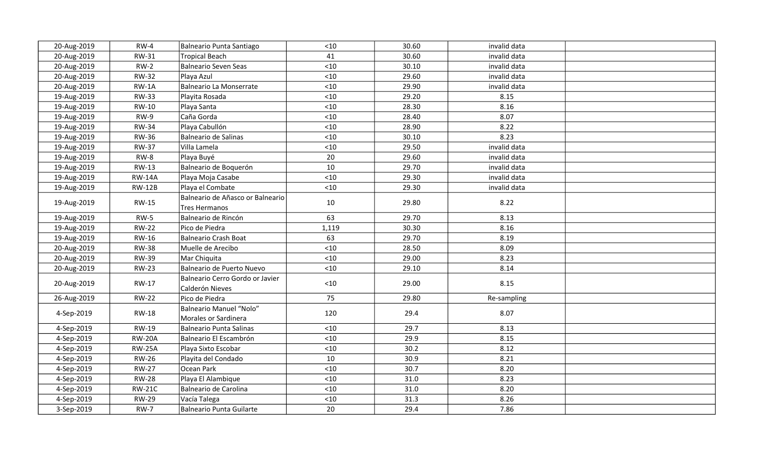| 20-Aug-2019 | $RW-4$        | Balneario Punta Santiago                                 | < 10  | 30.60 | invalid data |  |
|-------------|---------------|----------------------------------------------------------|-------|-------|--------------|--|
| 20-Aug-2019 | RW-31         | <b>Tropical Beach</b>                                    | 41    | 30.60 | invalid data |  |
| 20-Aug-2019 | $RW-2$        | <b>Balneario Seven Seas</b>                              | $<10$ | 30.10 | invalid data |  |
| 20-Aug-2019 | <b>RW-32</b>  | Playa Azul                                               | < 10  | 29.60 | invalid data |  |
| 20-Aug-2019 | $RW-1A$       | <b>Balneario La Monserrate</b>                           | < 10  | 29.90 | invalid data |  |
| 19-Aug-2019 | <b>RW-33</b>  | Playita Rosada                                           | < 10  | 29.20 | 8.15         |  |
| 19-Aug-2019 | <b>RW-10</b>  | Playa Santa                                              | < 10  | 28.30 | 8.16         |  |
| 19-Aug-2019 | $RW-9$        | Caña Gorda                                               | < 10  | 28.40 | 8.07         |  |
| 19-Aug-2019 | <b>RW-34</b>  | Playa Cabullón                                           | < 10  | 28.90 | 8.22         |  |
| 19-Aug-2019 | <b>RW-36</b>  | Balneario de Salinas                                     | < 10  | 30.10 | 8.23         |  |
| 19-Aug-2019 | <b>RW-37</b>  | Villa Lamela                                             | < 10  | 29.50 | invalid data |  |
| 19-Aug-2019 | $RW-8$        | Playa Buyé                                               | 20    | 29.60 | invalid data |  |
| 19-Aug-2019 | <b>RW-13</b>  | Balneario de Boquerón                                    | 10    | 29.70 | invalid data |  |
| 19-Aug-2019 | <b>RW-14A</b> | Playa Moja Casabe                                        | $<10$ | 29.30 | invalid data |  |
| 19-Aug-2019 | <b>RW-12B</b> | Playa el Combate                                         | < 10  | 29.30 | invalid data |  |
| 19-Aug-2019 | <b>RW-15</b>  | Balneario de Añasco or Balneario<br><b>Tres Hermanos</b> | 10    | 29.80 | 8.22         |  |
| 19-Aug-2019 | $RW-5$        | Balneario de Rincón                                      | 63    | 29.70 | 8.13         |  |
| 19-Aug-2019 | <b>RW-22</b>  | Pico de Piedra                                           | 1,119 | 30.30 | 8.16         |  |
| 19-Aug-2019 | RW-16         | Balneario Crash Boat                                     | 63    | 29.70 | 8.19         |  |
| 20-Aug-2019 | <b>RW-38</b>  | Muelle de Arecibo                                        | $<10$ | 28.50 | 8.09         |  |
| 20-Aug-2019 | <b>RW-39</b>  | Mar Chiquita                                             | < 10  | 29.00 | 8.23         |  |
| 20-Aug-2019 | <b>RW-23</b>  | Balneario de Puerto Nuevo                                | < 10  | 29.10 | 8.14         |  |
| 20-Aug-2019 | <b>RW-17</b>  | Balneario Cerro Gordo or Javier<br>Calderón Nieves       | < 10  | 29.00 | 8.15         |  |
| 26-Aug-2019 | <b>RW-22</b>  | Pico de Piedra                                           | 75    | 29.80 | Re-sampling  |  |
| 4-Sep-2019  | <b>RW-18</b>  | Balneario Manuel "Nolo"<br>Morales or Sardinera          | 120   | 29.4  | 8.07         |  |
| 4-Sep-2019  | <b>RW-19</b>  | Balneario Punta Salinas                                  | < 10  | 29.7  | 8.13         |  |
| 4-Sep-2019  | <b>RW-20A</b> | Balneario El Escambrón                                   | < 10  | 29.9  | 8.15         |  |
| 4-Sep-2019  | <b>RW-25A</b> | Playa Sixto Escobar                                      | < 10  | 30.2  | 8.12         |  |
| 4-Sep-2019  | <b>RW-26</b>  | Playita del Condado                                      | 10    | 30.9  | 8.21         |  |
| 4-Sep-2019  | <b>RW-27</b>  | Ocean Park                                               | < 10  | 30.7  | 8.20         |  |
| 4-Sep-2019  | <b>RW-28</b>  | Playa El Alambique                                       | < 10  | 31.0  | 8.23         |  |
| 4-Sep-2019  | <b>RW-21C</b> | Balneario de Carolina                                    | < 10  | 31.0  | 8.20         |  |
| 4-Sep-2019  | <b>RW-29</b>  | Vacía Talega                                             | < 10  | 31.3  | 8.26         |  |
| 3-Sep-2019  | <b>RW-7</b>   | Balneario Punta Guilarte                                 | 20    | 29.4  | 7.86         |  |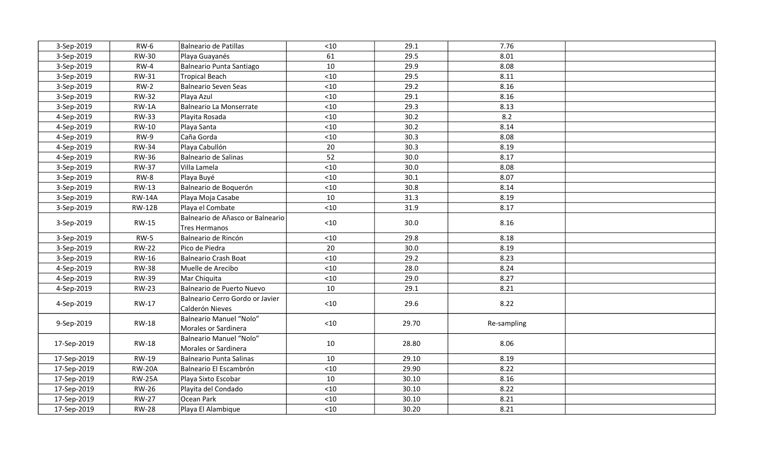| 3-Sep-2019  | <b>RW-6</b>   | Balneario de Patillas                              | $<10$ | 29.1  | 7.76        |  |
|-------------|---------------|----------------------------------------------------|-------|-------|-------------|--|
| 3-Sep-2019  | <b>RW-30</b>  | Playa Guayanés                                     | 61    | 29.5  | 8.01        |  |
| 3-Sep-2019  | $RW-4$        | Balneario Punta Santiago                           | 10    | 29.9  | 8.08        |  |
| 3-Sep-2019  | <b>RW-31</b>  | <b>Tropical Beach</b>                              | < 10  | 29.5  | 8.11        |  |
| 3-Sep-2019  | $RW-2$        | Balneario Seven Seas                               | $<10$ | 29.2  | 8.16        |  |
| 3-Sep-2019  | <b>RW-32</b>  | Playa Azul                                         | $<10$ | 29.1  | 8.16        |  |
| 3-Sep-2019  | $RW-1A$       | Balneario La Monserrate                            | $<10$ | 29.3  | 8.13        |  |
| 4-Sep-2019  | <b>RW-33</b>  | Playita Rosada                                     | $<10$ | 30.2  | 8.2         |  |
| 4-Sep-2019  | RW-10         | Playa Santa                                        | $<10$ | 30.2  | 8.14        |  |
| 4-Sep-2019  | RW-9          | Caña Gorda                                         | $<10$ | 30.3  | 8.08        |  |
| 4-Sep-2019  | <b>RW-34</b>  | Playa Cabullón                                     | 20    | 30.3  | 8.19        |  |
| 4-Sep-2019  | <b>RW-36</b>  | Balneario de Salinas                               | 52    | 30.0  | 8.17        |  |
| 3-Sep-2019  | <b>RW-37</b>  | Villa Lamela                                       | $<10$ | 30.0  | 8.08        |  |
| 3-Sep-2019  | RW-8          | Playa Buyé                                         | $<10$ | 30.1  | 8.07        |  |
| 3-Sep-2019  | <b>RW-13</b>  | Balneario de Boquerón                              | $<10$ | 30.8  | 8.14        |  |
| 3-Sep-2019  | <b>RW-14A</b> | Playa Moja Casabe                                  | 10    | 31.3  | 8.19        |  |
| 3-Sep-2019  | <b>RW-12B</b> | Playa el Combate                                   | $<10$ | 31.9  | 8.17        |  |
| 3-Sep-2019  | <b>RW-15</b>  | Balneario de Añasco or Balneario<br>Tres Hermanos  | $<10$ | 30.0  | 8.16        |  |
| 3-Sep-2019  | $RW-5$        | Balneario de Rincón                                | $<10$ | 29.8  | 8.18        |  |
| 3-Sep-2019  | <b>RW-22</b>  | Pico de Piedra                                     | 20    | 30.0  | 8.19        |  |
| 3-Sep-2019  | <b>RW-16</b>  | Balneario Crash Boat                               | < 10  | 29.2  | 8.23        |  |
| 4-Sep-2019  | <b>RW-38</b>  | Muelle de Arecibo                                  | $<10$ | 28.0  | 8.24        |  |
| 4-Sep-2019  | <b>RW-39</b>  | Mar Chiquita                                       | < 10  | 29.0  | 8.27        |  |
| 4-Sep-2019  | <b>RW-23</b>  | Balneario de Puerto Nuevo                          | 10    | 29.1  | 8.21        |  |
| 4-Sep-2019  | RW-17         | Balneario Cerro Gordo or Javier<br>Calderón Nieves | $<10$ | 29.6  | 8.22        |  |
| 9-Sep-2019  | <b>RW-18</b>  | Balneario Manuel "Nolo"<br>Morales or Sardinera    | $<10$ | 29.70 | Re-sampling |  |
| 17-Sep-2019 | <b>RW-18</b>  | Balneario Manuel "Nolo"<br>Morales or Sardinera    | 10    | 28.80 | 8.06        |  |
| 17-Sep-2019 | <b>RW-19</b>  | Balneario Punta Salinas                            | 10    | 29.10 | 8.19        |  |
| 17-Sep-2019 | <b>RW-20A</b> | Balneario El Escambrón                             | < 10  | 29.90 | 8.22        |  |
| 17-Sep-2019 | <b>RW-25A</b> | Playa Sixto Escobar                                | 10    | 30.10 | 8.16        |  |
| 17-Sep-2019 | <b>RW-26</b>  | Playita del Condado                                | < 10  | 30.10 | 8.22        |  |
| 17-Sep-2019 | <b>RW-27</b>  | Ocean Park                                         | < 10  | 30.10 | 8.21        |  |
| 17-Sep-2019 | <b>RW-28</b>  | Playa El Alambique                                 | < 10  | 30.20 | 8.21        |  |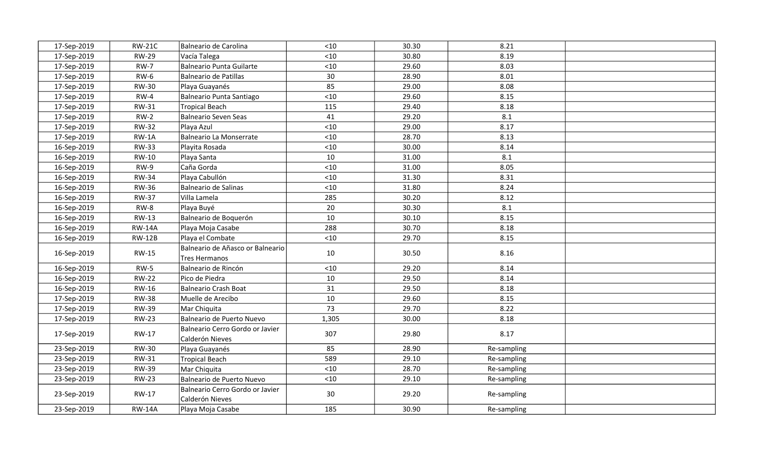| 17-Sep-2019 | <b>RW-21C</b> | Balneario de Carolina                              | $<10$ | 30.30 | 8.21        |  |
|-------------|---------------|----------------------------------------------------|-------|-------|-------------|--|
| 17-Sep-2019 | <b>RW-29</b>  | Vacía Talega                                       | $<10$ | 30.80 | 8.19        |  |
| 17-Sep-2019 | <b>RW-7</b>   | Balneario Punta Guilarte                           | $<10$ | 29.60 | 8.03        |  |
| 17-Sep-2019 | <b>RW-6</b>   | Balneario de Patillas                              | 30    | 28.90 | 8.01        |  |
| 17-Sep-2019 | <b>RW-30</b>  | Playa Guayanés                                     | 85    | 29.00 | 8.08        |  |
| 17-Sep-2019 | $RW-4$        | Balneario Punta Santiago                           | $<10$ | 29.60 | 8.15        |  |
| 17-Sep-2019 | RW-31         | Tropical Beach                                     | 115   | 29.40 | 8.18        |  |
| 17-Sep-2019 | $RW-2$        | Balneario Seven Seas                               | 41    | 29.20 | 8.1         |  |
| 17-Sep-2019 | <b>RW-32</b>  | Playa Azul                                         | $<10$ | 29.00 | 8.17        |  |
| 17-Sep-2019 | $RW-1A$       | Balneario La Monserrate                            | < 10  | 28.70 | 8.13        |  |
| 16-Sep-2019 | <b>RW-33</b>  | Playita Rosada                                     | $<10$ | 30.00 | 8.14        |  |
| 16-Sep-2019 | <b>RW-10</b>  | Playa Santa                                        | 10    | 31.00 | 8.1         |  |
| 16-Sep-2019 | RW-9          | Caña Gorda                                         | $<10$ | 31.00 | 8.05        |  |
| 16-Sep-2019 | <b>RW-34</b>  | Playa Cabullón                                     | $<10$ | 31.30 | 8.31        |  |
| 16-Sep-2019 | <b>RW-36</b>  | Balneario de Salinas                               | < 10  | 31.80 | 8.24        |  |
| 16-Sep-2019 | <b>RW-37</b>  | Villa Lamela                                       | 285   | 30.20 | 8.12        |  |
| 16-Sep-2019 | $RW-8$        | Playa Buyé                                         | 20    | 30.30 | 8.1         |  |
| 16-Sep-2019 | <b>RW-13</b>  | Balneario de Boquerón                              | 10    | 30.10 | 8.15        |  |
| 16-Sep-2019 | <b>RW-14A</b> | Playa Moja Casabe                                  | 288   | 30.70 | 8.18        |  |
| 16-Sep-2019 | <b>RW-12B</b> | Playa el Combate                                   | $<10$ | 29.70 | 8.15        |  |
| 16-Sep-2019 | <b>RW-15</b>  | Balneario de Añasco or Balneario<br>Tres Hermanos  | 10    | 30.50 | 8.16        |  |
| 16-Sep-2019 | $RW-5$        | Balneario de Rincón                                | < 10  | 29.20 | 8.14        |  |
| 16-Sep-2019 | <b>RW-22</b>  | Pico de Piedra                                     | 10    | 29.50 | 8.14        |  |
| 16-Sep-2019 | <b>RW-16</b>  | Balneario Crash Boat                               | 31    | 29.50 | 8.18        |  |
| 17-Sep-2019 | <b>RW-38</b>  | Muelle de Arecibo                                  | 10    | 29.60 | 8.15        |  |
| 17-Sep-2019 | <b>RW-39</b>  | Mar Chiquita                                       | 73    | 29.70 | 8.22        |  |
| 17-Sep-2019 | <b>RW-23</b>  | Balneario de Puerto Nuevo                          | 1,305 | 30.00 | 8.18        |  |
| 17-Sep-2019 | <b>RW-17</b>  | Balneario Cerro Gordo or Javier<br>Calderón Nieves | 307   | 29.80 | 8.17        |  |
| 23-Sep-2019 | <b>RW-30</b>  | Playa Guayanés                                     | 85    | 28.90 | Re-sampling |  |
| 23-Sep-2019 | RW-31         | Tropical Beach                                     | 589   | 29.10 | Re-sampling |  |
| 23-Sep-2019 | <b>RW-39</b>  | Mar Chiquita                                       | < 10  | 28.70 | Re-sampling |  |
| 23-Sep-2019 | <b>RW-23</b>  | Balneario de Puerto Nuevo                          | $<10$ | 29.10 | Re-sampling |  |
| 23-Sep-2019 | RW-17         | Balneario Cerro Gordo or Javier<br>Calderón Nieves | 30    | 29.20 | Re-sampling |  |
| 23-Sep-2019 | <b>RW-14A</b> | Playa Moja Casabe                                  | 185   | 30.90 | Re-sampling |  |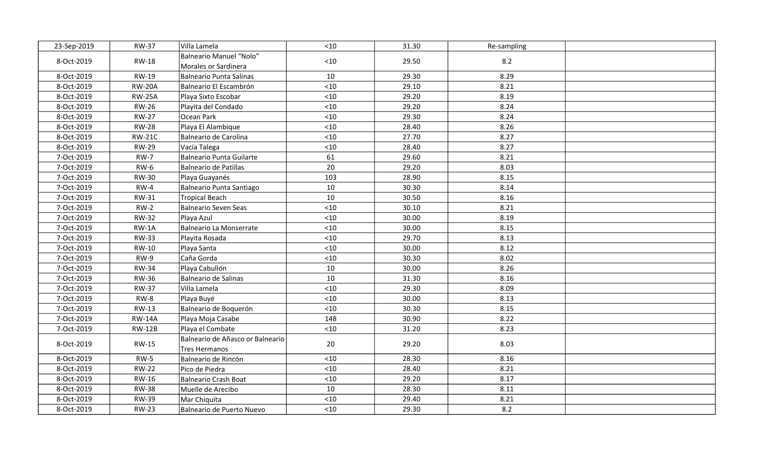| 23-Sep-2019 | <b>RW-37</b>  | Villa Lamela                                      | < 10  | 31.30 | Re-sampling |  |
|-------------|---------------|---------------------------------------------------|-------|-------|-------------|--|
| 8-Oct-2019  | <b>RW-18</b>  | Balneario Manuel "Nolo"                           | $<10$ | 29.50 | 8.2         |  |
|             |               | Morales or Sardinera                              |       |       |             |  |
| 8-Oct-2019  | RW-19         | Balneario Punta Salinas                           | 10    | 29.30 | 8.29        |  |
| 8-Oct-2019  | <b>RW-20A</b> | Balneario El Escambrón                            | $<10$ | 29.10 | 8.21        |  |
| 8-Oct-2019  | <b>RW-25A</b> | Playa Sixto Escobar                               | $<10$ | 29.20 | 8.19        |  |
| 8-Oct-2019  | <b>RW-26</b>  | Playita del Condado                               | $<10$ | 29.20 | 8.24        |  |
| 8-Oct-2019  | <b>RW-27</b>  | Ocean Park                                        | $<10$ | 29.30 | 8.24        |  |
| 8-Oct-2019  | <b>RW-28</b>  | Playa El Alambique                                | $<10$ | 28.40 | 8.26        |  |
| 8-Oct-2019  | <b>RW-21C</b> | Balneario de Carolina                             | $<10$ | 27.70 | 8.27        |  |
| 8-Oct-2019  | <b>RW-29</b>  | Vacía Talega                                      | $<10$ | 28.40 | 8.27        |  |
| 7-Oct-2019  | <b>RW-7</b>   | Balneario Punta Guilarte                          | 61    | 29.60 | 8.21        |  |
| 7-Oct-2019  | <b>RW-6</b>   | Balneario de Patillas                             | 20    | 29.20 | 8.03        |  |
| 7-Oct-2019  | <b>RW-30</b>  | Playa Guayanés                                    | 103   | 28.90 | 8.15        |  |
| 7-Oct-2019  | $RW-4$        | Balneario Punta Santiago                          | 10    | 30.30 | 8.14        |  |
| 7-Oct-2019  | <b>RW-31</b>  | Tropical Beach                                    | 10    | 30.50 | 8.16        |  |
| 7-Oct-2019  | $RW-2$        | Balneario Seven Seas                              | $<10$ | 30.10 | 8.21        |  |
| 7-Oct-2019  | <b>RW-32</b>  | Playa Azul                                        | $<10$ | 30.00 | 8.19        |  |
| 7-Oct-2019  | $RW-1A$       | Balneario La Monserrate                           | < 10  | 30.00 | 8.15        |  |
| 7-Oct-2019  | <b>RW-33</b>  | Playita Rosada                                    | < 10  | 29.70 | 8.13        |  |
| 7-Oct-2019  | RW-10         | Playa Santa                                       | < 10  | 30.00 | 8.12        |  |
| 7-Oct-2019  | $RW-9$        | Caña Gorda                                        | $<10$ | 30.30 | 8.02        |  |
| 7-Oct-2019  | <b>RW-34</b>  | Playa Cabullón                                    | 10    | 30.00 | 8.26        |  |
| 7-Oct-2019  | <b>RW-36</b>  | Balneario de Salinas                              | 10    | 31.30 | 8.16        |  |
| 7-Oct-2019  | <b>RW-37</b>  | Villa Lamela                                      | $<10$ | 29.30 | 8.09        |  |
| 7-Oct-2019  | $RW-8$        | Playa Buyé                                        | $<10$ | 30.00 | 8.13        |  |
| 7-Oct-2019  | <b>RW-13</b>  | Balneario de Boquerón                             | < 10  | 30.30 | 8.15        |  |
| 7-Oct-2019  | <b>RW-14A</b> | Playa Moja Casabe                                 | 148   | 30.90 | 8.22        |  |
| 7-Oct-2019  | <b>RW-12B</b> | Playa el Combate                                  | $<10$ | 31.20 | 8.23        |  |
| 8-Oct-2019  | <b>RW-15</b>  | Balneario de Añasco or Balneario<br>Tres Hermanos | 20    | 29.20 | 8.03        |  |
| 8-Oct-2019  | $RW-5$        | Balneario de Rincón                               | $<10$ | 28.30 | 8.16        |  |
| 8-Oct-2019  | <b>RW-22</b>  | Pico de Piedra                                    | $<10$ | 28.40 | 8.21        |  |
| 8-Oct-2019  | RW-16         | Balneario Crash Boat                              | $<10$ | 29.20 | 8.17        |  |
| 8-Oct-2019  | <b>RW-38</b>  | Muelle de Arecibo                                 | 10    | 28.30 | 8.11        |  |
| 8-Oct-2019  | <b>RW-39</b>  | Mar Chiquita                                      | < 10  | 29.40 | 8.21        |  |
| 8-Oct-2019  | <b>RW-23</b>  | Balneario de Puerto Nuevo                         | < 10  | 29.30 | 8.2         |  |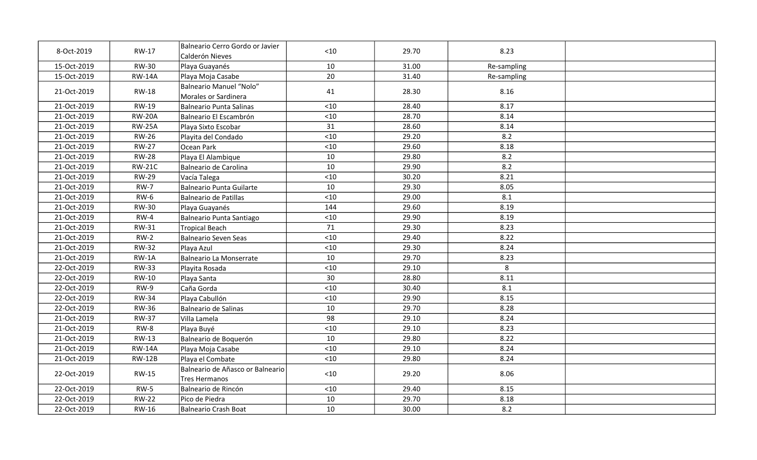| 8-Oct-2019  | RW-17         | Balneario Cerro Gordo or Javier<br>Calderón Nieves       | < 10  | 29.70 | 8.23        |  |
|-------------|---------------|----------------------------------------------------------|-------|-------|-------------|--|
| 15-Oct-2019 | <b>RW-30</b>  | Playa Guayanés                                           | 10    | 31.00 | Re-sampling |  |
| 15-Oct-2019 | <b>RW-14A</b> | Playa Moja Casabe                                        | 20    | 31.40 | Re-sampling |  |
| 21-Oct-2019 | <b>RW-18</b>  | <b>Balneario Manuel "Nolo"</b><br>Morales or Sardinera   | 41    | 28.30 | 8.16        |  |
| 21-Oct-2019 | <b>RW-19</b>  | <b>Balneario Punta Salinas</b>                           | < 10  | 28.40 | 8.17        |  |
| 21-Oct-2019 | <b>RW-20A</b> | Balneario El Escambrón                                   | $<10$ | 28.70 | 8.14        |  |
| 21-Oct-2019 | <b>RW-25A</b> | Playa Sixto Escobar                                      | 31    | 28.60 | 8.14        |  |
| 21-Oct-2019 | <b>RW-26</b>  | Playita del Condado                                      | $<10$ | 29.20 | 8.2         |  |
| 21-Oct-2019 | <b>RW-27</b>  | Ocean Park                                               | $<10$ | 29.60 | 8.18        |  |
| 21-Oct-2019 | <b>RW-28</b>  | Playa El Alambique                                       | 10    | 29.80 | 8.2         |  |
| 21-Oct-2019 | <b>RW-21C</b> | Balneario de Carolina                                    | 10    | 29.90 | 8.2         |  |
| 21-Oct-2019 | <b>RW-29</b>  | Vacía Talega                                             | $<10$ | 30.20 | 8.21        |  |
| 21-Oct-2019 | <b>RW-7</b>   | <b>Balneario Punta Guilarte</b>                          | 10    | 29.30 | 8.05        |  |
| 21-Oct-2019 | $RW-6$        | <b>Balneario de Patillas</b>                             | < 10  | 29.00 | 8.1         |  |
| 21-Oct-2019 | <b>RW-30</b>  | Playa Guayanés                                           | 144   | 29.60 | 8.19        |  |
| 21-Oct-2019 | $RW-4$        | Balneario Punta Santiago                                 | $<10$ | 29.90 | 8.19        |  |
| 21-Oct-2019 | RW-31         | <b>Tropical Beach</b>                                    | 71    | 29.30 | 8.23        |  |
| 21-Oct-2019 | $RW-2$        | <b>Balneario Seven Seas</b>                              | $<10$ | 29.40 | 8.22        |  |
| 21-Oct-2019 | <b>RW-32</b>  | Playa Azul                                               | $<10$ | 29.30 | 8.24        |  |
| 21-Oct-2019 | $RW-1A$       | <b>Balneario La Monserrate</b>                           | 10    | 29.70 | 8.23        |  |
| 22-Oct-2019 | <b>RW-33</b>  | Playita Rosada                                           | $<10$ | 29.10 | 8           |  |
| 22-Oct-2019 | RW-10         | Playa Santa                                              | 30    | 28.80 | 8.11        |  |
| 22-Oct-2019 | <b>RW-9</b>   | Caña Gorda                                               | < 10  | 30.40 | 8.1         |  |
| 22-Oct-2019 | <b>RW-34</b>  | Playa Cabullón                                           | < 10  | 29.90 | 8.15        |  |
| 22-Oct-2019 | <b>RW-36</b>  | Balneario de Salinas                                     | 10    | 29.70 | 8.28        |  |
| 21-Oct-2019 | <b>RW-37</b>  | Villa Lamela                                             | 98    | 29.10 | 8.24        |  |
| 21-Oct-2019 | RW-8          | Playa Buyé                                               | < 10  | 29.10 | 8.23        |  |
| 21-Oct-2019 | <b>RW-13</b>  | Balneario de Boquerón                                    | 10    | 29.80 | 8.22        |  |
| 21-Oct-2019 | <b>RW-14A</b> | Playa Moja Casabe                                        | < 10  | 29.10 | 8.24        |  |
| 21-Oct-2019 | <b>RW-12B</b> | Playa el Combate                                         | < 10  | 29.80 | 8.24        |  |
| 22-Oct-2019 | <b>RW-15</b>  | Balneario de Añasco or Balneario<br><b>Tres Hermanos</b> | < 10  | 29.20 | 8.06        |  |
| 22-Oct-2019 | $RW-5$        | Balneario de Rincón                                      | < 10  | 29.40 | 8.15        |  |
| 22-Oct-2019 | <b>RW-22</b>  | Pico de Piedra                                           | 10    | 29.70 | 8.18        |  |
| 22-Oct-2019 | RW-16         | <b>Balneario Crash Boat</b>                              | 10    | 30.00 | 8.2         |  |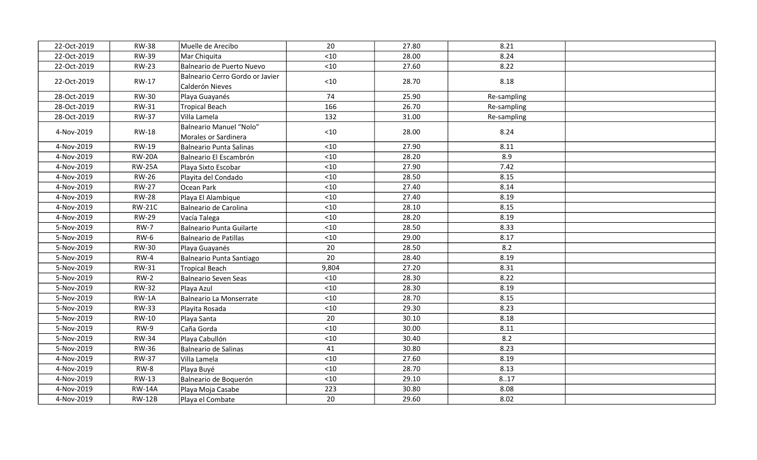| 22-Oct-2019 | <b>RW-38</b>  | Muelle de Arecibo                                  | 20    | 27.80 | 8.21        |  |
|-------------|---------------|----------------------------------------------------|-------|-------|-------------|--|
| 22-Oct-2019 | <b>RW-39</b>  | Mar Chiquita                                       | < 10  | 28.00 | 8.24        |  |
| 22-Oct-2019 | <b>RW-23</b>  | Balneario de Puerto Nuevo                          | < 10  | 27.60 | 8.22        |  |
| 22-Oct-2019 | RW-17         | Balneario Cerro Gordo or Javier<br>Calderón Nieves | $<10$ | 28.70 | 8.18        |  |
| 28-Oct-2019 | <b>RW-30</b>  | Playa Guayanés                                     | 74    | 25.90 | Re-sampling |  |
| 28-Oct-2019 | RW-31         | Tropical Beach                                     | 166   | 26.70 | Re-sampling |  |
| 28-Oct-2019 | <b>RW-37</b>  | Villa Lamela                                       | 132   | 31.00 | Re-sampling |  |
| 4-Nov-2019  | <b>RW-18</b>  | Balneario Manuel "Nolo"<br>Morales or Sardinera    | $10$  | 28.00 | 8.24        |  |
| 4-Nov-2019  | RW-19         | Balneario Punta Salinas                            | < 10  | 27.90 | 8.11        |  |
| 4-Nov-2019  | <b>RW-20A</b> | Balneario El Escambrón                             | < 10  | 28.20 | 8.9         |  |
| 4-Nov-2019  | <b>RW-25A</b> | Playa Sixto Escobar                                | $<10$ | 27.90 | 7.42        |  |
| 4-Nov-2019  | <b>RW-26</b>  | Playita del Condado                                | $<10$ | 28.50 | 8.15        |  |
| 4-Nov-2019  | <b>RW-27</b>  | Ocean Park                                         | < 10  | 27.40 | 8.14        |  |
| 4-Nov-2019  | <b>RW-28</b>  | Playa El Alambique                                 | $<10$ | 27.40 | 8.19        |  |
| 4-Nov-2019  | <b>RW-21C</b> | Balneario de Carolina                              | < 10  | 28.10 | 8.15        |  |
| 4-Nov-2019  | <b>RW-29</b>  | Vacía Talega                                       | $<10$ | 28.20 | 8.19        |  |
| 5-Nov-2019  | <b>RW-7</b>   | Balneario Punta Guilarte                           | $<10$ | 28.50 | 8.33        |  |
| 5-Nov-2019  | $RW-6$        | Balneario de Patillas                              | $<10$ | 29.00 | 8.17        |  |
| 5-Nov-2019  | <b>RW-30</b>  | Playa Guayanés                                     | 20    | 28.50 | 8.2         |  |
| 5-Nov-2019  | $RW-4$        | Balneario Punta Santiago                           | 20    | 28.40 | 8.19        |  |
| 5-Nov-2019  | RW-31         | Tropical Beach                                     | 9,804 | 27.20 | 8.31        |  |
| 5-Nov-2019  | $RW-2$        | Balneario Seven Seas                               | < 10  | 28.30 | 8.22        |  |
| 5-Nov-2019  | <b>RW-32</b>  | Playa Azul                                         | < 10  | 28.30 | 8.19        |  |
| 5-Nov-2019  | $RW-1A$       | Balneario La Monserrate                            | < 10  | 28.70 | 8.15        |  |
| 5-Nov-2019  | <b>RW-33</b>  | Playita Rosada                                     | < 10  | 29.30 | 8.23        |  |
| 5-Nov-2019  | <b>RW-10</b>  | Playa Santa                                        | 20    | 30.10 | 8.18        |  |
| 5-Nov-2019  | $RW-9$        | Caña Gorda                                         | < 10  | 30.00 | 8.11        |  |
| 5-Nov-2019  | <b>RW-34</b>  | Playa Cabullón                                     | $<10$ | 30.40 | 8.2         |  |
| 5-Nov-2019  | <b>RW-36</b>  | Balneario de Salinas                               | 41    | 30.80 | 8.23        |  |
| 4-Nov-2019  | <b>RW-37</b>  | Villa Lamela                                       | $<10$ | 27.60 | 8.19        |  |
| 4-Nov-2019  | RW-8          | Playa Buyé                                         | $<10$ | 28.70 | 8.13        |  |
| 4-Nov-2019  | <b>RW-13</b>  | Balneario de Boquerón                              | < 10  | 29.10 | 8.17        |  |
| 4-Nov-2019  | <b>RW-14A</b> | Playa Moja Casabe                                  | 223   | 30.80 | 8.08        |  |
| 4-Nov-2019  | <b>RW-12B</b> | Playa el Combate                                   | 20    | 29.60 | 8.02        |  |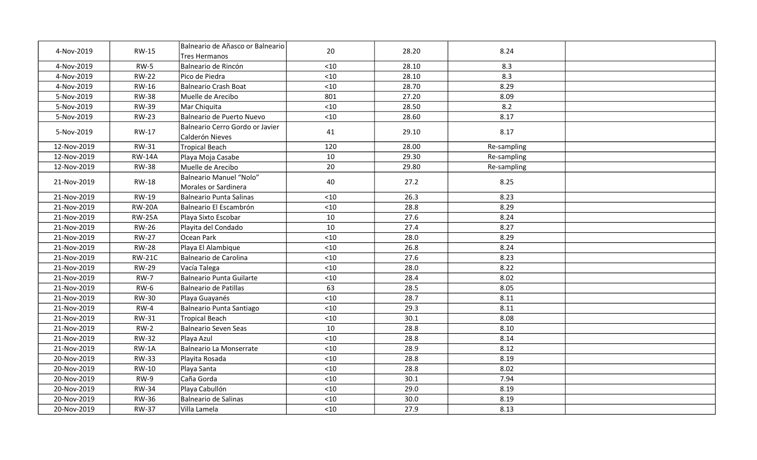| 4-Nov-2019  | <b>RW-15</b>  | Balneario de Añasco or Balneario<br><b>Tres Hermanos</b> | 20    | 28.20 | 8.24        |  |
|-------------|---------------|----------------------------------------------------------|-------|-------|-------------|--|
| 4-Nov-2019  | <b>RW-5</b>   | Balneario de Rincón                                      | $<10$ | 28.10 | 8.3         |  |
| 4-Nov-2019  | <b>RW-22</b>  | Pico de Piedra                                           | < 10  | 28.10 | 8.3         |  |
| 4-Nov-2019  | RW-16         | <b>Balneario Crash Boat</b>                              | $<10$ | 28.70 | 8.29        |  |
| 5-Nov-2019  | <b>RW-38</b>  | Muelle de Arecibo                                        | 801   | 27.20 | 8.09        |  |
| 5-Nov-2019  | <b>RW-39</b>  | Mar Chiquita                                             | $<10$ | 28.50 | 8.2         |  |
| 5-Nov-2019  | <b>RW-23</b>  | Balneario de Puerto Nuevo                                | $<10$ | 28.60 | 8.17        |  |
| 5-Nov-2019  | RW-17         | Balneario Cerro Gordo or Javier<br>Calderón Nieves       | 41    | 29.10 | 8.17        |  |
| 12-Nov-2019 | <b>RW-31</b>  | <b>Tropical Beach</b>                                    | 120   | 28.00 | Re-sampling |  |
| 12-Nov-2019 | <b>RW-14A</b> | Playa Moja Casabe                                        | 10    | 29.30 | Re-sampling |  |
| 12-Nov-2019 | <b>RW-38</b>  | Muelle de Arecibo                                        | 20    | 29.80 | Re-sampling |  |
| 21-Nov-2019 | <b>RW-18</b>  | Balneario Manuel "Nolo"<br>Morales or Sardinera          | 40    | 27.2  | 8.25        |  |
| 21-Nov-2019 | RW-19         | Balneario Punta Salinas                                  | $<10$ | 26.3  | 8.23        |  |
| 21-Nov-2019 | <b>RW-20A</b> | Balneario El Escambrón                                   | $<10$ | 28.8  | 8.29        |  |
| 21-Nov-2019 | <b>RW-25A</b> | Playa Sixto Escobar                                      | 10    | 27.6  | 8.24        |  |
| 21-Nov-2019 | <b>RW-26</b>  | Playita del Condado                                      | 10    | 27.4  | 8.27        |  |
| 21-Nov-2019 | <b>RW-27</b>  | Ocean Park                                               | $<10$ | 28.0  | 8.29        |  |
| 21-Nov-2019 | <b>RW-28</b>  | Playa El Alambique                                       | < 10  | 26.8  | 8.24        |  |
| 21-Nov-2019 | <b>RW-21C</b> | Balneario de Carolina                                    | $<10$ | 27.6  | 8.23        |  |
| 21-Nov-2019 | <b>RW-29</b>  | Vacía Talega                                             | < 10  | 28.0  | 8.22        |  |
| 21-Nov-2019 | <b>RW-7</b>   | Balneario Punta Guilarte                                 | $<10$ | 28.4  | 8.02        |  |
| 21-Nov-2019 | <b>RW-6</b>   | Balneario de Patillas                                    | 63    | 28.5  | 8.05        |  |
| 21-Nov-2019 | <b>RW-30</b>  | Playa Guayanés                                           | < 10  | 28.7  | 8.11        |  |
| 21-Nov-2019 | $RW-4$        | <b>Balneario Punta Santiago</b>                          | $<10$ | 29.3  | 8.11        |  |
| 21-Nov-2019 | <b>RW-31</b>  | Tropical Beach                                           | $<10$ | 30.1  | 8.08        |  |
| 21-Nov-2019 | $RW-2$        | Balneario Seven Seas                                     | 10    | 28.8  | 8.10        |  |
| 21-Nov-2019 | <b>RW-32</b>  | Playa Azul                                               | $<10$ | 28.8  | 8.14        |  |
| 21-Nov-2019 | $RW-1A$       | Balneario La Monserrate                                  | $<10$ | 28.9  | 8.12        |  |
| 20-Nov-2019 | <b>RW-33</b>  | Playita Rosada                                           | $<10$ | 28.8  | 8.19        |  |
| 20-Nov-2019 | RW-10         | Playa Santa                                              | $<10$ | 28.8  | 8.02        |  |
| 20-Nov-2019 | <b>RW-9</b>   | Caña Gorda                                               | $<10$ | 30.1  | 7.94        |  |
| 20-Nov-2019 | <b>RW-34</b>  | Playa Cabullón                                           | < 10  | 29.0  | 8.19        |  |
| 20-Nov-2019 | <b>RW-36</b>  | <b>Balneario de Salinas</b>                              | $<10$ | 30.0  | 8.19        |  |
| 20-Nov-2019 | <b>RW-37</b>  | Villa Lamela                                             | $<10$ | 27.9  | 8.13        |  |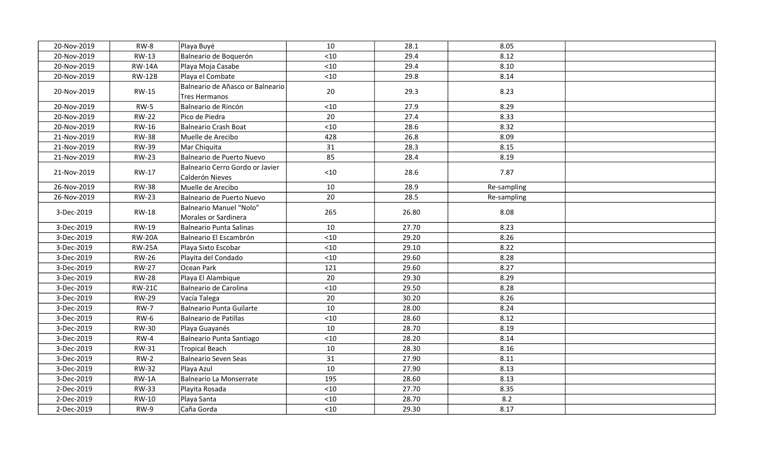| 20-Nov-2019 | RW-8          | Playa Buyé                                         | 10    | 28.1  | 8.05        |  |
|-------------|---------------|----------------------------------------------------|-------|-------|-------------|--|
| 20-Nov-2019 | <b>RW-13</b>  | Balneario de Boquerón                              | < 10  | 29.4  | 8.12        |  |
| 20-Nov-2019 | <b>RW-14A</b> | Playa Moja Casabe                                  | $<10$ | 29.4  | 8.10        |  |
| 20-Nov-2019 | <b>RW-12B</b> | Playa el Combate                                   | < 10  | 29.8  | 8.14        |  |
| 20-Nov-2019 | <b>RW-15</b>  | Balneario de Añasco or Balneario<br>Tres Hermanos  | 20    | 29.3  | 8.23        |  |
| 20-Nov-2019 | <b>RW-5</b>   | Balneario de Rincón                                | $<10$ | 27.9  | 8.29        |  |
| 20-Nov-2019 | <b>RW-22</b>  | Pico de Piedra                                     | 20    | 27.4  | 8.33        |  |
| 20-Nov-2019 | <b>RW-16</b>  | Balneario Crash Boat                               | < 10  | 28.6  | 8.32        |  |
| 21-Nov-2019 | <b>RW-38</b>  | Muelle de Arecibo                                  | 428   | 26.8  | 8.09        |  |
| 21-Nov-2019 | <b>RW-39</b>  | Mar Chiquita                                       | 31    | 28.3  | 8.15        |  |
| 21-Nov-2019 | <b>RW-23</b>  | Balneario de Puerto Nuevo                          | 85    | 28.4  | 8.19        |  |
| 21-Nov-2019 | RW-17         | Balneario Cerro Gordo or Javier<br>Calderón Nieves | < 10  | 28.6  | 7.87        |  |
| 26-Nov-2019 | <b>RW-38</b>  | Muelle de Arecibo                                  | 10    | 28.9  | Re-sampling |  |
| 26-Nov-2019 | <b>RW-23</b>  | Balneario de Puerto Nuevo                          | 20    | 28.5  | Re-sampling |  |
| 3-Dec-2019  | <b>RW-18</b>  | Balneario Manuel "Nolo"<br>Morales or Sardinera    | 265   | 26.80 | 8.08        |  |
| 3-Dec-2019  | <b>RW-19</b>  | Balneario Punta Salinas                            | 10    | 27.70 | 8.23        |  |
| 3-Dec-2019  | <b>RW-20A</b> | Balneario El Escambrón                             | $<10$ | 29.20 | 8.26        |  |
| 3-Dec-2019  | <b>RW-25A</b> | Playa Sixto Escobar                                | $<10$ | 29.10 | 8.22        |  |
| 3-Dec-2019  | <b>RW-26</b>  | Playita del Condado                                | $<10$ | 29.60 | 8.28        |  |
| 3-Dec-2019  | <b>RW-27</b>  | Ocean Park                                         | 121   | 29.60 | 8.27        |  |
| 3-Dec-2019  | <b>RW-28</b>  | Playa El Alambique                                 | 20    | 29.30 | 8.29        |  |
| 3-Dec-2019  | <b>RW-21C</b> | Balneario de Carolina                              | $<10$ | 29.50 | 8.28        |  |
| 3-Dec-2019  | <b>RW-29</b>  | Vacía Talega                                       | 20    | 30.20 | 8.26        |  |
| 3-Dec-2019  | <b>RW-7</b>   | Balneario Punta Guilarte                           | 10    | 28.00 | 8.24        |  |
| 3-Dec-2019  | $RW-6$        | Balneario de Patillas                              | $<10$ | 28.60 | 8.12        |  |
| 3-Dec-2019  | <b>RW-30</b>  | Playa Guayanés                                     | 10    | 28.70 | 8.19        |  |
| 3-Dec-2019  | $RW-4$        | Balneario Punta Santiago                           | < 10  | 28.20 | 8.14        |  |
| 3-Dec-2019  | <b>RW-31</b>  | Tropical Beach                                     | 10    | 28.30 | 8.16        |  |
| 3-Dec-2019  | $RW-2$        | Balneario Seven Seas                               | 31    | 27.90 | 8.11        |  |
| 3-Dec-2019  | <b>RW-32</b>  | Playa Azul                                         | 10    | 27.90 | 8.13        |  |
| 3-Dec-2019  | RW-1A         | Balneario La Monserrate                            | 195   | 28.60 | 8.13        |  |
| 2-Dec-2019  | <b>RW-33</b>  | Playita Rosada                                     | $<10$ | 27.70 | 8.35        |  |
| 2-Dec-2019  | RW-10         | Playa Santa                                        | < 10  | 28.70 | 8.2         |  |
| 2-Dec-2019  | RW-9          | Caña Gorda                                         | < 10  | 29.30 | 8.17        |  |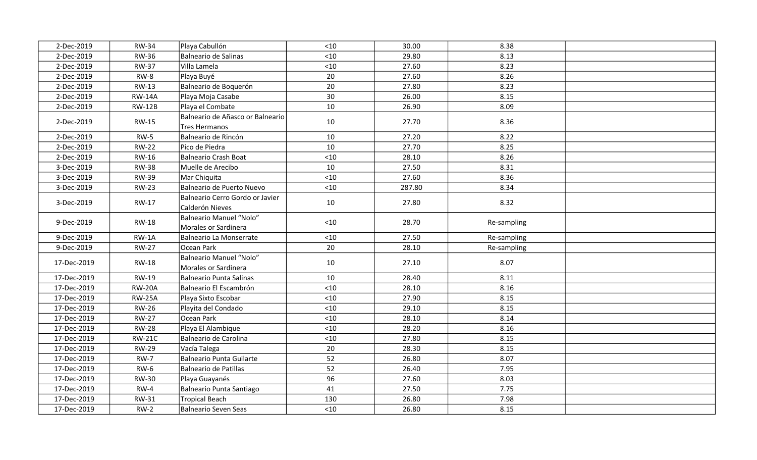| 2-Dec-2019  | <b>RW-34</b>  | Playa Cabullón                                     | < 10  | 30.00  | 8.38        |  |
|-------------|---------------|----------------------------------------------------|-------|--------|-------------|--|
| 2-Dec-2019  | <b>RW-36</b>  | Balneario de Salinas                               | $<10$ | 29.80  | 8.13        |  |
| 2-Dec-2019  | <b>RW-37</b>  | Villa Lamela                                       | $<10$ | 27.60  | 8.23        |  |
| 2-Dec-2019  | $RW-8$        | Playa Buyé                                         | 20    | 27.60  | 8.26        |  |
| 2-Dec-2019  | <b>RW-13</b>  | Balneario de Boquerón                              | 20    | 27.80  | 8.23        |  |
| 2-Dec-2019  | <b>RW-14A</b> | Playa Moja Casabe                                  | 30    | 26.00  | 8.15        |  |
| 2-Dec-2019  | <b>RW-12B</b> | Playa el Combate                                   | 10    | 26.90  | 8.09        |  |
| 2-Dec-2019  | RW-15         | Balneario de Añasco or Balneario<br>Tres Hermanos  | 10    | 27.70  | 8.36        |  |
| 2-Dec-2019  | $RW-5$        | Balneario de Rincón                                | 10    | 27.20  | 8.22        |  |
| 2-Dec-2019  | <b>RW-22</b>  | Pico de Piedra                                     | 10    | 27.70  | 8.25        |  |
| 2-Dec-2019  | RW-16         | Balneario Crash Boat                               | $<10$ | 28.10  | 8.26        |  |
| 3-Dec-2019  | <b>RW-38</b>  | Muelle de Arecibo                                  | 10    | 27.50  | 8.31        |  |
| 3-Dec-2019  | <b>RW-39</b>  | Mar Chiquita                                       | $<10$ | 27.60  | 8.36        |  |
| 3-Dec-2019  | <b>RW-23</b>  | Balneario de Puerto Nuevo                          | $<10$ | 287.80 | 8.34        |  |
| 3-Dec-2019  | RW-17         | Balneario Cerro Gordo or Javier<br>Calderón Nieves | 10    | 27.80  | 8.32        |  |
| 9-Dec-2019  | <b>RW-18</b>  | Balneario Manuel "Nolo"<br>Morales or Sardinera    | $<10$ | 28.70  | Re-sampling |  |
| 9-Dec-2019  | $RW-1A$       | Balneario La Monserrate                            | < 10  | 27.50  | Re-sampling |  |
| 9-Dec-2019  | <b>RW-27</b>  | Ocean Park                                         | 20    | 28.10  | Re-sampling |  |
| 17-Dec-2019 | <b>RW-18</b>  | Balneario Manuel "Nolo"<br>Morales or Sardinera    | 10    | 27.10  | 8.07        |  |
| 17-Dec-2019 | <b>RW-19</b>  | Balneario Punta Salinas                            | 10    | 28.40  | 8.11        |  |
| 17-Dec-2019 | <b>RW-20A</b> | Balneario El Escambrón                             | $<10$ | 28.10  | 8.16        |  |
| 17-Dec-2019 | <b>RW-25A</b> | Playa Sixto Escobar                                | < 10  | 27.90  | 8.15        |  |
| 17-Dec-2019 | <b>RW-26</b>  | Playita del Condado                                | < 10  | 29.10  | 8.15        |  |
| 17-Dec-2019 | <b>RW-27</b>  | Ocean Park                                         | $<10$ | 28.10  | 8.14        |  |
| 17-Dec-2019 | <b>RW-28</b>  | Playa El Alambique                                 | $<10$ | 28.20  | 8.16        |  |
| 17-Dec-2019 | <b>RW-21C</b> | Balneario de Carolina                              | $<10$ | 27.80  | 8.15        |  |
| 17-Dec-2019 | <b>RW-29</b>  | Vacía Talega                                       | 20    | 28.30  | 8.15        |  |
| 17-Dec-2019 | <b>RW-7</b>   | Balneario Punta Guilarte                           | 52    | 26.80  | 8.07        |  |
| 17-Dec-2019 | <b>RW-6</b>   | Balneario de Patillas                              | 52    | 26.40  | 7.95        |  |
| 17-Dec-2019 | <b>RW-30</b>  | Playa Guayanés                                     | 96    | 27.60  | 8.03        |  |
| 17-Dec-2019 | $RW-4$        | Balneario Punta Santiago                           | 41    | 27.50  | 7.75        |  |
| 17-Dec-2019 | RW-31         | Tropical Beach                                     | 130   | 26.80  | 7.98        |  |
| 17-Dec-2019 | $RW-2$        | Balneario Seven Seas                               | < 10  | 26.80  | 8.15        |  |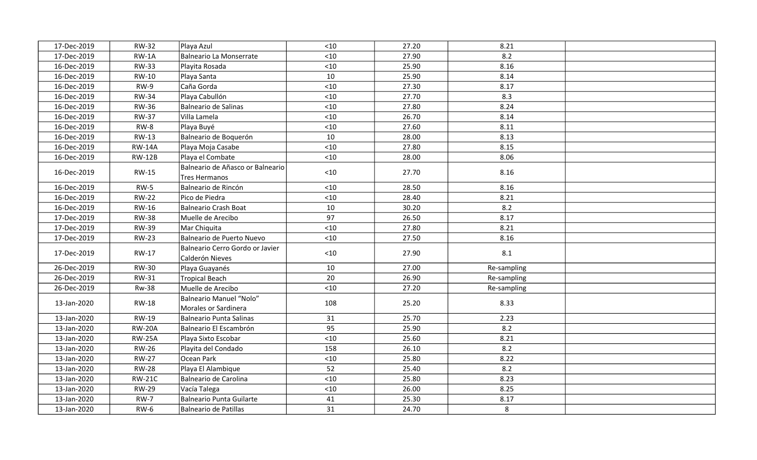| 17-Dec-2019 | <b>RW-32</b>  | Playa Azul                                         | < 10  | 27.20 | 8.21        |  |
|-------------|---------------|----------------------------------------------------|-------|-------|-------------|--|
| 17-Dec-2019 | $RW-1A$       | Balneario La Monserrate                            | $<10$ | 27.90 | 8.2         |  |
| 16-Dec-2019 | <b>RW-33</b>  | Playita Rosada                                     | $<10$ | 25.90 | 8.16        |  |
| 16-Dec-2019 | RW-10         | Playa Santa                                        | 10    | 25.90 | 8.14        |  |
| 16-Dec-2019 | RW-9          | Caña Gorda                                         | $<10$ | 27.30 | 8.17        |  |
| 16-Dec-2019 | <b>RW-34</b>  | Playa Cabullón                                     | < 10  | 27.70 | 8.3         |  |
| 16-Dec-2019 | <b>RW-36</b>  | Balneario de Salinas                               | $<10$ | 27.80 | 8.24        |  |
| 16-Dec-2019 | <b>RW-37</b>  | Villa Lamela                                       | < 10  | 26.70 | 8.14        |  |
| 16-Dec-2019 | $RW-8$        | Playa Buyé                                         | $<10$ | 27.60 | 8.11        |  |
| 16-Dec-2019 | RW-13         | Balneario de Boquerón                              | 10    | 28.00 | 8.13        |  |
| 16-Dec-2019 | <b>RW-14A</b> | Playa Moja Casabe                                  | $<10$ | 27.80 | 8.15        |  |
| 16-Dec-2019 | <b>RW-12B</b> | Playa el Combate                                   | $<10$ | 28.00 | 8.06        |  |
| 16-Dec-2019 | <b>RW-15</b>  | Balneario de Añasco or Balneario<br>Tres Hermanos  | < 10  | 27.70 | 8.16        |  |
| 16-Dec-2019 | $RW-5$        | Balneario de Rincón                                | $<10$ | 28.50 | 8.16        |  |
| 16-Dec-2019 | <b>RW-22</b>  | Pico de Piedra                                     | < 10  | 28.40 | 8.21        |  |
| 16-Dec-2019 | <b>RW-16</b>  | Balneario Crash Boat                               | 10    | 30.20 | 8.2         |  |
| 17-Dec-2019 | <b>RW-38</b>  | Muelle de Arecibo                                  | 97    | 26.50 | 8.17        |  |
| 17-Dec-2019 | <b>RW-39</b>  | Mar Chiquita                                       | $<10$ | 27.80 | 8.21        |  |
| 17-Dec-2019 | <b>RW-23</b>  | Balneario de Puerto Nuevo                          | $<10$ | 27.50 | 8.16        |  |
| 17-Dec-2019 | RW-17         | Balneario Cerro Gordo or Javier<br>Calderón Nieves | $<10$ | 27.90 | 8.1         |  |
| 26-Dec-2019 | <b>RW-30</b>  | Playa Guayanés                                     | 10    | 27.00 | Re-sampling |  |
| 26-Dec-2019 | <b>RW-31</b>  | Tropical Beach                                     | 20    | 26.90 | Re-sampling |  |
| 26-Dec-2019 | <b>Rw-38</b>  | Muelle de Arecibo                                  | $<10$ | 27.20 | Re-sampling |  |
| 13-Jan-2020 | <b>RW-18</b>  | Balneario Manuel "Nolo"<br>Morales or Sardinera    | 108   | 25.20 | 8.33        |  |
| 13-Jan-2020 | <b>RW-19</b>  | Balneario Punta Salinas                            | 31    | 25.70 | 2.23        |  |
| 13-Jan-2020 | <b>RW-20A</b> | Balneario El Escambrón                             | 95    | 25.90 | 8.2         |  |
| 13-Jan-2020 | <b>RW-25A</b> | Playa Sixto Escobar                                | < 10  | 25.60 | 8.21        |  |
| 13-Jan-2020 | <b>RW-26</b>  | Playita del Condado                                | 158   | 26.10 | 8.2         |  |
| 13-Jan-2020 | <b>RW-27</b>  | Ocean Park                                         | $<10$ | 25.80 | 8.22        |  |
| 13-Jan-2020 | <b>RW-28</b>  | Playa El Alambique                                 | 52    | 25.40 | 8.2         |  |
| 13-Jan-2020 | <b>RW-21C</b> | Balneario de Carolina                              | < 10  | 25.80 | 8.23        |  |
| 13-Jan-2020 | <b>RW-29</b>  | Vacía Talega                                       | < 10  | 26.00 | 8.25        |  |
| 13-Jan-2020 | <b>RW-7</b>   | Balneario Punta Guilarte                           | 41    | 25.30 | 8.17        |  |
| 13-Jan-2020 | <b>RW-6</b>   | Balneario de Patillas                              | 31    | 24.70 | 8           |  |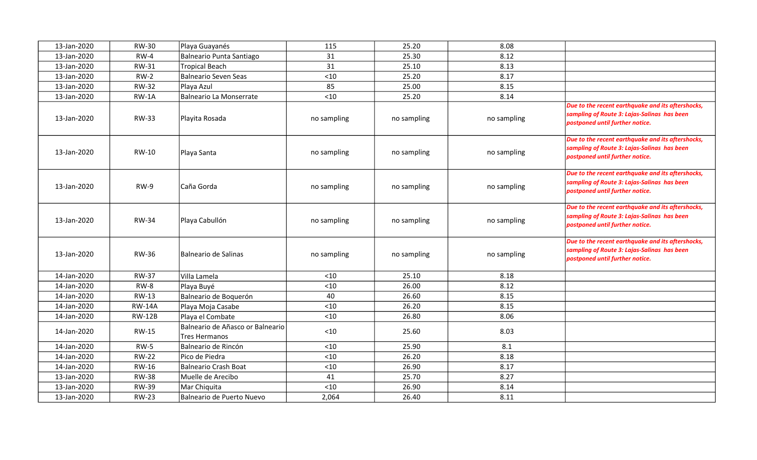| 13-Jan-2020 | <b>RW-30</b>  | Playa Guayanés                                    | 115         | 25.20       | 8.08        |                                                                                                                                     |
|-------------|---------------|---------------------------------------------------|-------------|-------------|-------------|-------------------------------------------------------------------------------------------------------------------------------------|
| 13-Jan-2020 | $RW-4$        | Balneario Punta Santiago                          | 31          | 25.30       | 8.12        |                                                                                                                                     |
| 13-Jan-2020 | <b>RW-31</b>  | Tropical Beach                                    | 31          | 25.10       | 8.13        |                                                                                                                                     |
| 13-Jan-2020 | $RW-2$        | Balneario Seven Seas                              | < 10        | 25.20       | 8.17        |                                                                                                                                     |
| 13-Jan-2020 | <b>RW-32</b>  | Playa Azul                                        | 85          | 25.00       | 8.15        |                                                                                                                                     |
| 13-Jan-2020 | $RW-1A$       | Balneario La Monserrate                           | $<10$       | 25.20       | 8.14        |                                                                                                                                     |
| 13-Jan-2020 | <b>RW-33</b>  | Playita Rosada                                    | no sampling | no sampling | no sampling | Due to the recent earthquake and its aftershocks,<br>sampling of Route 3: Lajas-Salinas has been<br>postponed until further notice. |
| 13-Jan-2020 | RW-10         | Playa Santa                                       | no sampling | no sampling | no sampling | Due to the recent earthquake and its aftershocks,<br>sampling of Route 3: Lajas-Salinas has been<br>postponed until further notice. |
| 13-Jan-2020 | $RW-9$        | Caña Gorda                                        | no sampling | no sampling | no sampling | Due to the recent earthquake and its aftershocks,<br>sampling of Route 3: Lajas-Salinas has been<br>postponed until further notice. |
| 13-Jan-2020 | <b>RW-34</b>  | Playa Cabullón                                    | no sampling | no sampling | no sampling | Due to the recent earthquake and its aftershocks,<br>sampling of Route 3: Lajas-Salinas has been<br>postponed until further notice. |
| 13-Jan-2020 | <b>RW-36</b>  | Balneario de Salinas                              | no sampling | no sampling | no sampling | Due to the recent earthquake and its aftershocks,<br>sampling of Route 3: Lajas-Salinas has been<br>postponed until further notice. |
| 14-Jan-2020 | <b>RW-37</b>  | Villa Lamela                                      | $<$ 10      | 25.10       | 8.18        |                                                                                                                                     |
| 14-Jan-2020 | $RW-8$        | Playa Buyé                                        | < 10        | 26.00       | 8.12        |                                                                                                                                     |
| 14-Jan-2020 | <b>RW-13</b>  | Balneario de Boquerón                             | 40          | 26.60       | 8.15        |                                                                                                                                     |
| 14-Jan-2020 | <b>RW-14A</b> | Playa Moja Casabe                                 | < 10        | 26.20       | 8.15        |                                                                                                                                     |
| 14-Jan-2020 | <b>RW-12B</b> | Playa el Combate                                  | < 10        | 26.80       | 8.06        |                                                                                                                                     |
| 14-Jan-2020 | <b>RW-15</b>  | Balneario de Añasco or Balneario<br>Tres Hermanos | < 10        | 25.60       | 8.03        |                                                                                                                                     |
| 14-Jan-2020 | <b>RW-5</b>   | Balneario de Rincón                               | $<$ 10      | 25.90       | 8.1         |                                                                                                                                     |
| 14-Jan-2020 | <b>RW-22</b>  | Pico de Piedra                                    | < 10        | 26.20       | 8.18        |                                                                                                                                     |
| 14-Jan-2020 | <b>RW-16</b>  | Balneario Crash Boat                              | < 10        | 26.90       | 8.17        |                                                                                                                                     |
| 13-Jan-2020 | <b>RW-38</b>  | Muelle de Arecibo                                 | 41          | 25.70       | 8.27        |                                                                                                                                     |
| 13-Jan-2020 | <b>RW-39</b>  | Mar Chiquita                                      | < 10        | 26.90       | 8.14        |                                                                                                                                     |
| 13-Jan-2020 | <b>RW-23</b>  | Balneario de Puerto Nuevo                         | 2,064       | 26.40       | 8.11        |                                                                                                                                     |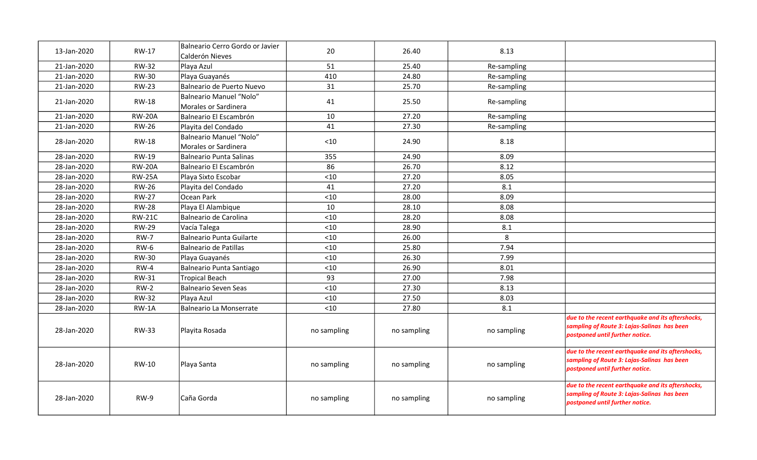| 13-Jan-2020 | RW-17         | Balneario Cerro Gordo or Javier<br>Calderón Nieves     | 20          | 26.40       | 8.13        |                                                                                                                                     |
|-------------|---------------|--------------------------------------------------------|-------------|-------------|-------------|-------------------------------------------------------------------------------------------------------------------------------------|
| 21-Jan-2020 | <b>RW-32</b>  | Playa Azul                                             | 51          | 25.40       | Re-sampling |                                                                                                                                     |
| 21-Jan-2020 | <b>RW-30</b>  | Playa Guayanés                                         | 410         | 24.80       | Re-sampling |                                                                                                                                     |
| 21-Jan-2020 | <b>RW-23</b>  | Balneario de Puerto Nuevo                              | 31          | 25.70       | Re-sampling |                                                                                                                                     |
| 21-Jan-2020 | <b>RW-18</b>  | <b>Balneario Manuel "Nolo"</b><br>Morales or Sardinera | 41          | 25.50       | Re-sampling |                                                                                                                                     |
| 21-Jan-2020 | <b>RW-20A</b> | Balneario El Escambrón                                 | 10          | 27.20       | Re-sampling |                                                                                                                                     |
| 21-Jan-2020 | <b>RW-26</b>  | Playita del Condado                                    | 41          | 27.30       | Re-sampling |                                                                                                                                     |
| 28-Jan-2020 | RW-18         | <b>Balneario Manuel "Nolo"</b><br>Morales or Sardinera | < 10        | 24.90       | 8.18        |                                                                                                                                     |
| 28-Jan-2020 | <b>RW-19</b>  | <b>Balneario Punta Salinas</b>                         | 355         | 24.90       | 8.09        |                                                                                                                                     |
| 28-Jan-2020 | <b>RW-20A</b> | Balneario El Escambrón                                 | 86          | 26.70       | 8.12        |                                                                                                                                     |
| 28-Jan-2020 | <b>RW-25A</b> | Playa Sixto Escobar                                    | < 10        | 27.20       | 8.05        |                                                                                                                                     |
| 28-Jan-2020 | <b>RW-26</b>  | Playita del Condado                                    | 41          | 27.20       | 8.1         |                                                                                                                                     |
| 28-Jan-2020 | <b>RW-27</b>  | Ocean Park                                             | $<10$       | 28.00       | 8.09        |                                                                                                                                     |
| 28-Jan-2020 | <b>RW-28</b>  | Playa El Alambique                                     | 10          | 28.10       | 8.08        |                                                                                                                                     |
| 28-Jan-2020 | <b>RW-21C</b> | Balneario de Carolina                                  | < 10        | 28.20       | 8.08        |                                                                                                                                     |
| 28-Jan-2020 | <b>RW-29</b>  | Vacía Talega                                           | $<10$       | 28.90       | 8.1         |                                                                                                                                     |
| 28-Jan-2020 | <b>RW-7</b>   | <b>Balneario Punta Guilarte</b>                        | $<10$       | 26.00       | 8           |                                                                                                                                     |
| 28-Jan-2020 | <b>RW-6</b>   | <b>Balneario de Patillas</b>                           | $<10$       | 25.80       | 7.94        |                                                                                                                                     |
| 28-Jan-2020 | <b>RW-30</b>  | Playa Guayanés                                         | < 10        | 26.30       | 7.99        |                                                                                                                                     |
| 28-Jan-2020 | $RW-4$        | Balneario Punta Santiago                               | $<10$       | 26.90       | 8.01        |                                                                                                                                     |
| 28-Jan-2020 | RW-31         | <b>Tropical Beach</b>                                  | 93          | 27.00       | 7.98        |                                                                                                                                     |
| 28-Jan-2020 | $RW-2$        | <b>Balneario Seven Seas</b>                            | < 10        | 27.30       | 8.13        |                                                                                                                                     |
| 28-Jan-2020 | <b>RW-32</b>  | Playa Azul                                             | $<10$       | 27.50       | 8.03        |                                                                                                                                     |
| 28-Jan-2020 | $RW-1A$       | <b>Balneario La Monserrate</b>                         | $<10$       | 27.80       | 8.1         |                                                                                                                                     |
| 28-Jan-2020 | <b>RW-33</b>  | Playita Rosada                                         | no sampling | no sampling | no sampling | due to the recent earthquake and its aftershocks,<br>sampling of Route 3: Lajas-Salinas has been<br>postponed until further notice. |
| 28-Jan-2020 | RW-10         | Playa Santa                                            | no sampling | no sampling | no sampling | due to the recent earthquake and its aftershocks,<br>sampling of Route 3: Lajas-Salinas has been<br>postponed until further notice. |
| 28-Jan-2020 | $RW-9$        | Caña Gorda                                             | no sampling | no sampling | no sampling | due to the recent earthquake and its aftershocks,<br>sampling of Route 3: Lajas-Salinas has been<br>postponed until further notice. |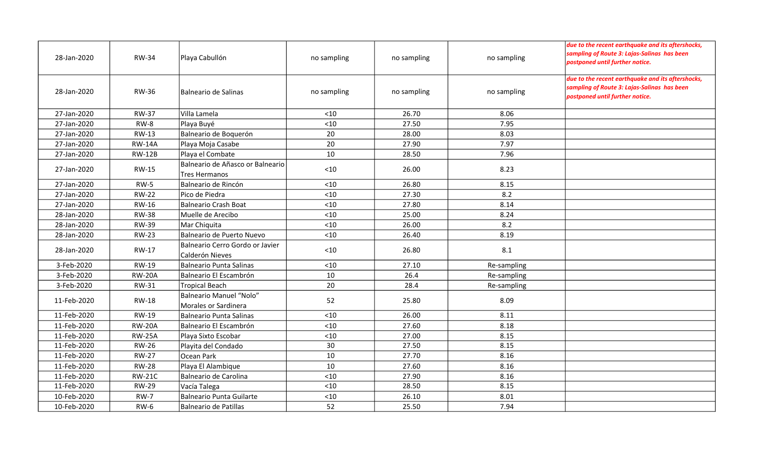| 28-Jan-2020 | <b>RW-34</b>  | Playa Cabullón                                           | no sampling | no sampling | no sampling | due to the recent earthquake and its aftershocks,<br>sampling of Route 3: Lajas-Salinas has been<br>postponed until further notice. |
|-------------|---------------|----------------------------------------------------------|-------------|-------------|-------------|-------------------------------------------------------------------------------------------------------------------------------------|
| 28-Jan-2020 | <b>RW-36</b>  | Balneario de Salinas                                     | no sampling | no sampling | no sampling | due to the recent earthquake and its aftershocks,<br>sampling of Route 3: Lajas-Salinas has been<br>postponed until further notice. |
| 27-Jan-2020 | <b>RW-37</b>  | Villa Lamela                                             | < 10        | 26.70       | 8.06        |                                                                                                                                     |
| 27-Jan-2020 | <b>RW-8</b>   | Playa Buyé                                               | $<10$       | 27.50       | 7.95        |                                                                                                                                     |
| 27-Jan-2020 | <b>RW-13</b>  | Balneario de Boquerón                                    | 20          | 28.00       | 8.03        |                                                                                                                                     |
| 27-Jan-2020 | <b>RW-14A</b> | Playa Moja Casabe                                        | 20          | 27.90       | 7.97        |                                                                                                                                     |
| 27-Jan-2020 | <b>RW-12B</b> | Playa el Combate                                         | 10          | 28.50       | 7.96        |                                                                                                                                     |
| 27-Jan-2020 | <b>RW-15</b>  | Balneario de Añasco or Balneario<br><b>Tres Hermanos</b> | $<10$       | 26.00       | 8.23        |                                                                                                                                     |
| 27-Jan-2020 | $RW-5$        | Balneario de Rincón                                      | $<10$       | 26.80       | 8.15        |                                                                                                                                     |
| 27-Jan-2020 | <b>RW-22</b>  | Pico de Piedra                                           | $10$        | 27.30       | 8.2         |                                                                                                                                     |
| 27-Jan-2020 | <b>RW-16</b>  | Balneario Crash Boat                                     | $<10$       | 27.80       | 8.14        |                                                                                                                                     |
| 28-Jan-2020 | <b>RW-38</b>  | Muelle de Arecibo                                        | $<10$       | 25.00       | 8.24        |                                                                                                                                     |
| 28-Jan-2020 | <b>RW-39</b>  | Mar Chiquita                                             | < 10        | 26.00       | 8.2         |                                                                                                                                     |
| 28-Jan-2020 | <b>RW-23</b>  | Balneario de Puerto Nuevo                                | $10$        | 26.40       | 8.19        |                                                                                                                                     |
| 28-Jan-2020 | <b>RW-17</b>  | Balneario Cerro Gordo or Javier <br>Calderón Nieves      | $<10$       | 26.80       | 8.1         |                                                                                                                                     |
| 3-Feb-2020  | <b>RW-19</b>  | Balneario Punta Salinas                                  | $<10$       | 27.10       | Re-sampling |                                                                                                                                     |
| 3-Feb-2020  | <b>RW-20A</b> | Balneario El Escambrón                                   | 10          | 26.4        | Re-sampling |                                                                                                                                     |
| 3-Feb-2020  | RW-31         | Tropical Beach                                           | 20          | 28.4        | Re-sampling |                                                                                                                                     |
| 11-Feb-2020 | <b>RW-18</b>  | Balneario Manuel "Nolo"<br>Morales or Sardinera          | 52          | 25.80       | 8.09        |                                                                                                                                     |
| 11-Feb-2020 | <b>RW-19</b>  | Balneario Punta Salinas                                  | < 10        | 26.00       | 8.11        |                                                                                                                                     |
| 11-Feb-2020 | <b>RW-20A</b> | Balneario El Escambrón                                   | $<10$       | 27.60       | 8.18        |                                                                                                                                     |
| 11-Feb-2020 | <b>RW-25A</b> | Playa Sixto Escobar                                      | $<10$       | 27.00       | 8.15        |                                                                                                                                     |
| 11-Feb-2020 | <b>RW-26</b>  | Playita del Condado                                      | 30          | 27.50       | 8.15        |                                                                                                                                     |
| 11-Feb-2020 | <b>RW-27</b>  | Ocean Park                                               | 10          | 27.70       | 8.16        |                                                                                                                                     |
| 11-Feb-2020 | <b>RW-28</b>  | Playa El Alambique                                       | 10          | 27.60       | 8.16        |                                                                                                                                     |
| 11-Feb-2020 | <b>RW-21C</b> | Balneario de Carolina                                    | $<10$       | 27.90       | 8.16        |                                                                                                                                     |
| 11-Feb-2020 | <b>RW-29</b>  | Vacía Talega                                             | < 10        | 28.50       | 8.15        |                                                                                                                                     |
| 10-Feb-2020 | <b>RW-7</b>   | Balneario Punta Guilarte                                 | $<10$       | 26.10       | 8.01        |                                                                                                                                     |
| 10-Feb-2020 | <b>RW-6</b>   | Balneario de Patillas                                    | 52          | 25.50       | 7.94        |                                                                                                                                     |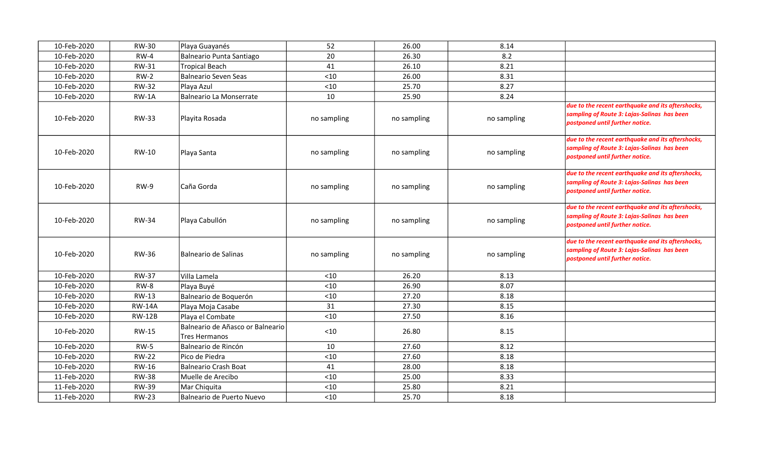| 10-Feb-2020 | <b>RW-30</b>  | Playa Guayanés                                           | 52          | 26.00       | 8.14        |                                                                                                                                     |
|-------------|---------------|----------------------------------------------------------|-------------|-------------|-------------|-------------------------------------------------------------------------------------------------------------------------------------|
| 10-Feb-2020 | $RW-4$        | Balneario Punta Santiago                                 | 20          | 26.30       | 8.2         |                                                                                                                                     |
| 10-Feb-2020 | <b>RW-31</b>  | <b>Tropical Beach</b>                                    | 41          | 26.10       | 8.21        |                                                                                                                                     |
| 10-Feb-2020 | $RW-2$        | Balneario Seven Seas                                     | < 10        | 26.00       | 8.31        |                                                                                                                                     |
| 10-Feb-2020 | <b>RW-32</b>  | Playa Azul                                               | < 10        | 25.70       | 8.27        |                                                                                                                                     |
| 10-Feb-2020 | RW-1A         | Balneario La Monserrate                                  | 10          | 25.90       | 8.24        |                                                                                                                                     |
| 10-Feb-2020 | <b>RW-33</b>  | Playita Rosada                                           | no sampling | no sampling | no sampling | due to the recent earthquake and its aftershocks,<br>sampling of Route 3: Lajas-Salinas has been<br>postponed until further notice. |
| 10-Feb-2020 | <b>RW-10</b>  | Playa Santa                                              | no sampling | no sampling | no sampling | due to the recent earthquake and its aftershocks,<br>sampling of Route 3: Lajas-Salinas has been<br>postponed until further notice. |
| 10-Feb-2020 | <b>RW-9</b>   | Caña Gorda                                               | no sampling | no sampling | no sampling | due to the recent earthquake and its aftershocks,<br>sampling of Route 3: Lajas-Salinas has been<br>postponed until further notice. |
| 10-Feb-2020 | <b>RW-34</b>  | Playa Cabullón                                           | no sampling | no sampling | no sampling | due to the recent earthquake and its aftershocks,<br>sampling of Route 3: Lajas-Salinas has been<br>postponed until further notice. |
| 10-Feb-2020 | <b>RW-36</b>  | <b>Balneario de Salinas</b>                              | no sampling | no sampling | no sampling | due to the recent earthquake and its aftershocks,<br>sampling of Route 3: Lajas-Salinas has been<br>postponed until further notice. |
| 10-Feb-2020 | <b>RW-37</b>  | Villa Lamela                                             | $<$ 10      | 26.20       | 8.13        |                                                                                                                                     |
| 10-Feb-2020 | <b>RW-8</b>   | Playa Buyé                                               | < 10        | 26.90       | 8.07        |                                                                                                                                     |
| 10-Feb-2020 | <b>RW-13</b>  | Balneario de Boquerón                                    | < 10        | 27.20       | 8.18        |                                                                                                                                     |
| 10-Feb-2020 | <b>RW-14A</b> | Playa Moja Casabe                                        | 31          | 27.30       | 8.15        |                                                                                                                                     |
| 10-Feb-2020 | <b>RW-12B</b> | Playa el Combate                                         | < 10        | 27.50       | 8.16        |                                                                                                                                     |
| 10-Feb-2020 | <b>RW-15</b>  | Balneario de Añasco or Balneario<br><b>Tres Hermanos</b> | < 10        | 26.80       | 8.15        |                                                                                                                                     |
| 10-Feb-2020 | <b>RW-5</b>   | Balneario de Rincón                                      | 10          | 27.60       | 8.12        |                                                                                                                                     |
| 10-Feb-2020 | <b>RW-22</b>  | Pico de Piedra                                           | $<10$       | 27.60       | 8.18        |                                                                                                                                     |
| 10-Feb-2020 | <b>RW-16</b>  | Balneario Crash Boat                                     | 41          | 28.00       | 8.18        |                                                                                                                                     |
| 11-Feb-2020 | <b>RW-38</b>  | Muelle de Arecibo                                        | $<10$       | 25.00       | 8.33        |                                                                                                                                     |
| 11-Feb-2020 | <b>RW-39</b>  | Mar Chiquita                                             | $<10$       | 25.80       | 8.21        |                                                                                                                                     |
| 11-Feb-2020 | <b>RW-23</b>  | Balneario de Puerto Nuevo                                | $<10$       | 25.70       | 8.18        |                                                                                                                                     |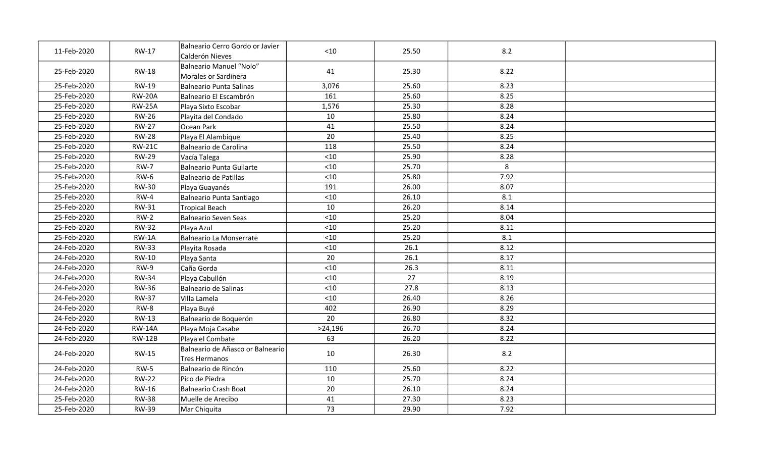| 11-Feb-2020 | RW-17         | Balneario Cerro Gordo or Javier<br>Calderón Nieves | $<$ 10  | 25.50 | 8.2  |  |
|-------------|---------------|----------------------------------------------------|---------|-------|------|--|
| 25-Feb-2020 | <b>RW-18</b>  | Balneario Manuel "Nolo"<br>Morales or Sardinera    | 41      | 25.30 | 8.22 |  |
| 25-Feb-2020 | <b>RW-19</b>  | Balneario Punta Salinas                            | 3,076   | 25.60 | 8.23 |  |
| 25-Feb-2020 | <b>RW-20A</b> | Balneario El Escambrón                             | 161     | 25.60 | 8.25 |  |
| 25-Feb-2020 | <b>RW-25A</b> | Playa Sixto Escobar                                | 1,576   | 25.30 | 8.28 |  |
| 25-Feb-2020 | <b>RW-26</b>  | Playita del Condado                                | 10      | 25.80 | 8.24 |  |
| 25-Feb-2020 | <b>RW-27</b>  | Ocean Park                                         | 41      | 25.50 | 8.24 |  |
| 25-Feb-2020 | <b>RW-28</b>  | Playa El Alambique                                 | 20      | 25.40 | 8.25 |  |
| 25-Feb-2020 | <b>RW-21C</b> | Balneario de Carolina                              | 118     | 25.50 | 8.24 |  |
| 25-Feb-2020 | <b>RW-29</b>  | Vacía Talega                                       | $<10$   | 25.90 | 8.28 |  |
| 25-Feb-2020 | <b>RW-7</b>   | Balneario Punta Guilarte                           | $<10$   | 25.70 | 8    |  |
| 25-Feb-2020 | $RW-6$        | Balneario de Patillas                              | $<10$   | 25.80 | 7.92 |  |
| 25-Feb-2020 | <b>RW-30</b>  | Playa Guayanés                                     | 191     | 26.00 | 8.07 |  |
| 25-Feb-2020 | $RW-4$        | Balneario Punta Santiago                           | $<10$   | 26.10 | 8.1  |  |
| 25-Feb-2020 | <b>RW-31</b>  | Tropical Beach                                     | 10      | 26.20 | 8.14 |  |
| 25-Feb-2020 | $RW-2$        | Balneario Seven Seas                               | $<10$   | 25.20 | 8.04 |  |
| 25-Feb-2020 | <b>RW-32</b>  | Playa Azul                                         | $<10$   | 25.20 | 8.11 |  |
| 25-Feb-2020 | $RW-1A$       | Balneario La Monserrate                            | $<10$   | 25.20 | 8.1  |  |
| 24-Feb-2020 | <b>RW-33</b>  | Playita Rosada                                     | $<10$   | 26.1  | 8.12 |  |
| 24-Feb-2020 | RW-10         | Playa Santa                                        | 20      | 26.1  | 8.17 |  |
| 24-Feb-2020 | $RW-9$        | Caña Gorda                                         | < 10    | 26.3  | 8.11 |  |
| 24-Feb-2020 | <b>RW-34</b>  | Playa Cabullón                                     | < 10    | 27    | 8.19 |  |
| 24-Feb-2020 | <b>RW-36</b>  | Balneario de Salinas                               | $<10$   | 27.8  | 8.13 |  |
| 24-Feb-2020 | <b>RW-37</b>  | Villa Lamela                                       | < 10    | 26.40 | 8.26 |  |
| 24-Feb-2020 | $RW-8$        | Playa Buyé                                         | 402     | 26.90 | 8.29 |  |
| 24-Feb-2020 | <b>RW-13</b>  | Balneario de Boquerón                              | 20      | 26.80 | 8.32 |  |
| 24-Feb-2020 | <b>RW-14A</b> | Playa Moja Casabe                                  | >24,196 | 26.70 | 8.24 |  |
| 24-Feb-2020 | <b>RW-12B</b> | Playa el Combate                                   | 63      | 26.20 | 8.22 |  |
| 24-Feb-2020 | <b>RW-15</b>  | Balneario de Añasco or Balneario<br>Tres Hermanos  | 10      | 26.30 | 8.2  |  |
| 24-Feb-2020 | $RW-5$        | Balneario de Rincón                                | 110     | 25.60 | 8.22 |  |
| 24-Feb-2020 | <b>RW-22</b>  | Pico de Piedra                                     | 10      | 25.70 | 8.24 |  |
| 24-Feb-2020 | RW-16         | Balneario Crash Boat                               | 20      | 26.10 | 8.24 |  |
| 25-Feb-2020 | <b>RW-38</b>  | Muelle de Arecibo                                  | 41      | 27.30 | 8.23 |  |
| 25-Feb-2020 | <b>RW-39</b>  | Mar Chiquita                                       | 73      | 29.90 | 7.92 |  |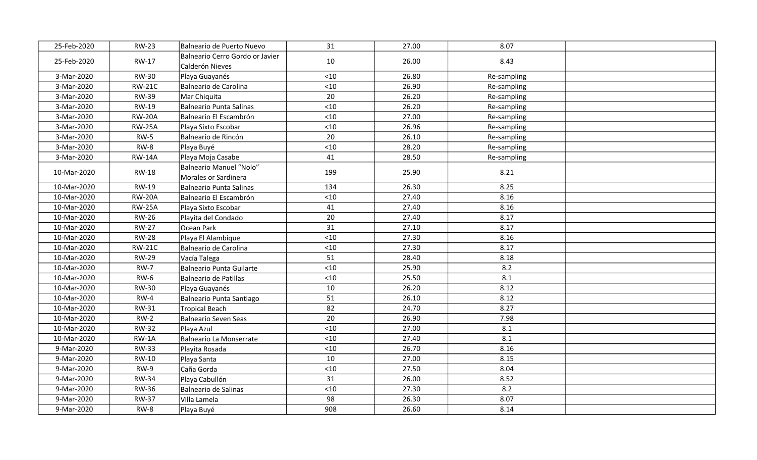| 25-Feb-2020 | <b>RW-23</b>  | Balneario de Puerto Nuevo                          | 31    | 27.00 | 8.07        |  |
|-------------|---------------|----------------------------------------------------|-------|-------|-------------|--|
| 25-Feb-2020 | <b>RW-17</b>  | Balneario Cerro Gordo or Javier<br>Calderón Nieves | 10    | 26.00 | 8.43        |  |
| 3-Mar-2020  | <b>RW-30</b>  | Playa Guayanés                                     | < 10  | 26.80 | Re-sampling |  |
| 3-Mar-2020  | <b>RW-21C</b> | Balneario de Carolina                              | $<10$ | 26.90 | Re-sampling |  |
| 3-Mar-2020  | <b>RW-39</b>  | Mar Chiquita                                       | 20    | 26.20 | Re-sampling |  |
| 3-Mar-2020  | RW-19         | Balneario Punta Salinas                            | $<10$ | 26.20 | Re-sampling |  |
| 3-Mar-2020  | <b>RW-20A</b> | Balneario El Escambrón                             | $<10$ | 27.00 | Re-sampling |  |
| 3-Mar-2020  | <b>RW-25A</b> | Playa Sixto Escobar                                | $<10$ | 26.96 | Re-sampling |  |
| 3-Mar-2020  | $RW-5$        | Balneario de Rincón                                | 20    | 26.10 | Re-sampling |  |
| 3-Mar-2020  | RW-8          | Playa Buyé                                         | $<10$ | 28.20 | Re-sampling |  |
| 3-Mar-2020  | <b>RW-14A</b> | Playa Moja Casabe                                  | 41    | 28.50 | Re-sampling |  |
| 10-Mar-2020 | <b>RW-18</b>  | Balneario Manuel "Nolo"<br>Morales or Sardinera    | 199   | 25.90 | 8.21        |  |
| 10-Mar-2020 | RW-19         | Balneario Punta Salinas                            | 134   | 26.30 | 8.25        |  |
| 10-Mar-2020 | <b>RW-20A</b> | Balneario El Escambrón                             | $<10$ | 27.40 | 8.16        |  |
| 10-Mar-2020 | <b>RW-25A</b> | Playa Sixto Escobar                                | 41    | 27.40 | 8.16        |  |
| 10-Mar-2020 | <b>RW-26</b>  | Playita del Condado                                | 20    | 27.40 | 8.17        |  |
| 10-Mar-2020 | <b>RW-27</b>  | Ocean Park                                         | 31    | 27.10 | 8.17        |  |
| 10-Mar-2020 | <b>RW-28</b>  | Playa El Alambique                                 | $<10$ | 27.30 | 8.16        |  |
| 10-Mar-2020 | <b>RW-21C</b> | Balneario de Carolina                              | $<10$ | 27.30 | 8.17        |  |
| 10-Mar-2020 | <b>RW-29</b>  | Vacía Talega                                       | 51    | 28.40 | 8.18        |  |
| 10-Mar-2020 | <b>RW-7</b>   | Balneario Punta Guilarte                           | $<10$ | 25.90 | 8.2         |  |
| 10-Mar-2020 | $RW-6$        | Balneario de Patillas                              | $<10$ | 25.50 | 8.1         |  |
| 10-Mar-2020 | <b>RW-30</b>  | Playa Guayanés                                     | 10    | 26.20 | 8.12        |  |
| 10-Mar-2020 | $RW-4$        | Balneario Punta Santiago                           | 51    | 26.10 | 8.12        |  |
| 10-Mar-2020 | <b>RW-31</b>  | Tropical Beach                                     | 82    | 24.70 | 8.27        |  |
| 10-Mar-2020 | $RW-2$        | Balneario Seven Seas                               | 20    | 26.90 | 7.98        |  |
| 10-Mar-2020 | <b>RW-32</b>  | Playa Azul                                         | $<10$ | 27.00 | 8.1         |  |
| 10-Mar-2020 | $RW-1A$       | Balneario La Monserrate                            | < 10  | 27.40 | 8.1         |  |
| 9-Mar-2020  | <b>RW-33</b>  | Playita Rosada                                     | $<10$ | 26.70 | 8.16        |  |
| 9-Mar-2020  | <b>RW-10</b>  | Playa Santa                                        | 10    | 27.00 | 8.15        |  |
| 9-Mar-2020  | RW-9          | Caña Gorda                                         | < 10  | 27.50 | 8.04        |  |
| 9-Mar-2020  | <b>RW-34</b>  | Playa Cabullón                                     | 31    | 26.00 | 8.52        |  |
| 9-Mar-2020  | <b>RW-36</b>  | Balneario de Salinas                               | < 10  | 27.30 | 8.2         |  |
| 9-Mar-2020  | <b>RW-37</b>  | Villa Lamela                                       | 98    | 26.30 | 8.07        |  |
| 9-Mar-2020  | RW-8          | Playa Buyé                                         | 908   | 26.60 | 8.14        |  |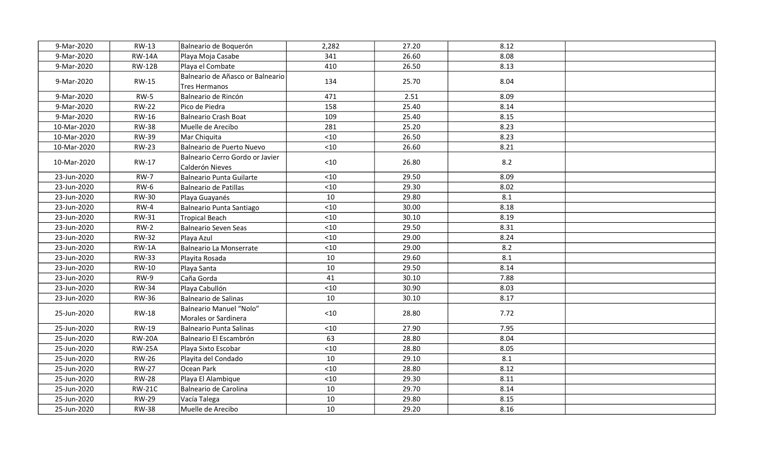| 9-Mar-2020  | <b>RW-13</b>  | Balneario de Boquerón                              | 2,282 | 27.20 | 8.12 |  |
|-------------|---------------|----------------------------------------------------|-------|-------|------|--|
| 9-Mar-2020  | <b>RW-14A</b> | Playa Moja Casabe                                  | 341   | 26.60 | 8.08 |  |
| 9-Mar-2020  | <b>RW-12B</b> | Playa el Combate                                   | 410   | 26.50 | 8.13 |  |
| 9-Mar-2020  | <b>RW-15</b>  | Balneario de Añasco or Balneario<br>Tres Hermanos  | 134   | 25.70 | 8.04 |  |
| 9-Mar-2020  | $RW-5$        | Balneario de Rincón                                | 471   | 2.51  | 8.09 |  |
| 9-Mar-2020  | <b>RW-22</b>  | Pico de Piedra                                     | 158   | 25.40 | 8.14 |  |
| 9-Mar-2020  | RW-16         | Balneario Crash Boat                               | 109   | 25.40 | 8.15 |  |
| 10-Mar-2020 | <b>RW-38</b>  | Muelle de Arecibo                                  | 281   | 25.20 | 8.23 |  |
| 10-Mar-2020 | <b>RW-39</b>  | Mar Chiquita                                       | $<10$ | 26.50 | 8.23 |  |
| 10-Mar-2020 | <b>RW-23</b>  | Balneario de Puerto Nuevo                          | $<10$ | 26.60 | 8.21 |  |
| 10-Mar-2020 | RW-17         | Balneario Cerro Gordo or Javier<br>Calderón Nieves | $<10$ | 26.80 | 8.2  |  |
| 23-Jun-2020 | <b>RW-7</b>   | Balneario Punta Guilarte                           | < 10  | 29.50 | 8.09 |  |
| 23-Jun-2020 | <b>RW-6</b>   | Balneario de Patillas                              | $<10$ | 29.30 | 8.02 |  |
| 23-Jun-2020 | <b>RW-30</b>  | Playa Guayanés                                     | 10    | 29.80 | 8.1  |  |
| 23-Jun-2020 | $RW-4$        | Balneario Punta Santiago                           | < 10  | 30.00 | 8.18 |  |
| 23-Jun-2020 | <b>RW-31</b>  | Tropical Beach                                     | $<10$ | 30.10 | 8.19 |  |
| 23-Jun-2020 | $RW-2$        | Balneario Seven Seas                               | $<10$ | 29.50 | 8.31 |  |
| 23-Jun-2020 | <b>RW-32</b>  | Playa Azul                                         | $<10$ | 29.00 | 8.24 |  |
| 23-Jun-2020 | $RW-1A$       | Balneario La Monserrate                            | $<10$ | 29.00 | 8.2  |  |
| 23-Jun-2020 | <b>RW-33</b>  | Playita Rosada                                     | 10    | 29.60 | 8.1  |  |
| 23-Jun-2020 | <b>RW-10</b>  | Playa Santa                                        | 10    | 29.50 | 8.14 |  |
| 23-Jun-2020 | RW-9          | Caña Gorda                                         | 41    | 30.10 | 7.88 |  |
| 23-Jun-2020 | <b>RW-34</b>  | Playa Cabullón                                     | < 10  | 30.90 | 8.03 |  |
| 23-Jun-2020 | <b>RW-36</b>  | Balneario de Salinas                               | 10    | 30.10 | 8.17 |  |
| 25-Jun-2020 | <b>RW-18</b>  | Balneario Manuel "Nolo"<br>Morales or Sardinera    | $<10$ | 28.80 | 7.72 |  |
| 25-Jun-2020 | RW-19         | Balneario Punta Salinas                            | < 10  | 27.90 | 7.95 |  |
| 25-Jun-2020 | <b>RW-20A</b> | Balneario El Escambrón                             | 63    | 28.80 | 8.04 |  |
| 25-Jun-2020 | <b>RW-25A</b> | Playa Sixto Escobar                                | < 10  | 28.80 | 8.05 |  |
| 25-Jun-2020 | <b>RW-26</b>  | Playita del Condado                                | 10    | 29.10 | 8.1  |  |
| 25-Jun-2020 | <b>RW-27</b>  | Ocean Park                                         | < 10  | 28.80 | 8.12 |  |
| 25-Jun-2020 | <b>RW-28</b>  | Playa El Alambique                                 | < 10  | 29.30 | 8.11 |  |
| 25-Jun-2020 | <b>RW-21C</b> | Balneario de Carolina                              | 10    | 29.70 | 8.14 |  |
| 25-Jun-2020 | <b>RW-29</b>  | Vacía Talega                                       | 10    | 29.80 | 8.15 |  |
| 25-Jun-2020 | <b>RW-38</b>  | Muelle de Arecibo                                  | 10    | 29.20 | 8.16 |  |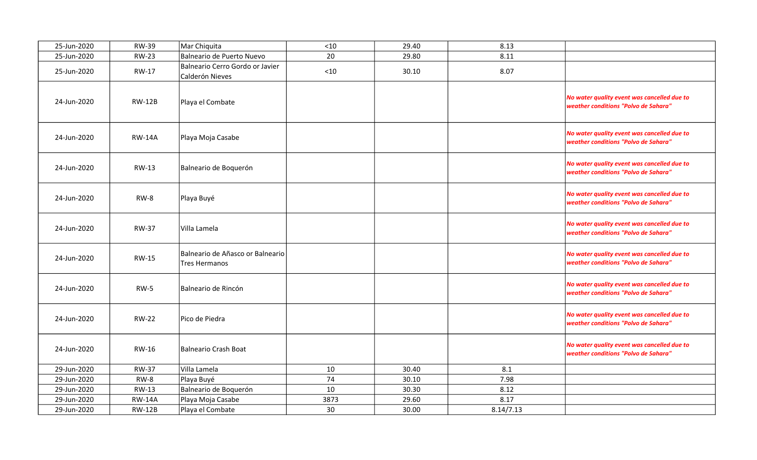| 25-Jun-2020 | <b>RW-39</b>  | Mar Chiquita                                       | $<10$ | 29.40 | 8.13      |                                                                                     |
|-------------|---------------|----------------------------------------------------|-------|-------|-----------|-------------------------------------------------------------------------------------|
| 25-Jun-2020 | <b>RW-23</b>  | Balneario de Puerto Nuevo                          | 20    | 29.80 | 8.11      |                                                                                     |
| 25-Jun-2020 | RW-17         | Balneario Cerro Gordo or Javier<br>Calderón Nieves | $<10$ | 30.10 | 8.07      |                                                                                     |
| 24-Jun-2020 | <b>RW-12B</b> | Playa el Combate                                   |       |       |           | No water quality event was cancelled due to<br>weather conditions "Polvo de Sahara" |
| 24-Jun-2020 | <b>RW-14A</b> | Playa Moja Casabe                                  |       |       |           | No water quality event was cancelled due to<br>weather conditions "Polvo de Sahara" |
| 24-Jun-2020 | RW-13         | Balneario de Boquerón                              |       |       |           | No water quality event was cancelled due to<br>weather conditions "Polvo de Sahara" |
| 24-Jun-2020 | $RW-8$        | Playa Buyé                                         |       |       |           | No water quality event was cancelled due to<br>weather conditions "Polvo de Sahara" |
| 24-Jun-2020 | <b>RW-37</b>  | Villa Lamela                                       |       |       |           | No water quality event was cancelled due to<br>weather conditions "Polvo de Sahara" |
| 24-Jun-2020 | <b>RW-15</b>  | Balneario de Añasco or Balneario<br>Tres Hermanos  |       |       |           | No water quality event was cancelled due to<br>weather conditions "Polvo de Sahara" |
| 24-Jun-2020 | $RW-5$        | Balneario de Rincón                                |       |       |           | No water quality event was cancelled due to<br>weather conditions "Polvo de Sahara" |
| 24-Jun-2020 | <b>RW-22</b>  | Pico de Piedra                                     |       |       |           | No water quality event was cancelled due to<br>weather conditions "Polvo de Sahara" |
| 24-Jun-2020 | RW-16         | Balneario Crash Boat                               |       |       |           | No water quality event was cancelled due to<br>weather conditions "Polvo de Sahara" |
| 29-Jun-2020 | <b>RW-37</b>  | Villa Lamela                                       | 10    | 30.40 | 8.1       |                                                                                     |
| 29-Jun-2020 | <b>RW-8</b>   | Playa Buyé                                         | 74    | 30.10 | 7.98      |                                                                                     |
| 29-Jun-2020 | RW-13         | Balneario de Boquerón                              | 10    | 30.30 | 8.12      |                                                                                     |
| 29-Jun-2020 | <b>RW-14A</b> | Playa Moja Casabe                                  | 3873  | 29.60 | 8.17      |                                                                                     |
| 29-Jun-2020 | <b>RW-12B</b> | Playa el Combate                                   | 30    | 30.00 | 8.14/7.13 |                                                                                     |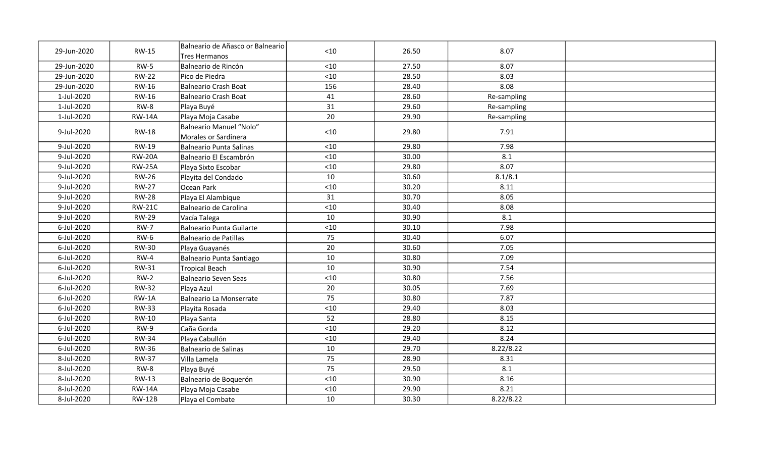| 29-Jun-2020 | <b>RW-15</b>  | Balneario de Añasco or Balneario<br><b>Tres Hermanos</b> | < 10  | 26.50 | 8.07        |  |
|-------------|---------------|----------------------------------------------------------|-------|-------|-------------|--|
| 29-Jun-2020 | $RW-5$        | Balneario de Rincón                                      | < 10  | 27.50 | 8.07        |  |
| 29-Jun-2020 | <b>RW-22</b>  | Pico de Piedra                                           | $<10$ | 28.50 | 8.03        |  |
| 29-Jun-2020 | <b>RW-16</b>  | <b>Balneario Crash Boat</b>                              | 156   | 28.40 | 8.08        |  |
| 1-Jul-2020  | <b>RW-16</b>  | <b>Balneario Crash Boat</b>                              | 41    | 28.60 | Re-sampling |  |
| 1-Jul-2020  | RW-8          | Playa Buyé                                               | 31    | 29.60 | Re-sampling |  |
| 1-Jul-2020  | <b>RW-14A</b> | Playa Moja Casabe                                        | 20    | 29.90 | Re-sampling |  |
| 9-Jul-2020  | RW-18         | <b>Balneario Manuel "Nolo"</b><br>Morales or Sardinera   | $<10$ | 29.80 | 7.91        |  |
| 9-Jul-2020  | <b>RW-19</b>  | <b>Balneario Punta Salinas</b>                           | < 10  | 29.80 | 7.98        |  |
| 9-Jul-2020  | <b>RW-20A</b> | Balneario El Escambrón                                   | $<10$ | 30.00 | 8.1         |  |
| 9-Jul-2020  | <b>RW-25A</b> | Playa Sixto Escobar                                      | < 10  | 29.80 | 8.07        |  |
| 9-Jul-2020  | <b>RW-26</b>  | Playita del Condado                                      | 10    | 30.60 | 8.1/8.1     |  |
| 9-Jul-2020  | <b>RW-27</b>  | Ocean Park                                               | < 10  | 30.20 | 8.11        |  |
| 9-Jul-2020  | <b>RW-28</b>  | Playa El Alambique                                       | 31    | 30.70 | 8.05        |  |
| 9-Jul-2020  | <b>RW-21C</b> | Balneario de Carolina                                    | $<10$ | 30.40 | 8.08        |  |
| 9-Jul-2020  | <b>RW-29</b>  | Vacía Talega                                             | 10    | 30.90 | 8.1         |  |
| 6-Jul-2020  | <b>RW-7</b>   | <b>Balneario Punta Guilarte</b>                          | < 10  | 30.10 | 7.98        |  |
| 6-Jul-2020  | <b>RW-6</b>   | <b>Balneario de Patillas</b>                             | 75    | 30.40 | 6.07        |  |
| 6-Jul-2020  | <b>RW-30</b>  | Playa Guayanés                                           | 20    | 30.60 | 7.05        |  |
| 6-Jul-2020  | $RW-4$        | Balneario Punta Santiago                                 | 10    | 30.80 | 7.09        |  |
| 6-Jul-2020  | RW-31         | <b>Tropical Beach</b>                                    | 10    | 30.90 | 7.54        |  |
| 6-Jul-2020  | $RW-2$        | <b>Balneario Seven Seas</b>                              | < 10  | 30.80 | 7.56        |  |
| 6-Jul-2020  | <b>RW-32</b>  | Playa Azul                                               | 20    | 30.05 | 7.69        |  |
| 6-Jul-2020  | RW-1A         | <b>Balneario La Monserrate</b>                           | 75    | 30.80 | 7.87        |  |
| 6-Jul-2020  | <b>RW-33</b>  | Playita Rosada                                           | < 10  | 29.40 | 8.03        |  |
| 6-Jul-2020  | RW-10         | Playa Santa                                              | 52    | 28.80 | 8.15        |  |
| 6-Jul-2020  | $RW-9$        | Caña Gorda                                               | $<10$ | 29.20 | 8.12        |  |
| 6-Jul-2020  | <b>RW-34</b>  | Playa Cabullón                                           | $<10$ | 29.40 | 8.24        |  |
| 6-Jul-2020  | <b>RW-36</b>  | <b>Balneario de Salinas</b>                              | 10    | 29.70 | 8.22/8.22   |  |
| 8-Jul-2020  | <b>RW-37</b>  | Villa Lamela                                             | 75    | 28.90 | 8.31        |  |
| 8-Jul-2020  | RW-8          | Playa Buyé                                               | 75    | 29.50 | 8.1         |  |
| 8-Jul-2020  | RW-13         | Balneario de Boquerón                                    | < 10  | 30.90 | 8.16        |  |
| 8-Jul-2020  | <b>RW-14A</b> | Playa Moja Casabe                                        | < 10  | 29.90 | 8.21        |  |
| 8-Jul-2020  | <b>RW-12B</b> | Playa el Combate                                         | 10    | 30.30 | 8.22/8.22   |  |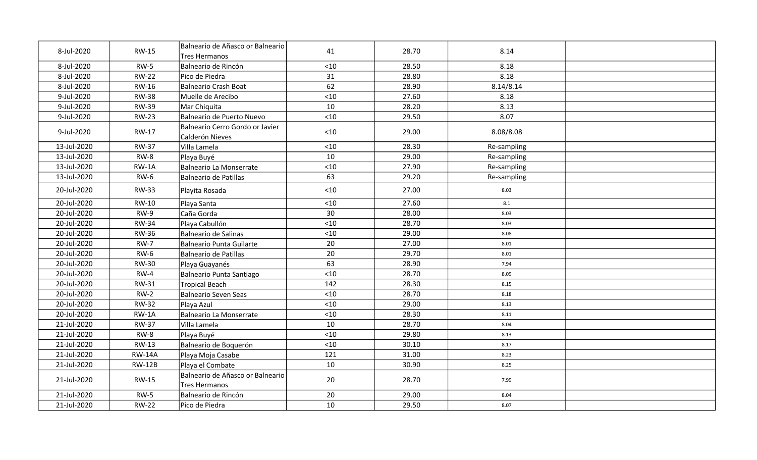| 8-Jul-2020  | <b>RW-15</b>  | Balneario de Añasco or Balneario<br><b>Tres Hermanos</b> | 41    | 28.70 | 8.14        |  |
|-------------|---------------|----------------------------------------------------------|-------|-------|-------------|--|
| 8-Jul-2020  | <b>RW-5</b>   | Balneario de Rincón                                      | $<10$ | 28.50 | 8.18        |  |
| 8-Jul-2020  | <b>RW-22</b>  | Pico de Piedra                                           | 31    | 28.80 | 8.18        |  |
| 8-Jul-2020  | RW-16         | <b>Balneario Crash Boat</b>                              | 62    | 28.90 | 8.14/8.14   |  |
| 9-Jul-2020  | <b>RW-38</b>  | Muelle de Arecibo                                        | $<10$ | 27.60 | 8.18        |  |
| 9-Jul-2020  | <b>RW-39</b>  | Mar Chiquita                                             | 10    | 28.20 | 8.13        |  |
| 9-Jul-2020  | <b>RW-23</b>  | Balneario de Puerto Nuevo                                | $<10$ | 29.50 | 8.07        |  |
| 9-Jul-2020  | RW-17         | Balneario Cerro Gordo or Javier<br>Calderón Nieves       | $<10$ | 29.00 | 8.08/8.08   |  |
| 13-Jul-2020 | <b>RW-37</b>  | Villa Lamela                                             | < 10  | 28.30 | Re-sampling |  |
| 13-Jul-2020 | RW-8          | Playa Buyé                                               | 10    | 29.00 | Re-sampling |  |
| 13-Jul-2020 | $RW-1A$       | <b>Balneario La Monserrate</b>                           | < 10  | 27.90 | Re-sampling |  |
| 13-Jul-2020 | <b>RW-6</b>   | <b>Balneario de Patillas</b>                             | 63    | 29.20 | Re-sampling |  |
| 20-Jul-2020 | <b>RW-33</b>  | Playita Rosada                                           | $<10$ | 27.00 | 8.03        |  |
| 20-Jul-2020 | RW-10         | Playa Santa                                              | < 10  | 27.60 | 8.1         |  |
| 20-Jul-2020 | RW-9          | Caña Gorda                                               | 30    | 28.00 | 8.03        |  |
| 20-Jul-2020 | <b>RW-34</b>  | Playa Cabullón                                           | < 10  | 28.70 | 8.03        |  |
| 20-Jul-2020 | <b>RW-36</b>  | Balneario de Salinas                                     | < 10  | 29.00 | 8.08        |  |
| 20-Jul-2020 | <b>RW-7</b>   | <b>Balneario Punta Guilarte</b>                          | 20    | 27.00 | 8.01        |  |
| 20-Jul-2020 | $RW-6$        | Balneario de Patillas                                    | 20    | 29.70 | 8.01        |  |
| 20-Jul-2020 | <b>RW-30</b>  | Playa Guayanés                                           | 63    | 28.90 | 7.94        |  |
| 20-Jul-2020 | $RW-4$        | Balneario Punta Santiago                                 | $<10$ | 28.70 | 8.09        |  |
| 20-Jul-2020 | RW-31         | <b>Tropical Beach</b>                                    | 142   | 28.30 | 8.15        |  |
| 20-Jul-2020 | $RW-2$        | <b>Balneario Seven Seas</b>                              | < 10  | 28.70 | 8.18        |  |
| 20-Jul-2020 | <b>RW-32</b>  | Playa Azul                                               | $<10$ | 29.00 | 8.13        |  |
| 20-Jul-2020 | $RW-1A$       | <b>Balneario La Monserrate</b>                           | $<10$ | 28.30 | 8.11        |  |
| 21-Jul-2020 | <b>RW-37</b>  | Villa Lamela                                             | 10    | 28.70 | 8.04        |  |
| 21-Jul-2020 | RW-8          | Playa Buyé                                               | < 10  | 29.80 | 8.13        |  |
| 21-Jul-2020 | <b>RW-13</b>  | Balneario de Boquerón                                    | < 10  | 30.10 | 8.17        |  |
| 21-Jul-2020 | <b>RW-14A</b> | Playa Moja Casabe                                        | 121   | 31.00 | 8.23        |  |
| 21-Jul-2020 | <b>RW-12B</b> | Playa el Combate                                         | 10    | 30.90 | 8.25        |  |
| 21-Jul-2020 | <b>RW-15</b>  | Balneario de Añasco or Balneario<br><b>Tres Hermanos</b> | 20    | 28.70 | 7.99        |  |
| 21-Jul-2020 | $RW-5$        | Balneario de Rincón                                      | 20    | 29.00 | 8.04        |  |
| 21-Jul-2020 | <b>RW-22</b>  | Pico de Piedra                                           | 10    | 29.50 | 8.07        |  |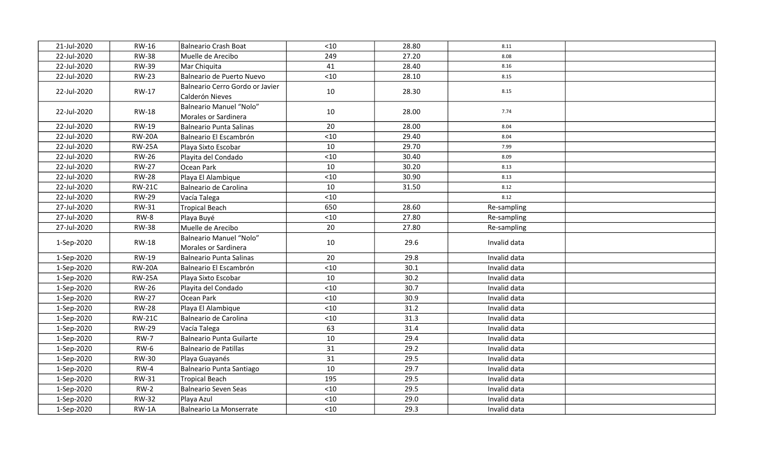| 21-Jul-2020 | <b>RW-16</b>  | Balneario Crash Boat                               | < 10  | 28.80 | 8.11         |  |
|-------------|---------------|----------------------------------------------------|-------|-------|--------------|--|
| 22-Jul-2020 | <b>RW-38</b>  | Muelle de Arecibo                                  | 249   | 27.20 | 8.08         |  |
| 22-Jul-2020 | <b>RW-39</b>  | Mar Chiquita                                       | 41    | 28.40 | 8.16         |  |
| 22-Jul-2020 | <b>RW-23</b>  | Balneario de Puerto Nuevo                          | $<10$ | 28.10 | 8.15         |  |
| 22-Jul-2020 | RW-17         | Balneario Cerro Gordo or Javier<br>Calderón Nieves | 10    | 28.30 | 8.15         |  |
| 22-Jul-2020 | <b>RW-18</b>  | Balneario Manuel "Nolo"<br>Morales or Sardinera    | 10    | 28.00 | 7.74         |  |
| 22-Jul-2020 | <b>RW-19</b>  | Balneario Punta Salinas                            | 20    | 28.00 | 8.04         |  |
| 22-Jul-2020 | <b>RW-20A</b> | Balneario El Escambrón                             | < 10  | 29.40 | 8.04         |  |
| 22-Jul-2020 | <b>RW-25A</b> | Playa Sixto Escobar                                | 10    | 29.70 | 7.99         |  |
| 22-Jul-2020 | <b>RW-26</b>  | Playita del Condado                                | $<10$ | 30.40 | 8.09         |  |
| 22-Jul-2020 | <b>RW-27</b>  | Ocean Park                                         | 10    | 30.20 | 8.13         |  |
| 22-Jul-2020 | <b>RW-28</b>  | Playa El Alambique                                 | $<10$ | 30.90 | 8.13         |  |
| 22-Jul-2020 | <b>RW-21C</b> | Balneario de Carolina                              | 10    | 31.50 | 8.12         |  |
| 22-Jul-2020 | <b>RW-29</b>  | Vacía Talega                                       | $<10$ |       | 8.12         |  |
| 27-Jul-2020 | <b>RW-31</b>  | Tropical Beach                                     | 650   | 28.60 | Re-sampling  |  |
| 27-Jul-2020 | $RW-8$        | Playa Buyé                                         | $<10$ | 27.80 | Re-sampling  |  |
| 27-Jul-2020 | <b>RW-38</b>  | Muelle de Arecibo                                  | 20    | 27.80 | Re-sampling  |  |
| 1-Sep-2020  | <b>RW-18</b>  | Balneario Manuel "Nolo"<br>Morales or Sardinera    | 10    | 29.6  | Invalid data |  |
| 1-Sep-2020  | RW-19         | Balneario Punta Salinas                            | 20    | 29.8  | Invalid data |  |
| 1-Sep-2020  | <b>RW-20A</b> | Balneario El Escambrón                             | $<10$ | 30.1  | Invalid data |  |
| 1-Sep-2020  | <b>RW-25A</b> | Playa Sixto Escobar                                | 10    | 30.2  | Invalid data |  |
| 1-Sep-2020  | <b>RW-26</b>  | Playita del Condado                                | < 10  | 30.7  | Invalid data |  |
| 1-Sep-2020  | <b>RW-27</b>  | Ocean Park                                         | $<10$ | 30.9  | Invalid data |  |
| 1-Sep-2020  | <b>RW-28</b>  | Playa El Alambique                                 | < 10  | 31.2  | Invalid data |  |
| 1-Sep-2020  | <b>RW-21C</b> | Balneario de Carolina                              | $<10$ | 31.3  | Invalid data |  |
| 1-Sep-2020  | <b>RW-29</b>  | Vacía Talega                                       | 63    | 31.4  | Invalid data |  |
| 1-Sep-2020  | <b>RW-7</b>   | Balneario Punta Guilarte                           | 10    | 29.4  | Invalid data |  |
| 1-Sep-2020  | $RW-6$        | Balneario de Patillas                              | 31    | 29.2  | Invalid data |  |
| 1-Sep-2020  | <b>RW-30</b>  | Playa Guayanés                                     | 31    | 29.5  | Invalid data |  |
| 1-Sep-2020  | $RW-4$        | Balneario Punta Santiago                           | 10    | 29.7  | Invalid data |  |
| 1-Sep-2020  | RW-31         | Tropical Beach                                     | 195   | 29.5  | Invalid data |  |
| 1-Sep-2020  | $RW-2$        | Balneario Seven Seas                               | < 10  | 29.5  | Invalid data |  |
| 1-Sep-2020  | <b>RW-32</b>  | Playa Azul                                         | $<10$ | 29.0  | Invalid data |  |
| 1-Sep-2020  | $RW-1A$       | Balneario La Monserrate                            | $<10$ | 29.3  | Invalid data |  |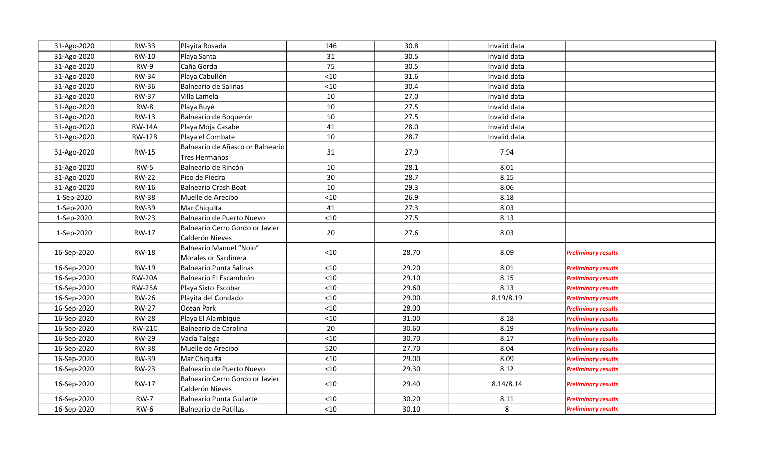| 31-Ago-2020 | <b>RW-33</b>  | Playita Rosada                                     | 146   | 30.8  | Invalid data |                            |
|-------------|---------------|----------------------------------------------------|-------|-------|--------------|----------------------------|
| 31-Ago-2020 | <b>RW-10</b>  | Playa Santa                                        | 31    | 30.5  | Invalid data |                            |
| 31-Ago-2020 | $RW-9$        | Caña Gorda                                         | 75    | 30.5  | Invalid data |                            |
| 31-Ago-2020 | <b>RW-34</b>  | Playa Cabullón                                     | $<10$ | 31.6  | Invalid data |                            |
| 31-Ago-2020 | <b>RW-36</b>  | Balneario de Salinas                               | $<10$ | 30.4  | Invalid data |                            |
| 31-Ago-2020 | <b>RW-37</b>  | Villa Lamela                                       | 10    | 27.0  | Invalid data |                            |
| 31-Ago-2020 | RW-8          | Playa Buyé                                         | 10    | 27.5  | Invalid data |                            |
| 31-Ago-2020 | <b>RW-13</b>  | Balneario de Boquerón                              | 10    | 27.5  | Invalid data |                            |
| 31-Ago-2020 | <b>RW-14A</b> | Playa Moja Casabe                                  | 41    | 28.0  | Invalid data |                            |
| 31-Ago-2020 | <b>RW-12B</b> | Playa el Combate                                   | 10    | 28.7  | Invalid data |                            |
|             |               | Balneario de Añasco or Balneario                   |       |       |              |                            |
| 31-Ago-2020 | <b>RW-15</b>  | Tres Hermanos                                      | 31    | 27.9  | 7.94         |                            |
| 31-Ago-2020 | $RW-5$        | Balneario de Rincón                                | 10    | 28.1  | 8.01         |                            |
| 31-Ago-2020 | <b>RW-22</b>  | Pico de Piedra                                     | 30    | 28.7  | 8.15         |                            |
| 31-Ago-2020 | RW-16         | Balneario Crash Boat                               | 10    | 29.3  | 8.06         |                            |
| 1-Sep-2020  | <b>RW-38</b>  | Muelle de Arecibo                                  | $<10$ | 26.9  | 8.18         |                            |
| 1-Sep-2020  | <b>RW-39</b>  | Mar Chiquita                                       | 41    | 27.3  | 8.03         |                            |
| 1-Sep-2020  | <b>RW-23</b>  | Balneario de Puerto Nuevo                          | $<10$ | 27.5  | 8.13         |                            |
| 1-Sep-2020  | RW-17         | Balneario Cerro Gordo or Javier<br>Calderón Nieves | 20    | 27.6  | 8.03         |                            |
| 16-Sep-2020 | <b>RW-18</b>  | Balneario Manuel "Nolo"<br>Morales or Sardinera    | $<10$ | 28.70 | 8.09         | <b>Preliminary results</b> |
| 16-Sep-2020 | <b>RW-19</b>  | Balneario Punta Salinas                            | $<10$ | 29.20 | 8.01         | <b>Preliminary results</b> |
| 16-Sep-2020 | <b>RW-20A</b> | Balneario El Escambrón                             | $<10$ | 29.10 | 8.15         | <b>Preliminary results</b> |
| 16-Sep-2020 | <b>RW-25A</b> | Playa Sixto Escobar                                | $<10$ | 29.60 | 8.13         | <b>Preliminary results</b> |
| 16-Sep-2020 | <b>RW-26</b>  | Playita del Condado                                | < 10  | 29.00 | 8.19/8.19    | <b>Preliminary results</b> |
| 16-Sep-2020 | <b>RW-27</b>  | Ocean Park                                         | $<10$ | 28.00 |              | <b>Preliminary results</b> |
| 16-Sep-2020 | <b>RW-28</b>  | Playa El Alambique                                 | $<10$ | 31.00 | 8.18         | <b>Preliminary results</b> |
| 16-Sep-2020 | <b>RW-21C</b> | Balneario de Carolina                              | 20    | 30.60 | 8.19         | <b>Preliminary results</b> |
| 16-Sep-2020 | <b>RW-29</b>  | Vacía Talega                                       | < 10  | 30.70 | 8.17         | <b>Preliminary results</b> |
| 16-Sep-2020 | <b>RW-38</b>  | Muelle de Arecibo                                  | 520   | 27.70 | 8.04         | <b>Preliminary results</b> |
| 16-Sep-2020 | <b>RW-39</b>  | Mar Chiquita                                       | $<10$ | 29.00 | 8.09         | <b>Preliminary results</b> |
| 16-Sep-2020 | <b>RW-23</b>  | Balneario de Puerto Nuevo                          | $<10$ | 29.30 | 8.12         | <b>Preliminary results</b> |
| 16-Sep-2020 | <b>RW-17</b>  | Balneario Cerro Gordo or Javier<br>Calderón Nieves | $<10$ | 29.40 | 8.14/8.14    | <b>Preliminary results</b> |
| 16-Sep-2020 | <b>RW-7</b>   | Balneario Punta Guilarte                           | < 10  | 30.20 | 8.11         | <b>Preliminary results</b> |
| 16-Sep-2020 | <b>RW-6</b>   | Balneario de Patillas                              | $<10$ | 30.10 | 8            | <b>Preliminary results</b> |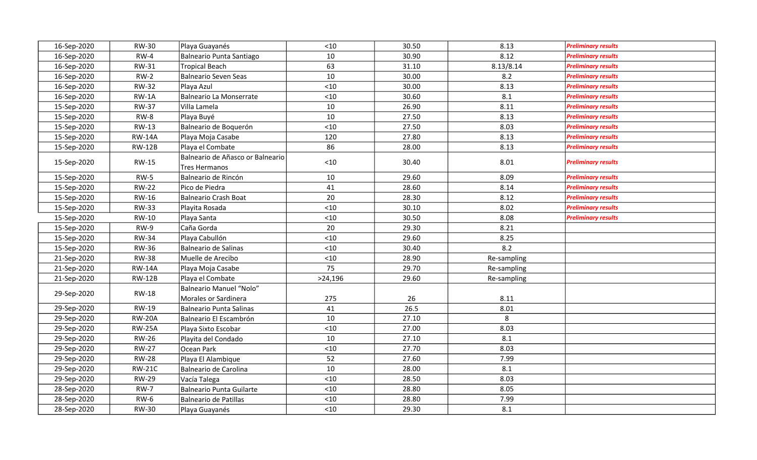| 16-Sep-2020 | <b>RW-30</b>  | Playa Guayanés                                           | < 10    | 30.50 | 8.13        | <b>Preliminary results</b> |
|-------------|---------------|----------------------------------------------------------|---------|-------|-------------|----------------------------|
| 16-Sep-2020 | $RW-4$        | Balneario Punta Santiago                                 | 10      | 30.90 | 8.12        | <b>Preliminary results</b> |
| 16-Sep-2020 | <b>RW-31</b>  | <b>Tropical Beach</b>                                    | 63      | 31.10 | 8.13/8.14   | <b>Preliminary results</b> |
| 16-Sep-2020 | $RW-2$        | <b>Balneario Seven Seas</b>                              | 10      | 30.00 | 8.2         | <b>Preliminary results</b> |
| 16-Sep-2020 | <b>RW-32</b>  | Playa Azul                                               | $<10$   | 30.00 | 8.13        | <b>Preliminary results</b> |
| 16-Sep-2020 | $RW-1A$       | <b>Balneario La Monserrate</b>                           | $<10$   | 30.60 | 8.1         | <b>Preliminary results</b> |
| 15-Sep-2020 | <b>RW-37</b>  | Villa Lamela                                             | 10      | 26.90 | 8.11        | <b>Preliminary results</b> |
| 15-Sep-2020 | RW-8          | Playa Buyé                                               | 10      | 27.50 | 8.13        | <b>Preliminary results</b> |
| 15-Sep-2020 | <b>RW-13</b>  | Balneario de Boquerón                                    | < 10    | 27.50 | 8.03        | <b>Preliminary results</b> |
| 15-Sep-2020 | <b>RW-14A</b> | Playa Moja Casabe                                        | 120     | 27.80 | 8.13        | <b>Preliminary results</b> |
| 15-Sep-2020 | <b>RW-12B</b> | Playa el Combate                                         | 86      | 28.00 | 8.13        | <b>Preliminary results</b> |
| 15-Sep-2020 | RW-15         | Balneario de Añasco or Balneario<br><b>Tres Hermanos</b> | < 10    | 30.40 | 8.01        | <b>Preliminary results</b> |
| 15-Sep-2020 | $RW-5$        | Balneario de Rincón                                      | 10      | 29.60 | 8.09        | <b>Preliminary results</b> |
| 15-Sep-2020 | <b>RW-22</b>  | Pico de Piedra                                           | 41      | 28.60 | 8.14        | <b>Preliminary results</b> |
| 15-Sep-2020 | RW-16         | Balneario Crash Boat                                     | 20      | 28.30 | 8.12        | <b>Preliminary results</b> |
| 15-Sep-2020 | <b>RW-33</b>  | Playita Rosada                                           | $<10$   | 30.10 | 8.02        | <b>Preliminary results</b> |
| 15-Sep-2020 | RW-10         | Playa Santa                                              | < 10    | 30.50 | 8.08        | <b>Preliminary results</b> |
| 15-Sep-2020 | <b>RW-9</b>   | Caña Gorda                                               | 20      | 29.30 | 8.21        |                            |
| 15-Sep-2020 | <b>RW-34</b>  | Playa Cabullón                                           | $<10$   | 29.60 | 8.25        |                            |
| 15-Sep-2020 | <b>RW-36</b>  | Balneario de Salinas                                     | < 10    | 30.40 | 8.2         |                            |
| 21-Sep-2020 | <b>RW-38</b>  | Muelle de Arecibo                                        | $<10$   | 28.90 | Re-sampling |                            |
| 21-Sep-2020 | <b>RW-14A</b> | Playa Moja Casabe                                        | 75      | 29.70 | Re-sampling |                            |
| 21-Sep-2020 | <b>RW-12B</b> | Playa el Combate                                         | >24,196 | 29.60 | Re-sampling |                            |
| 29-Sep-2020 | <b>RW-18</b>  | <b>Balneario Manuel "Nolo"</b>                           |         |       |             |                            |
|             |               | Morales or Sardinera                                     | 275     | 26    | 8.11        |                            |
| 29-Sep-2020 | <b>RW-19</b>  | <b>Balneario Punta Salinas</b>                           | 41      | 26.5  | 8.01        |                            |
| 29-Sep-2020 | <b>RW-20A</b> | Balneario El Escambrón                                   | 10      | 27.10 | 8           |                            |
| 29-Sep-2020 | <b>RW-25A</b> | Playa Sixto Escobar                                      | $<10$   | 27.00 | 8.03        |                            |
| 29-Sep-2020 | <b>RW-26</b>  | Playita del Condado                                      | 10      | 27.10 | 8.1         |                            |
| 29-Sep-2020 | <b>RW-27</b>  | Ocean Park                                               | < 10    | 27.70 | 8.03        |                            |
| 29-Sep-2020 | <b>RW-28</b>  | Playa El Alambique                                       | 52      | 27.60 | 7.99        |                            |
| 29-Sep-2020 | <b>RW-21C</b> | Balneario de Carolina                                    | 10      | 28.00 | 8.1         |                            |
| 29-Sep-2020 | <b>RW-29</b>  | Vacía Talega                                             | < 10    | 28.50 | 8.03        |                            |
| 28-Sep-2020 | <b>RW-7</b>   | Balneario Punta Guilarte                                 | < 10    | 28.80 | 8.05        |                            |
| 28-Sep-2020 | $RW-6$        | Balneario de Patillas                                    | < 10    | 28.80 | 7.99        |                            |
| 28-Sep-2020 | <b>RW-30</b>  | Playa Guayanés                                           | < 10    | 29.30 | 8.1         |                            |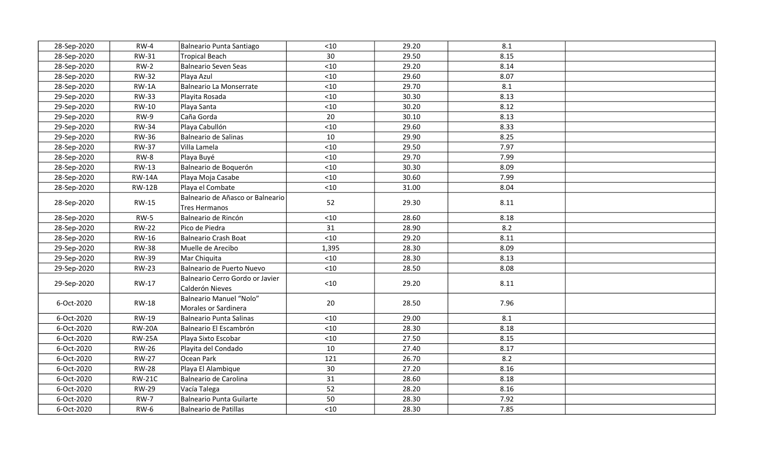| 28-Sep-2020 | $RW-4$        | Balneario Punta Santiago                           | $<10$ | 29.20 | 8.1  |  |
|-------------|---------------|----------------------------------------------------|-------|-------|------|--|
| 28-Sep-2020 | RW-31         | Tropical Beach                                     | 30    | 29.50 | 8.15 |  |
| 28-Sep-2020 | $RW-2$        | Balneario Seven Seas                               | $<10$ | 29.20 | 8.14 |  |
| 28-Sep-2020 | <b>RW-32</b>  | Playa Azul                                         | $<10$ | 29.60 | 8.07 |  |
| 28-Sep-2020 | $RW-1A$       | Balneario La Monserrate                            | $<10$ | 29.70 | 8.1  |  |
| 29-Sep-2020 | <b>RW-33</b>  | Playita Rosada                                     | < 10  | 30.30 | 8.13 |  |
| 29-Sep-2020 | RW-10         | Playa Santa                                        | < 10  | 30.20 | 8.12 |  |
| 29-Sep-2020 | $RW-9$        | Caña Gorda                                         | 20    | 30.10 | 8.13 |  |
| 29-Sep-2020 | <b>RW-34</b>  | Playa Cabullón                                     | $<10$ | 29.60 | 8.33 |  |
| 29-Sep-2020 | <b>RW-36</b>  | Balneario de Salinas                               | 10    | 29.90 | 8.25 |  |
| 28-Sep-2020 | <b>RW-37</b>  | Villa Lamela                                       | $<10$ | 29.50 | 7.97 |  |
| 28-Sep-2020 | RW-8          | Playa Buyé                                         | $<10$ | 29.70 | 7.99 |  |
| 28-Sep-2020 | <b>RW-13</b>  | Balneario de Boquerón                              | < 10  | 30.30 | 8.09 |  |
| 28-Sep-2020 | <b>RW-14A</b> | Playa Moja Casabe                                  | $<10$ | 30.60 | 7.99 |  |
| 28-Sep-2020 | <b>RW-12B</b> | Playa el Combate                                   | $<10$ | 31.00 | 8.04 |  |
| 28-Sep-2020 | <b>RW-15</b>  | Balneario de Añasco or Balneario<br>Tres Hermanos  | 52    | 29.30 | 8.11 |  |
| 28-Sep-2020 | $RW-5$        | Balneario de Rincón                                | $<10$ | 28.60 | 8.18 |  |
| 28-Sep-2020 | <b>RW-22</b>  | Pico de Piedra                                     | 31    | 28.90 | 8.2  |  |
| 28-Sep-2020 | RW-16         | Balneario Crash Boat                               | < 10  | 29.20 | 8.11 |  |
| 29-Sep-2020 | <b>RW-38</b>  | Muelle de Arecibo                                  | 1,395 | 28.30 | 8.09 |  |
| 29-Sep-2020 | <b>RW-39</b>  | Mar Chiquita                                       | < 10  | 28.30 | 8.13 |  |
| 29-Sep-2020 | <b>RW-23</b>  | Balneario de Puerto Nuevo                          | $<10$ | 28.50 | 8.08 |  |
| 29-Sep-2020 | RW-17         | Balneario Cerro Gordo or Javier<br>Calderón Nieves | < 10  | 29.20 | 8.11 |  |
| 6-Oct-2020  | <b>RW-18</b>  | Balneario Manuel "Nolo"<br>Morales or Sardinera    | 20    | 28.50 | 7.96 |  |
| 6-Oct-2020  | <b>RW-19</b>  | Balneario Punta Salinas                            | < 10  | 29.00 | 8.1  |  |
| 6-Oct-2020  | <b>RW-20A</b> | Balneario El Escambrón                             | < 10  | 28.30 | 8.18 |  |
| 6-Oct-2020  | <b>RW-25A</b> | Playa Sixto Escobar                                | $<10$ | 27.50 | 8.15 |  |
| 6-Oct-2020  | <b>RW-26</b>  | Playita del Condado                                | 10    | 27.40 | 8.17 |  |
| 6-Oct-2020  | <b>RW-27</b>  | Ocean Park                                         | 121   | 26.70 | 8.2  |  |
| 6-Oct-2020  | <b>RW-28</b>  | Playa El Alambique                                 | 30    | 27.20 | 8.16 |  |
| 6-Oct-2020  | <b>RW-21C</b> | Balneario de Carolina                              | 31    | 28.60 | 8.18 |  |
| 6-Oct-2020  | <b>RW-29</b>  | Vacía Talega                                       | 52    | 28.20 | 8.16 |  |
| 6-Oct-2020  | <b>RW-7</b>   | Balneario Punta Guilarte                           | 50    | 28.30 | 7.92 |  |
| 6-Oct-2020  | RW-6          | Balneario de Patillas                              | < 10  | 28.30 | 7.85 |  |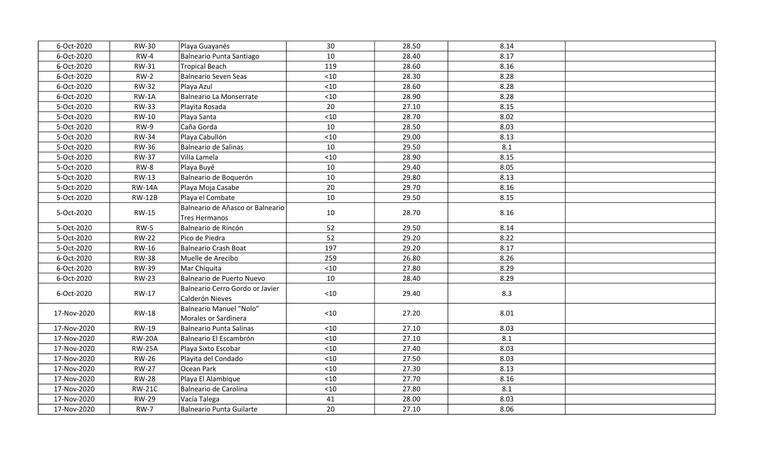| 6-Oct-2020  | <b>RW-30</b>  | Playa Guayanés                                     | 30    | 28.50 | 8.14 |  |
|-------------|---------------|----------------------------------------------------|-------|-------|------|--|
| 6-Oct-2020  | $RW-4$        | Balneario Punta Santiago                           | 10    | 28.40 | 8.17 |  |
| 6-Oct-2020  | <b>RW-31</b>  | <b>Tropical Beach</b>                              | 119   | 28.60 | 8.16 |  |
| 6-Oct-2020  | $RW-2$        | Balneario Seven Seas                               | < 10  | 28.30 | 8.28 |  |
| 6-Oct-2020  | <b>RW-32</b>  | Playa Azul                                         | $<10$ | 28.60 | 8.28 |  |
| 6-Oct-2020  | $RW-1A$       | Balneario La Monserrate                            | $<10$ | 28.90 | 8.28 |  |
| 5-Oct-2020  | <b>RW-33</b>  | Playita Rosada                                     | 20    | 27.10 | 8.15 |  |
| 5-Oct-2020  | RW-10         | Playa Santa                                        | $<10$ | 28.70 | 8.02 |  |
| 5-Oct-2020  | $RW-9$        | Caña Gorda                                         | 10    | 28.50 | 8.03 |  |
| 5-Oct-2020  | <b>RW-34</b>  | Playa Cabullón                                     | $<10$ | 29.00 | 8.13 |  |
| 5-Oct-2020  | <b>RW-36</b>  | Balneario de Salinas                               | 10    | 29.50 | 8.1  |  |
| 5-Oct-2020  | <b>RW-37</b>  | Villa Lamela                                       | $<10$ | 28.90 | 8.15 |  |
| 5-Oct-2020  | RW-8          | Playa Buyé                                         | 10    | 29.40 | 8.05 |  |
| 5-Oct-2020  | <b>RW-13</b>  | Balneario de Boquerón                              | 10    | 29.80 | 8.13 |  |
| 5-Oct-2020  | <b>RW-14A</b> | Playa Moja Casabe                                  | 20    | 29.70 | 8.16 |  |
| 5-Oct-2020  | <b>RW-12B</b> | Playa el Combate                                   | 10    | 29.50 | 8.15 |  |
| 5-Oct-2020  | <b>RW-15</b>  | Balneario de Añasco or Balneario<br>Tres Hermanos  | 10    | 28.70 | 8.16 |  |
| 5-Oct-2020  | $RW-5$        | Balneario de Rincón                                | 52    | 29.50 | 8.14 |  |
| 5-Oct-2020  | <b>RW-22</b>  | Pico de Piedra                                     | 52    | 29.20 | 8.22 |  |
| 5-Oct-2020  | <b>RW-16</b>  | Balneario Crash Boat                               | 197   | 29.20 | 8.17 |  |
| 6-Oct-2020  | <b>RW-38</b>  | Muelle de Arecibo                                  | 259   | 26.80 | 8.26 |  |
| 6-Oct-2020  | <b>RW-39</b>  | Mar Chiquita                                       | $<10$ | 27.80 | 8.29 |  |
| 6-Oct-2020  | <b>RW-23</b>  | Balneario de Puerto Nuevo                          | 10    | 28.40 | 8.29 |  |
| 6-Oct-2020  | RW-17         | Balneario Cerro Gordo or Javier<br>Calderón Nieves | $<10$ | 29.40 | 8.3  |  |
| 17-Nov-2020 | <b>RW-18</b>  | Balneario Manuel "Nolo"<br>Morales or Sardinera    | < 10  | 27.20 | 8.01 |  |
| 17-Nov-2020 | RW-19         | Balneario Punta Salinas                            | < 10  | 27.10 | 8.03 |  |
| 17-Nov-2020 | <b>RW-20A</b> | Balneario El Escambrón                             | < 10  | 27.10 | 8.1  |  |
| 17-Nov-2020 | <b>RW-25A</b> | Playa Sixto Escobar                                | $<10$ | 27.40 | 8.03 |  |
| 17-Nov-2020 | <b>RW-26</b>  | Playita del Condado                                | $<10$ | 27.50 | 8.03 |  |
| 17-Nov-2020 | <b>RW-27</b>  | Ocean Park                                         | $<10$ | 27.30 | 8.13 |  |
| 17-Nov-2020 | <b>RW-28</b>  | Playa El Alambique                                 | $<10$ | 27.70 | 8.16 |  |
| 17-Nov-2020 | <b>RW-21C</b> | Balneario de Carolina                              | $<10$ | 27.80 | 8.1  |  |
| 17-Nov-2020 | <b>RW-29</b>  | Vacía Talega                                       | 41    | 28.00 | 8.03 |  |
| 17-Nov-2020 | <b>RW-7</b>   | Balneario Punta Guilarte                           | 20    | 27.10 | 8.06 |  |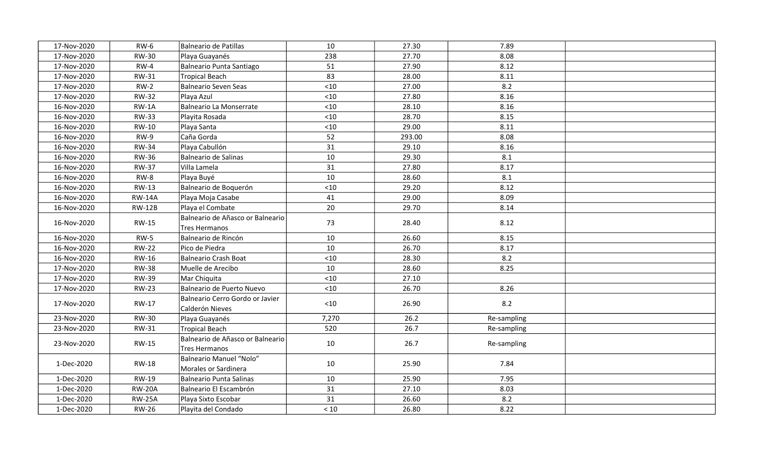| 17-Nov-2020 | <b>RW-6</b>   | Balneario de Patillas                                    | 10    | 27.30  | 7.89        |  |
|-------------|---------------|----------------------------------------------------------|-------|--------|-------------|--|
| 17-Nov-2020 | <b>RW-30</b>  | Playa Guayanés                                           | 238   | 27.70  | 8.08        |  |
| 17-Nov-2020 | $RW-4$        | Balneario Punta Santiago                                 | 51    | 27.90  | 8.12        |  |
| 17-Nov-2020 | <b>RW-31</b>  | <b>Tropical Beach</b>                                    | 83    | 28.00  | 8.11        |  |
| 17-Nov-2020 | $RW-2$        | Balneario Seven Seas                                     | $<10$ | 27.00  | 8.2         |  |
| 17-Nov-2020 | <b>RW-32</b>  | Playa Azul                                               | $<10$ | 27.80  | 8.16        |  |
| 16-Nov-2020 | $RW-1A$       | Balneario La Monserrate                                  | < 10  | 28.10  | 8.16        |  |
| 16-Nov-2020 | <b>RW-33</b>  | Playita Rosada                                           | $<10$ | 28.70  | 8.15        |  |
| 16-Nov-2020 | <b>RW-10</b>  | Playa Santa                                              | < 10  | 29.00  | 8.11        |  |
| 16-Nov-2020 | RW-9          | Caña Gorda                                               | 52    | 293.00 | 8.08        |  |
| 16-Nov-2020 | <b>RW-34</b>  | Playa Cabullón                                           | 31    | 29.10  | 8.16        |  |
| 16-Nov-2020 | <b>RW-36</b>  | Balneario de Salinas                                     | 10    | 29.30  | 8.1         |  |
| 16-Nov-2020 | <b>RW-37</b>  | Villa Lamela                                             | 31    | 27.80  | 8.17        |  |
| 16-Nov-2020 | RW-8          | Playa Buyé                                               | 10    | 28.60  | 8.1         |  |
| 16-Nov-2020 | RW-13         | Balneario de Boquerón                                    | $<10$ | 29.20  | 8.12        |  |
| 16-Nov-2020 | <b>RW-14A</b> | Playa Moja Casabe                                        | 41    | 29.00  | 8.09        |  |
| 16-Nov-2020 | <b>RW-12B</b> | Playa el Combate                                         | 20    | 29.70  | 8.14        |  |
| 16-Nov-2020 | <b>RW-15</b>  | Balneario de Añasco or Balneario<br><b>Tres Hermanos</b> | 73    | 28.40  | 8.12        |  |
| 16-Nov-2020 | $RW-5$        | Balneario de Rincón                                      | 10    | 26.60  | 8.15        |  |
| 16-Nov-2020 | <b>RW-22</b>  | Pico de Piedra                                           | 10    | 26.70  | 8.17        |  |
| 16-Nov-2020 | RW-16         | Balneario Crash Boat                                     | $<10$ | 28.30  | 8.2         |  |
| 17-Nov-2020 | <b>RW-38</b>  | Muelle de Arecibo                                        | 10    | 28.60  | 8.25        |  |
| 17-Nov-2020 | <b>RW-39</b>  | Mar Chiquita                                             | $<10$ | 27.10  |             |  |
| 17-Nov-2020 | <b>RW-23</b>  | Balneario de Puerto Nuevo                                | < 10  | 26.70  | 8.26        |  |
| 17-Nov-2020 | RW-17         | Balneario Cerro Gordo or Javier<br>Calderón Nieves       | $<10$ | 26.90  | 8.2         |  |
| 23-Nov-2020 | <b>RW-30</b>  | Playa Guayanés                                           | 7,270 | 26.2   | Re-sampling |  |
| 23-Nov-2020 | <b>RW-31</b>  | Tropical Beach                                           | 520   | 26.7   | Re-sampling |  |
| 23-Nov-2020 | <b>RW-15</b>  | Balneario de Añasco or Balneario<br>Tres Hermanos        | 10    | 26.7   | Re-sampling |  |
| 1-Dec-2020  | <b>RW-18</b>  | Balneario Manuel "Nolo"<br>Morales or Sardinera          | 10    | 25.90  | 7.84        |  |
| 1-Dec-2020  | <b>RW-19</b>  | Balneario Punta Salinas                                  | 10    | 25.90  | 7.95        |  |
| 1-Dec-2020  | <b>RW-20A</b> | Balneario El Escambrón                                   | 31    | 27.10  | 8.03        |  |
| 1-Dec-2020  | <b>RW-25A</b> | Playa Sixto Escobar                                      | 31    | 26.60  | 8.2         |  |
| 1-Dec-2020  | <b>RW-26</b>  | Playita del Condado                                      | $<10$ | 26.80  | 8.22        |  |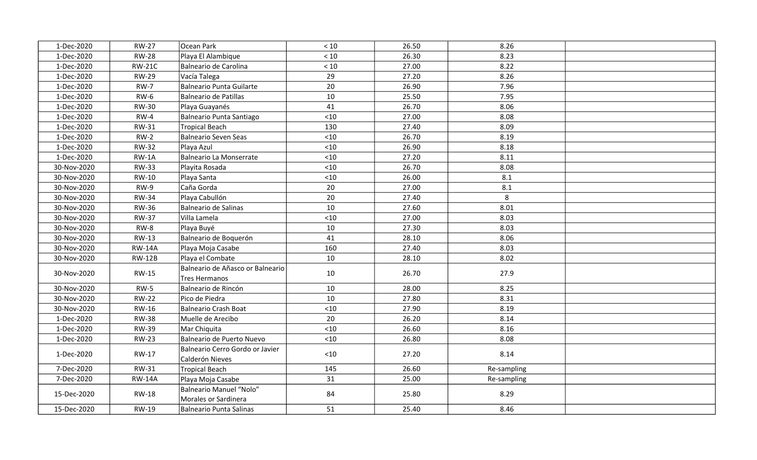| 1-Dec-2020  | <b>RW-27</b>  | Ocean Park                                         | < 10  | 26.50 | 8.26        |  |
|-------------|---------------|----------------------------------------------------|-------|-------|-------------|--|
| 1-Dec-2020  | <b>RW-28</b>  | Playa El Alambique                                 | $<10$ | 26.30 | 8.23        |  |
| 1-Dec-2020  | <b>RW-21C</b> | Balneario de Carolina                              | $<10$ | 27.00 | 8.22        |  |
| 1-Dec-2020  | <b>RW-29</b>  | Vacía Talega                                       | 29    | 27.20 | 8.26        |  |
| 1-Dec-2020  | <b>RW-7</b>   | Balneario Punta Guilarte                           | 20    | 26.90 | 7.96        |  |
| 1-Dec-2020  | $RW-6$        | Balneario de Patillas                              | 10    | 25.50 | 7.95        |  |
| 1-Dec-2020  | <b>RW-30</b>  | Playa Guayanés                                     | 41    | 26.70 | 8.06        |  |
| 1-Dec-2020  | $RW-4$        | Balneario Punta Santiago                           | $<10$ | 27.00 | 8.08        |  |
| 1-Dec-2020  | <b>RW-31</b>  | Tropical Beach                                     | 130   | 27.40 | 8.09        |  |
| 1-Dec-2020  | $RW-2$        | Balneario Seven Seas                               | < 10  | 26.70 | 8.19        |  |
| 1-Dec-2020  | <b>RW-32</b>  | Playa Azul                                         | < 10  | 26.90 | 8.18        |  |
| 1-Dec-2020  | $RW-1A$       | Balneario La Monserrate                            | $<10$ | 27.20 | 8.11        |  |
| 30-Nov-2020 | <b>RW-33</b>  | Playita Rosada                                     | < 10  | 26.70 | 8.08        |  |
| 30-Nov-2020 | RW-10         | Playa Santa                                        | < 10  | 26.00 | 8.1         |  |
| 30-Nov-2020 | $RW-9$        | Caña Gorda                                         | 20    | 27.00 | 8.1         |  |
| 30-Nov-2020 | <b>RW-34</b>  | Playa Cabullón                                     | 20    | 27.40 | 8           |  |
| 30-Nov-2020 | <b>RW-36</b>  | Balneario de Salinas                               | 10    | 27.60 | 8.01        |  |
| 30-Nov-2020 | <b>RW-37</b>  | Villa Lamela                                       | $<10$ | 27.00 | 8.03        |  |
| 30-Nov-2020 | $RW-8$        | Playa Buyé                                         | 10    | 27.30 | 8.03        |  |
| 30-Nov-2020 | <b>RW-13</b>  | Balneario de Boquerón                              | 41    | 28.10 | 8.06        |  |
| 30-Nov-2020 | <b>RW-14A</b> | Playa Moja Casabe                                  | 160   | 27.40 | 8.03        |  |
| 30-Nov-2020 | <b>RW-12B</b> | Playa el Combate                                   | 10    | 28.10 | 8.02        |  |
| 30-Nov-2020 | <b>RW-15</b>  | Balneario de Añasco or Balneario<br>Tres Hermanos  | 10    | 26.70 | 27.9        |  |
| 30-Nov-2020 | $RW-5$        | Balneario de Rincón                                | 10    | 28.00 | 8.25        |  |
| 30-Nov-2020 | <b>RW-22</b>  | Pico de Piedra                                     | 10    | 27.80 | 8.31        |  |
| 30-Nov-2020 | RW-16         | Balneario Crash Boat                               | $<10$ | 27.90 | 8.19        |  |
| 1-Dec-2020  | <b>RW-38</b>  | Muelle de Arecibo                                  | 20    | 26.20 | 8.14        |  |
| 1-Dec-2020  | <b>RW-39</b>  | Mar Chiquita                                       | $<10$ | 26.60 | 8.16        |  |
| 1-Dec-2020  | <b>RW-23</b>  | Balneario de Puerto Nuevo                          | < 10  | 26.80 | 8.08        |  |
| 1-Dec-2020  | RW-17         | Balneario Cerro Gordo or Javier<br>Calderón Nieves | $<10$ | 27.20 | 8.14        |  |
| 7-Dec-2020  | <b>RW-31</b>  | Tropical Beach                                     | 145   | 26.60 | Re-sampling |  |
| 7-Dec-2020  | <b>RW-14A</b> | Playa Moja Casabe                                  | 31    | 25.00 | Re-sampling |  |
| 15-Dec-2020 | <b>RW-18</b>  | Balneario Manuel "Nolo"<br>Morales or Sardinera    | 84    | 25.80 | 8.29        |  |
| 15-Dec-2020 | RW-19         | Balneario Punta Salinas                            | 51    | 25.40 | 8.46        |  |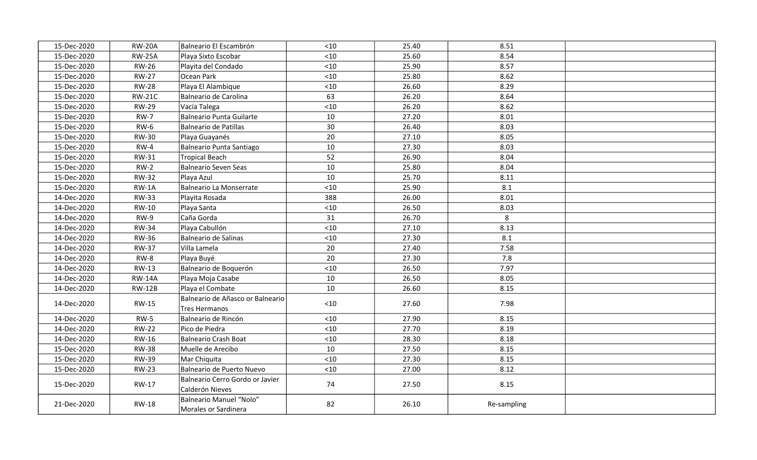| 15-Dec-2020 | <b>RW-20A</b> | Balneario El Escambrón                             | $<10$ | 25.40 | 8.51        |  |
|-------------|---------------|----------------------------------------------------|-------|-------|-------------|--|
| 15-Dec-2020 | <b>RW-25A</b> | Playa Sixto Escobar                                | < 10  | 25.60 | 8.54        |  |
| 15-Dec-2020 | <b>RW-26</b>  | Playita del Condado                                | $<10$ | 25.90 | 8.57        |  |
| 15-Dec-2020 | <b>RW-27</b>  | Ocean Park                                         | < 10  | 25.80 | 8.62        |  |
| 15-Dec-2020 | <b>RW-28</b>  | Playa El Alambique                                 | $<10$ | 26.60 | 8.29        |  |
| 15-Dec-2020 | <b>RW-21C</b> | Balneario de Carolina                              | 63    | 26.20 | 8.64        |  |
| 15-Dec-2020 | <b>RW-29</b>  | Vacía Talega                                       | $<10$ | 26.20 | 8.62        |  |
| 15-Dec-2020 | <b>RW-7</b>   | Balneario Punta Guilarte                           | 10    | 27.20 | 8.01        |  |
| 15-Dec-2020 | <b>RW-6</b>   | Balneario de Patillas                              | 30    | 26.40 | 8.03        |  |
| 15-Dec-2020 | <b>RW-30</b>  | Playa Guayanés                                     | 20    | 27.10 | 8.05        |  |
| 15-Dec-2020 | $RW-4$        | Balneario Punta Santiago                           | 10    | 27.30 | 8.03        |  |
| 15-Dec-2020 | <b>RW-31</b>  | Tropical Beach                                     | 52    | 26.90 | 8.04        |  |
| 15-Dec-2020 | $RW-2$        | Balneario Seven Seas                               | 10    | 25.80 | 8.04        |  |
| 15-Dec-2020 | <b>RW-32</b>  | Playa Azul                                         | 10    | 25.70 | 8.11        |  |
| 15-Dec-2020 | $RW-1A$       | Balneario La Monserrate                            | $<10$ | 25.90 | 8.1         |  |
| 14-Dec-2020 | <b>RW-33</b>  | Playita Rosada                                     | 388   | 26.00 | 8.01        |  |
| 14-Dec-2020 | RW-10         | Playa Santa                                        | $<10$ | 26.50 | 8.03        |  |
| 14-Dec-2020 | RW-9          | Caña Gorda                                         | 31    | 26.70 | 8           |  |
| 14-Dec-2020 | <b>RW-34</b>  | Playa Cabullón                                     | $<10$ | 27.10 | 8.13        |  |
| 14-Dec-2020 | <b>RW-36</b>  | Balneario de Salinas                               | $<10$ | 27.30 | 8.1         |  |
| 14-Dec-2020 | <b>RW-37</b>  | Villa Lamela                                       | 20    | 27.40 | 7.58        |  |
| 14-Dec-2020 | $RW-8$        | Playa Buyé                                         | 20    | 27.30 | 7.8         |  |
| 14-Dec-2020 | RW-13         | Balneario de Boquerón                              | < 10  | 26.50 | 7.97        |  |
| 14-Dec-2020 | <b>RW-14A</b> | Playa Moja Casabe                                  | 10    | 26.50 | 8.05        |  |
| 14-Dec-2020 | <b>RW-12B</b> | Playa el Combate                                   | 10    | 26.60 | 8.15        |  |
| 14-Dec-2020 | <b>RW-15</b>  | Balneario de Añasco or Balneario<br>Tres Hermanos  | $<10$ | 27.60 | 7.98        |  |
| 14-Dec-2020 | $RW-5$        | Balneario de Rincón                                | $<10$ | 27.90 | 8.15        |  |
| 14-Dec-2020 | <b>RW-22</b>  | Pico de Piedra                                     | $<10$ | 27.70 | 8.19        |  |
| 14-Dec-2020 | RW-16         | Balneario Crash Boat                               | < 10  | 28.30 | 8.18        |  |
| 15-Dec-2020 | <b>RW-38</b>  | Muelle de Arecibo                                  | 10    | 27.50 | 8.15        |  |
| 15-Dec-2020 | <b>RW-39</b>  | Mar Chiquita                                       | $<10$ | 27.30 | 8.15        |  |
| 15-Dec-2020 | <b>RW-23</b>  | Balneario de Puerto Nuevo                          | < 10  | 27.00 | 8.12        |  |
| 15-Dec-2020 | RW-17         | Balneario Cerro Gordo or Javier<br>Calderón Nieves | 74    | 27.50 | 8.15        |  |
| 21-Dec-2020 | <b>RW-18</b>  | Balneario Manuel "Nolo"<br>Morales or Sardinera    | 82    | 26.10 | Re-sampling |  |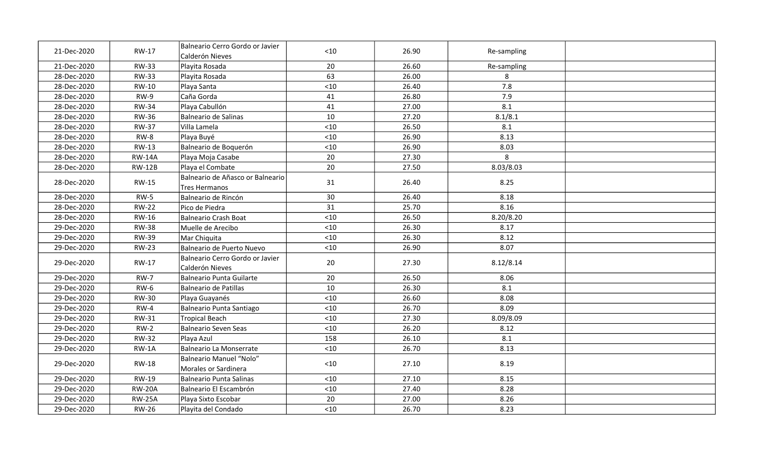| 21-Dec-2020 | RW-17         | Balneario Cerro Gordo or Javier<br>Calderón Nieves       | < 10  | 26.90 | Re-sampling |  |
|-------------|---------------|----------------------------------------------------------|-------|-------|-------------|--|
| 21-Dec-2020 | <b>RW-33</b>  | Playita Rosada                                           | 20    | 26.60 | Re-sampling |  |
| 28-Dec-2020 | <b>RW-33</b>  | Playita Rosada                                           | 63    | 26.00 | 8           |  |
| 28-Dec-2020 | RW-10         | Playa Santa                                              | < 10  | 26.40 | 7.8         |  |
| 28-Dec-2020 | $RW-9$        | Caña Gorda                                               | 41    | 26.80 | 7.9         |  |
| 28-Dec-2020 | <b>RW-34</b>  | Playa Cabullón                                           | 41    | 27.00 | 8.1         |  |
| 28-Dec-2020 | <b>RW-36</b>  | <b>Balneario de Salinas</b>                              | 10    | 27.20 | 8.1/8.1     |  |
| 28-Dec-2020 | <b>RW-37</b>  | Villa Lamela                                             | $<10$ | 26.50 | 8.1         |  |
| 28-Dec-2020 | RW-8          | Playa Buyé                                               | $<10$ | 26.90 | 8.13        |  |
| 28-Dec-2020 | RW-13         | Balneario de Boquerón                                    | $<10$ | 26.90 | 8.03        |  |
| 28-Dec-2020 | <b>RW-14A</b> | Playa Moja Casabe                                        | 20    | 27.30 | 8           |  |
| 28-Dec-2020 | <b>RW-12B</b> | Playa el Combate                                         | 20    | 27.50 | 8.03/8.03   |  |
| 28-Dec-2020 | <b>RW-15</b>  | Balneario de Añasco or Balneario<br><b>Tres Hermanos</b> | 31    | 26.40 | 8.25        |  |
| 28-Dec-2020 | <b>RW-5</b>   | Balneario de Rincón                                      | 30    | 26.40 | 8.18        |  |
| 28-Dec-2020 | <b>RW-22</b>  | Pico de Piedra                                           | 31    | 25.70 | 8.16        |  |
| 28-Dec-2020 | RW-16         | <b>Balneario Crash Boat</b>                              | < 10  | 26.50 | 8.20/8.20   |  |
| 29-Dec-2020 | <b>RW-38</b>  | Muelle de Arecibo                                        | $<10$ | 26.30 | 8.17        |  |
| 29-Dec-2020 | <b>RW-39</b>  | Mar Chiquita                                             | $<10$ | 26.30 | 8.12        |  |
| 29-Dec-2020 | <b>RW-23</b>  | Balneario de Puerto Nuevo                                | $<10$ | 26.90 | 8.07        |  |
| 29-Dec-2020 | RW-17         | Balneario Cerro Gordo or Javier<br>Calderón Nieves       | 20    | 27.30 | 8.12/8.14   |  |
| 29-Dec-2020 | <b>RW-7</b>   | <b>Balneario Punta Guilarte</b>                          | 20    | 26.50 | 8.06        |  |
| 29-Dec-2020 | $RW-6$        | <b>Balneario de Patillas</b>                             | 10    | 26.30 | 8.1         |  |
| 29-Dec-2020 | <b>RW-30</b>  | Playa Guayanés                                           | < 10  | 26.60 | 8.08        |  |
| 29-Dec-2020 | $RW-4$        | Balneario Punta Santiago                                 | < 10  | 26.70 | 8.09        |  |
| 29-Dec-2020 | RW-31         | <b>Tropical Beach</b>                                    | < 10  | 27.30 | 8.09/8.09   |  |
| 29-Dec-2020 | $RW-2$        | <b>Balneario Seven Seas</b>                              | < 10  | 26.20 | 8.12        |  |
| 29-Dec-2020 | <b>RW-32</b>  | Playa Azul                                               | 158   | 26.10 | 8.1         |  |
| 29-Dec-2020 | RW-1A         | <b>Balneario La Monserrate</b>                           | < 10  | 26.70 | 8.13        |  |
| 29-Dec-2020 | <b>RW-18</b>  | <b>Balneario Manuel "Nolo"</b><br>Morales or Sardinera   | < 10  | 27.10 | 8.19        |  |
| 29-Dec-2020 | RW-19         | <b>Balneario Punta Salinas</b>                           | < 10  | 27.10 | 8.15        |  |
| 29-Dec-2020 | <b>RW-20A</b> | Balneario El Escambrón                                   | < 10  | 27.40 | 8.28        |  |
| 29-Dec-2020 | <b>RW-25A</b> | Playa Sixto Escobar                                      | 20    | 27.00 | 8.26        |  |
| 29-Dec-2020 | <b>RW-26</b>  | Playita del Condado                                      | < 10  | 26.70 | 8.23        |  |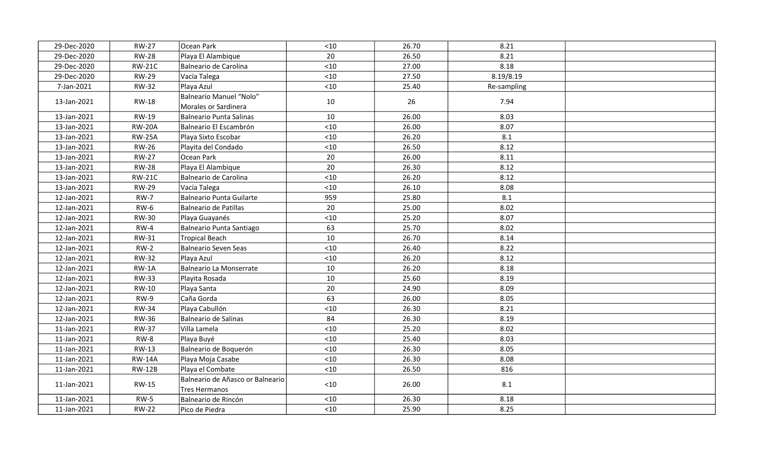| 29-Dec-2020 | <b>RW-27</b>  | Ocean Park                                        | $<10$ | 26.70 | 8.21        |  |
|-------------|---------------|---------------------------------------------------|-------|-------|-------------|--|
| 29-Dec-2020 | <b>RW-28</b>  | Playa El Alambique                                | 20    | 26.50 | 8.21        |  |
| 29-Dec-2020 | <b>RW-21C</b> | Balneario de Carolina                             | $<10$ | 27.00 | 8.18        |  |
| 29-Dec-2020 | <b>RW-29</b>  | Vacía Talega                                      | < 10  | 27.50 | 8.19/8.19   |  |
| 7-Jan-2021  | <b>RW-32</b>  | Playa Azul                                        | $<10$ | 25.40 | Re-sampling |  |
| 13-Jan-2021 | <b>RW-18</b>  | Balneario Manuel "Nolo"<br>Morales or Sardinera   | 10    | 26    | 7.94        |  |
| 13-Jan-2021 | <b>RW-19</b>  | <b>Balneario Punta Salinas</b>                    | 10    | 26.00 | 8.03        |  |
| 13-Jan-2021 | <b>RW-20A</b> | Balneario El Escambrón                            | $<10$ | 26.00 | 8.07        |  |
| 13-Jan-2021 | <b>RW-25A</b> | Playa Sixto Escobar                               | $<10$ | 26.20 | 8.1         |  |
| 13-Jan-2021 | <b>RW-26</b>  | Playita del Condado                               | $<10$ | 26.50 | 8.12        |  |
| 13-Jan-2021 | <b>RW-27</b>  | Ocean Park                                        | 20    | 26.00 | 8.11        |  |
| 13-Jan-2021 | <b>RW-28</b>  | Playa El Alambique                                | 20    | 26.30 | 8.12        |  |
| 13-Jan-2021 | <b>RW-21C</b> | Balneario de Carolina                             | $<10$ | 26.20 | 8.12        |  |
| 13-Jan-2021 | <b>RW-29</b>  | Vacía Talega                                      | < 10  | 26.10 | 8.08        |  |
| 12-Jan-2021 | <b>RW-7</b>   | Balneario Punta Guilarte                          | 959   | 25.80 | 8.1         |  |
| 12-Jan-2021 | $RW-6$        | Balneario de Patillas                             | 20    | 25.00 | 8.02        |  |
| 12-Jan-2021 | <b>RW-30</b>  | Playa Guayanés                                    | $<10$ | 25.20 | 8.07        |  |
| 12-Jan-2021 | $RW-4$        | Balneario Punta Santiago                          | 63    | 25.70 | 8.02        |  |
| 12-Jan-2021 | <b>RW-31</b>  | <b>Tropical Beach</b>                             | 10    | 26.70 | 8.14        |  |
| 12-Jan-2021 | $RW-2$        | <b>Balneario Seven Seas</b>                       | < 10  | 26.40 | 8.22        |  |
| 12-Jan-2021 | <b>RW-32</b>  | Playa Azul                                        | $<10$ | 26.20 | 8.12        |  |
| 12-Jan-2021 | $RW-1A$       | Balneario La Monserrate                           | 10    | 26.20 | 8.18        |  |
| 12-Jan-2021 | <b>RW-33</b>  | Playita Rosada                                    | 10    | 25.60 | 8.19        |  |
| 12-Jan-2021 | RW-10         | Playa Santa                                       | 20    | 24.90 | 8.09        |  |
| 12-Jan-2021 | <b>RW-9</b>   | Caña Gorda                                        | 63    | 26.00 | 8.05        |  |
| 12-Jan-2021 | <b>RW-34</b>  | Playa Cabullón                                    | $<10$ | 26.30 | 8.21        |  |
| 12-Jan-2021 | <b>RW-36</b>  | Balneario de Salinas                              | 84    | 26.30 | 8.19        |  |
| 11-Jan-2021 | <b>RW-37</b>  | Villa Lamela                                      | $<10$ | 25.20 | 8.02        |  |
| 11-Jan-2021 | $RW-8$        | Playa Buyé                                        | $<10$ | 25.40 | 8.03        |  |
| 11-Jan-2021 | RW-13         | Balneario de Boquerón                             | $<10$ | 26.30 | 8.05        |  |
| 11-Jan-2021 | <b>RW-14A</b> | Playa Moja Casabe                                 | $<10$ | 26.30 | 8.08        |  |
| 11-Jan-2021 | <b>RW-12B</b> | Playa el Combate                                  | $<10$ | 26.50 | 816         |  |
| 11-Jan-2021 | RW-15         | Balneario de Añasco or Balneario<br>Tres Hermanos | $<10$ | 26.00 | 8.1         |  |
| 11-Jan-2021 | <b>RW-5</b>   | Balneario de Rincón                               | $<10$ | 26.30 | 8.18        |  |
| 11-Jan-2021 | <b>RW-22</b>  | Pico de Piedra                                    | < 10  | 25.90 | 8.25        |  |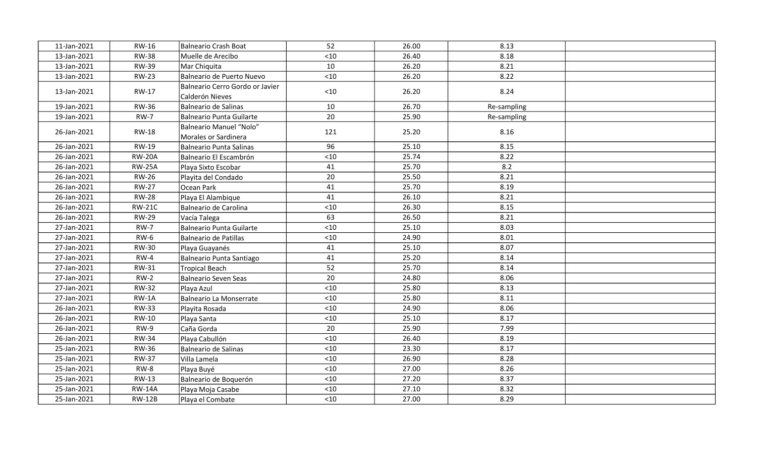| 11-Jan-2021 | RW-16         | Balneario Crash Boat                               | 52    | 26.00 | 8.13        |  |
|-------------|---------------|----------------------------------------------------|-------|-------|-------------|--|
| 13-Jan-2021 | <b>RW-38</b>  | Muelle de Arecibo                                  | $<10$ | 26.40 | 8.18        |  |
| 13-Jan-2021 | <b>RW-39</b>  | Mar Chiquita                                       | 10    | 26.20 | 8.21        |  |
| 13-Jan-2021 | <b>RW-23</b>  | Balneario de Puerto Nuevo                          | $<10$ | 26.20 | 8.22        |  |
| 13-Jan-2021 | RW-17         | Balneario Cerro Gordo or Javier<br>Calderón Nieves | $10$  | 26.20 | 8.24        |  |
| 19-Jan-2021 | <b>RW-36</b>  | Balneario de Salinas                               | 10    | 26.70 | Re-sampling |  |
| 19-Jan-2021 | <b>RW-7</b>   | Balneario Punta Guilarte                           | 20    | 25.90 | Re-sampling |  |
| 26-Jan-2021 | <b>RW-18</b>  | Balneario Manuel "Nolo"<br>Morales or Sardinera    | 121   | 25.20 | 8.16        |  |
| 26-Jan-2021 | RW-19         | Balneario Punta Salinas                            | 96    | 25.10 | 8.15        |  |
| 26-Jan-2021 | <b>RW-20A</b> | Balneario El Escambrón                             | $<10$ | 25.74 | 8.22        |  |
| 26-Jan-2021 | <b>RW-25A</b> | Playa Sixto Escobar                                | 41    | 25.70 | 8.2         |  |
| 26-Jan-2021 | <b>RW-26</b>  | Playita del Condado                                | 20    | 25.50 | 8.21        |  |
| 26-Jan-2021 | <b>RW-27</b>  | Ocean Park                                         | 41    | 25.70 | 8.19        |  |
| 26-Jan-2021 | <b>RW-28</b>  | Playa El Alambique                                 | 41    | 26.10 | 8.21        |  |
| 26-Jan-2021 | <b>RW-21C</b> | Balneario de Carolina                              | $<10$ | 26.30 | 8.15        |  |
| 26-Jan-2021 | <b>RW-29</b>  | Vacía Talega                                       | 63    | 26.50 | 8.21        |  |
| 27-Jan-2021 | $RW-7$        | Balneario Punta Guilarte                           | $<10$ | 25.10 | 8.03        |  |
| 27-Jan-2021 | $RW-6$        | Balneario de Patillas                              | $<10$ | 24.90 | 8.01        |  |
| 27-Jan-2021 | <b>RW-30</b>  | Playa Guayanés                                     | 41    | 25.10 | 8.07        |  |
| 27-Jan-2021 | $RW-4$        | Balneario Punta Santiago                           | 41    | 25.20 | 8.14        |  |
| 27-Jan-2021 | RW-31         | Tropical Beach                                     | 52    | 25.70 | 8.14        |  |
| 27-Jan-2021 | $RW-2$        | Balneario Seven Seas                               | 20    | 24.80 | 8.06        |  |
| 27-Jan-2021 | <b>RW-32</b>  | Playa Azul                                         | < 10  | 25.80 | 8.13        |  |
| 27-Jan-2021 | $RW-1A$       | Balneario La Monserrate                            | < 10  | 25.80 | 8.11        |  |
| 26-Jan-2021 | <b>RW-33</b>  | Playita Rosada                                     | < 10  | 24.90 | 8.06        |  |
| 26-Jan-2021 | RW-10         | Playa Santa                                        | $<10$ | 25.10 | 8.17        |  |
| 26-Jan-2021 | $RW-9$        | Caña Gorda                                         | 20    | 25.90 | 7.99        |  |
| 26-Jan-2021 | <b>RW-34</b>  | Playa Cabullón                                     | $<10$ | 26.40 | 8.19        |  |
| 25-Jan-2021 | <b>RW-36</b>  | Balneario de Salinas                               | < 10  | 23.30 | 8.17        |  |
| 25-Jan-2021 | <b>RW-37</b>  | Villa Lamela                                       | $<10$ | 26.90 | 8.28        |  |
| 25-Jan-2021 | $RW-8$        | Playa Buyé                                         | $<10$ | 27.00 | 8.26        |  |
| 25-Jan-2021 | RW-13         | Balneario de Boquerón                              | < 10  | 27.20 | 8.37        |  |
| 25-Jan-2021 | <b>RW-14A</b> | Playa Moja Casabe                                  | $<10$ | 27.10 | 8.32        |  |
| 25-Jan-2021 | <b>RW-12B</b> | Playa el Combate                                   | < 10  | 27.00 | 8.29        |  |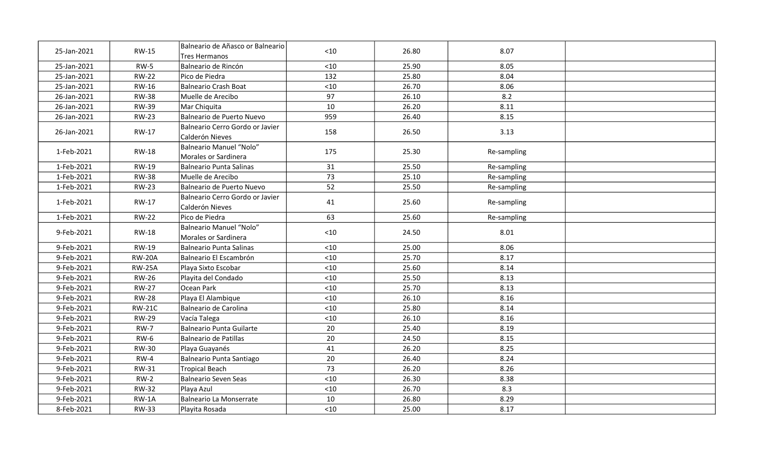| 25-Jan-2021 | <b>RW-15</b>  | Balneario de Añasco or Balneario<br>Tres Hermanos      | < 10  | 26.80 | 8.07        |  |
|-------------|---------------|--------------------------------------------------------|-------|-------|-------------|--|
| 25-Jan-2021 | <b>RW-5</b>   | Balneario de Rincón                                    | $<10$ | 25.90 | 8.05        |  |
| 25-Jan-2021 | <b>RW-22</b>  | Pico de Piedra                                         | 132   | 25.80 | 8.04        |  |
| 25-Jan-2021 | RW-16         | <b>Balneario Crash Boat</b>                            | $<10$ | 26.70 | 8.06        |  |
| 26-Jan-2021 | <b>RW-38</b>  | Muelle de Arecibo                                      | 97    | 26.10 | 8.2         |  |
| 26-Jan-2021 | <b>RW-39</b>  | Mar Chiquita                                           | 10    | 26.20 | 8.11        |  |
| 26-Jan-2021 | <b>RW-23</b>  | Balneario de Puerto Nuevo                              | 959   | 26.40 | 8.15        |  |
| 26-Jan-2021 | RW-17         | Balneario Cerro Gordo or Javier<br>Calderón Nieves     | 158   | 26.50 | 3.13        |  |
| 1-Feb-2021  | <b>RW-18</b>  | <b>Balneario Manuel "Nolo"</b><br>Morales or Sardinera | 175   | 25.30 | Re-sampling |  |
| 1-Feb-2021  | RW-19         | <b>Balneario Punta Salinas</b>                         | 31    | 25.50 | Re-sampling |  |
| 1-Feb-2021  | <b>RW-38</b>  | Muelle de Arecibo                                      | 73    | 25.10 | Re-sampling |  |
| 1-Feb-2021  | <b>RW-23</b>  | Balneario de Puerto Nuevo                              | 52    | 25.50 | Re-sampling |  |
| 1-Feb-2021  | RW-17         | Balneario Cerro Gordo or Javier<br>Calderón Nieves     | 41    | 25.60 | Re-sampling |  |
| 1-Feb-2021  | <b>RW-22</b>  | Pico de Piedra                                         | 63    | 25.60 | Re-sampling |  |
| 9-Feb-2021  | <b>RW-18</b>  | <b>Balneario Manuel "Nolo"</b><br>Morales or Sardinera | $<10$ | 24.50 | 8.01        |  |
| 9-Feb-2021  | <b>RW-19</b>  | <b>Balneario Punta Salinas</b>                         | $<10$ | 25.00 | 8.06        |  |
| 9-Feb-2021  | <b>RW-20A</b> | Balneario El Escambrón                                 | < 10  | 25.70 | 8.17        |  |
| 9-Feb-2021  | <b>RW-25A</b> | Playa Sixto Escobar                                    | $<10$ | 25.60 | 8.14        |  |
| 9-Feb-2021  | <b>RW-26</b>  | Playita del Condado                                    | < 10  | 25.50 | 8.13        |  |
| 9-Feb-2021  | <b>RW-27</b>  | Ocean Park                                             | < 10  | 25.70 | 8.13        |  |
| 9-Feb-2021  | <b>RW-28</b>  | Playa El Alambique                                     | < 10  | 26.10 | 8.16        |  |
| 9-Feb-2021  | <b>RW-21C</b> | Balneario de Carolina                                  | < 10  | 25.80 | 8.14        |  |
| 9-Feb-2021  | <b>RW-29</b>  | Vacía Talega                                           | < 10  | 26.10 | 8.16        |  |
| 9-Feb-2021  | <b>RW-7</b>   | <b>Balneario Punta Guilarte</b>                        | 20    | 25.40 | 8.19        |  |
| 9-Feb-2021  | $RW-6$        | Balneario de Patillas                                  | 20    | 24.50 | 8.15        |  |
| 9-Feb-2021  | <b>RW-30</b>  | Playa Guayanés                                         | 41    | 26.20 | 8.25        |  |
| 9-Feb-2021  | $RW-4$        | Balneario Punta Santiago                               | 20    | 26.40 | 8.24        |  |
| 9-Feb-2021  | RW-31         | <b>Tropical Beach</b>                                  | 73    | 26.20 | 8.26        |  |
| 9-Feb-2021  | $RW-2$        | <b>Balneario Seven Seas</b>                            | < 10  | 26.30 | 8.38        |  |
| 9-Feb-2021  | <b>RW-32</b>  | Playa Azul                                             | < 10  | 26.70 | 8.3         |  |
| 9-Feb-2021  | $RW-1A$       | <b>Balneario La Monserrate</b>                         | 10    | 26.80 | 8.29        |  |
| 8-Feb-2021  | <b>RW-33</b>  | Playita Rosada                                         | < 10  | 25.00 | 8.17        |  |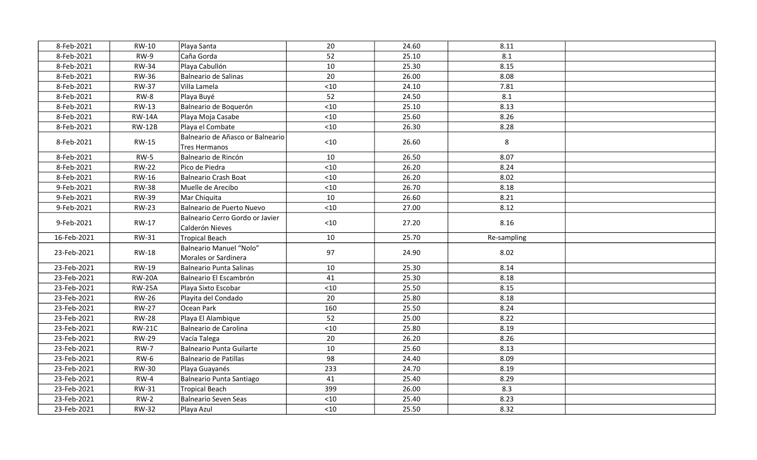| 8-Feb-2021                 | RW-10                  | Playa Santa                                        | 20           | 24.60          | 8.11         |  |
|----------------------------|------------------------|----------------------------------------------------|--------------|----------------|--------------|--|
| 8-Feb-2021                 | $RW-9$                 | Caña Gorda                                         | 52           | 25.10          | 8.1          |  |
| 8-Feb-2021                 | <b>RW-34</b>           | Playa Cabullón                                     | 10           | 25.30          | 8.15         |  |
| 8-Feb-2021                 | <b>RW-36</b>           | Balneario de Salinas                               | 20           | 26.00          | 8.08         |  |
| 8-Feb-2021                 | <b>RW-37</b>           | Villa Lamela                                       | $<10$        | 24.10          | 7.81         |  |
| 8-Feb-2021                 | $RW-8$                 | Playa Buyé                                         | 52           | 24.50          | 8.1          |  |
| 8-Feb-2021                 | RW-13                  | Balneario de Boquerón                              | < 10         | 25.10          | 8.13         |  |
| 8-Feb-2021                 | <b>RW-14A</b>          | Playa Moja Casabe                                  | < 10         | 25.60          | 8.26         |  |
| 8-Feb-2021                 | <b>RW-12B</b>          | Playa el Combate                                   | < 10         | 26.30          | 8.28         |  |
| 8-Feb-2021                 | <b>RW-15</b>           | Balneario de Añasco or Balneario<br>Tres Hermanos  | < 10         | 26.60          | 8            |  |
| 8-Feb-2021                 | $RW-5$                 | Balneario de Rincón                                | 10           | 26.50          | 8.07         |  |
| 8-Feb-2021                 | <b>RW-22</b>           | Pico de Piedra                                     | $<10$        | 26.20          | 8.24         |  |
| 8-Feb-2021                 | RW-16                  | Balneario Crash Boat                               | < 10         | 26.20          | 8.02         |  |
| 9-Feb-2021                 | <b>RW-38</b>           | Muelle de Arecibo                                  | $<10$        | 26.70          | 8.18         |  |
| 9-Feb-2021                 | <b>RW-39</b>           | Mar Chiquita                                       | 10           | 26.60          | 8.21         |  |
| 9-Feb-2021                 | <b>RW-23</b>           | Balneario de Puerto Nuevo                          | $<10$        | 27.00          | 8.12         |  |
| 9-Feb-2021                 | RW-17                  | Balneario Cerro Gordo or Javier<br>Calderón Nieves | $<10$        | 27.20          | 8.16         |  |
| 16-Feb-2021                | <b>RW-31</b>           | Tropical Beach                                     | 10           | 25.70          | Re-sampling  |  |
| 23-Feb-2021                | <b>RW-18</b>           | Balneario Manuel "Nolo"<br>Morales or Sardinera    | 97           | 24.90          | 8.02         |  |
| 23-Feb-2021                | <b>RW-19</b>           | Balneario Punta Salinas                            | 10           | 25.30          | 8.14         |  |
| 23-Feb-2021                | <b>RW-20A</b>          | Balneario El Escambrón                             | 41           | 25.30          | 8.18         |  |
| 23-Feb-2021                | <b>RW-25A</b>          | Playa Sixto Escobar                                | $<10$        | 25.50          | 8.15         |  |
| 23-Feb-2021                | <b>RW-26</b>           | Playita del Condado                                | 20           | 25.80          | 8.18         |  |
| 23-Feb-2021                | <b>RW-27</b>           | Ocean Park                                         | 160          | 25.50          | 8.24         |  |
| 23-Feb-2021                | <b>RW-28</b>           | Playa El Alambique                                 | 52           | 25.00          | 8.22         |  |
| 23-Feb-2021                | <b>RW-21C</b>          | Balneario de Carolina                              | $<10$        | 25.80          | 8.19         |  |
| 23-Feb-2021                | <b>RW-29</b>           | Vacía Talega                                       | 20           | 26.20          | 8.26         |  |
| 23-Feb-2021                | <b>RW-7</b>            | Balneario Punta Guilarte                           | 10           | 25.60          | 8.13         |  |
| 23-Feb-2021                | $RW-6$                 | Balneario de Patillas                              | 98           | 24.40          | 8.09         |  |
| 23-Feb-2021                | <b>RW-30</b>           | Playa Guayanés                                     | 233          | 24.70          | 8.19         |  |
| 23-Feb-2021                | $RW-4$                 | Balneario Punta Santiago                           | 41           | 25.40          | 8.29         |  |
| 23-Feb-2021                |                        |                                                    |              |                |              |  |
|                            | RW-31                  | Tropical Beach                                     | 399          | 26.00          | 8.3          |  |
| 23-Feb-2021<br>23-Feb-2021 | $RW-2$<br><b>RW-32</b> | Balneario Seven Seas<br>Playa Azul                 | < 10<br>< 10 | 25.40<br>25.50 | 8.23<br>8.32 |  |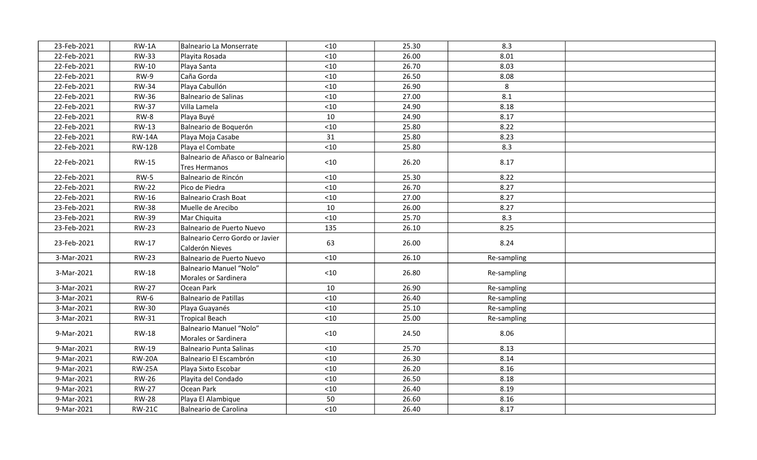| 23-Feb-2021 | $RW-1A$       | Balneario La Monserrate                            | < 10  | 25.30 | 8.3         |  |
|-------------|---------------|----------------------------------------------------|-------|-------|-------------|--|
| 22-Feb-2021 | <b>RW-33</b>  | Playita Rosada                                     | $<10$ | 26.00 | 8.01        |  |
| 22-Feb-2021 | <b>RW-10</b>  | Playa Santa                                        | $<10$ | 26.70 | 8.03        |  |
| 22-Feb-2021 | $RW-9$        | Caña Gorda                                         | < 10  | 26.50 | 8.08        |  |
| 22-Feb-2021 | <b>RW-34</b>  | Playa Cabullón                                     | < 10  | 26.90 | 8           |  |
| 22-Feb-2021 | <b>RW-36</b>  | Balneario de Salinas                               | < 10  | 27.00 | 8.1         |  |
| 22-Feb-2021 | <b>RW-37</b>  | Villa Lamela                                       | $<10$ | 24.90 | 8.18        |  |
| 22-Feb-2021 | RW-8          | Playa Buyé                                         | 10    | 24.90 | 8.17        |  |
| 22-Feb-2021 | <b>RW-13</b>  | Balneario de Boquerón                              | $<10$ | 25.80 | 8.22        |  |
| 22-Feb-2021 | <b>RW-14A</b> | Playa Moja Casabe                                  | 31    | 25.80 | 8.23        |  |
| 22-Feb-2021 | <b>RW-12B</b> | Playa el Combate                                   | $<10$ | 25.80 | 8.3         |  |
| 22-Feb-2021 | <b>RW-15</b>  | Balneario de Añasco or Balneario<br>Tres Hermanos  | < 10  | 26.20 | 8.17        |  |
| 22-Feb-2021 | $RW-5$        | Balneario de Rincón                                | $<10$ | 25.30 | 8.22        |  |
| 22-Feb-2021 | <b>RW-22</b>  | Pico de Piedra                                     | < 10  | 26.70 | 8.27        |  |
| 22-Feb-2021 | <b>RW-16</b>  | Balneario Crash Boat                               | $<10$ | 27.00 | 8.27        |  |
| 23-Feb-2021 | <b>RW-38</b>  | Muelle de Arecibo                                  | 10    | 26.00 | 8.27        |  |
| 23-Feb-2021 | <b>RW-39</b>  | Mar Chiquita                                       | < 10  | 25.70 | 8.3         |  |
| 23-Feb-2021 | <b>RW-23</b>  | Balneario de Puerto Nuevo                          | 135   | 26.10 | 8.25        |  |
| 23-Feb-2021 | RW-17         | Balneario Cerro Gordo or Javier<br>Calderón Nieves | 63    | 26.00 | 8.24        |  |
| 3-Mar-2021  | <b>RW-23</b>  | Balneario de Puerto Nuevo                          | $<10$ | 26.10 | Re-sampling |  |
| 3-Mar-2021  | <b>RW-18</b>  | Balneario Manuel "Nolo"<br>Morales or Sardinera    | $<10$ | 26.80 | Re-sampling |  |
| 3-Mar-2021  | <b>RW-27</b>  | Ocean Park                                         | 10    | 26.90 | Re-sampling |  |
| 3-Mar-2021  | <b>RW-6</b>   | Balneario de Patillas                              | $<10$ | 26.40 | Re-sampling |  |
| 3-Mar-2021  | <b>RW-30</b>  | Playa Guayanés                                     | < 10  | 25.10 | Re-sampling |  |
| 3-Mar-2021  | <b>RW-31</b>  | Tropical Beach                                     | $<10$ | 25.00 | Re-sampling |  |
| 9-Mar-2021  | <b>RW-18</b>  | Balneario Manuel "Nolo"<br>Morales or Sardinera    | $<10$ | 24.50 | 8.06        |  |
| 9-Mar-2021  | <b>RW-19</b>  | Balneario Punta Salinas                            | < 10  | 25.70 | 8.13        |  |
| 9-Mar-2021  | <b>RW-20A</b> | Balneario El Escambrón                             | $<10$ | 26.30 | 8.14        |  |
| 9-Mar-2021  | <b>RW-25A</b> | Playa Sixto Escobar                                | $<10$ | 26.20 | 8.16        |  |
| 9-Mar-2021  | <b>RW-26</b>  | Playita del Condado                                | $<10$ | 26.50 | 8.18        |  |
| 9-Mar-2021  | <b>RW-27</b>  | Ocean Park                                         | < 10  | 26.40 | 8.19        |  |
| 9-Mar-2021  | <b>RW-28</b>  | Playa El Alambique                                 | 50    | 26.60 | 8.16        |  |
| 9-Mar-2021  | <b>RW-21C</b> | Balneario de Carolina                              | < 10  | 26.40 | 8.17        |  |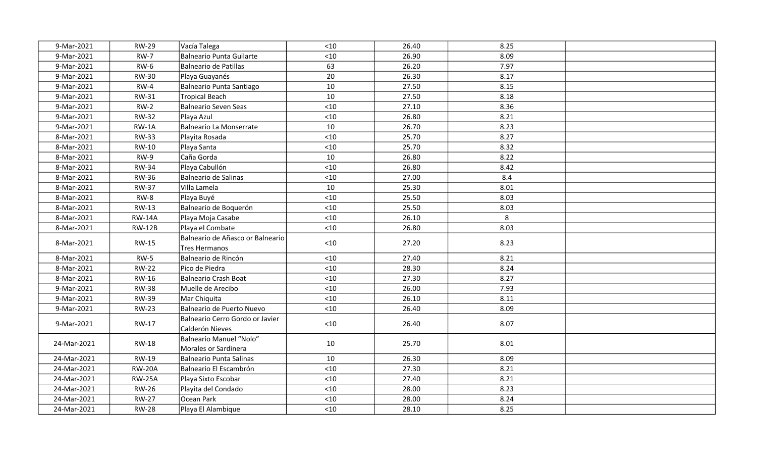| 9-Mar-2021  | <b>RW-29</b>  | Vacía Talega                                       | $<10$ | 26.40 | 8.25 |  |
|-------------|---------------|----------------------------------------------------|-------|-------|------|--|
| 9-Mar-2021  | <b>RW-7</b>   | Balneario Punta Guilarte                           | $<10$ | 26.90 | 8.09 |  |
| 9-Mar-2021  | <b>RW-6</b>   | Balneario de Patillas                              | 63    | 26.20 | 7.97 |  |
| 9-Mar-2021  | <b>RW-30</b>  | Playa Guayanés                                     | 20    | 26.30 | 8.17 |  |
| 9-Mar-2021  | $RW-4$        | Balneario Punta Santiago                           | 10    | 27.50 | 8.15 |  |
| 9-Mar-2021  | RW-31         | Tropical Beach                                     | 10    | 27.50 | 8.18 |  |
| 9-Mar-2021  | $RW-2$        | Balneario Seven Seas                               | $<10$ | 27.10 | 8.36 |  |
| 9-Mar-2021  | <b>RW-32</b>  | Playa Azul                                         | $<10$ | 26.80 | 8.21 |  |
| 9-Mar-2021  | $RW-1A$       | Balneario La Monserrate                            | 10    | 26.70 | 8.23 |  |
| 8-Mar-2021  | <b>RW-33</b>  | Playita Rosada                                     | $<10$ | 25.70 | 8.27 |  |
| 8-Mar-2021  | RW-10         | Playa Santa                                        | $<10$ | 25.70 | 8.32 |  |
| 8-Mar-2021  | RW-9          | Caña Gorda                                         | 10    | 26.80 | 8.22 |  |
| 8-Mar-2021  | <b>RW-34</b>  | Playa Cabullón                                     | $<10$ | 26.80 | 8.42 |  |
| 8-Mar-2021  | <b>RW-36</b>  | Balneario de Salinas                               | $<10$ | 27.00 | 8.4  |  |
| 8-Mar-2021  | <b>RW-37</b>  | Villa Lamela                                       | 10    | 25.30 | 8.01 |  |
| 8-Mar-2021  | RW-8          | Playa Buyé                                         | $<10$ | 25.50 | 8.03 |  |
| 8-Mar-2021  | <b>RW-13</b>  | Balneario de Boquerón                              | $<10$ | 25.50 | 8.03 |  |
| 8-Mar-2021  | <b>RW-14A</b> | Playa Moja Casabe                                  | < 10  | 26.10 | 8    |  |
| 8-Mar-2021  | <b>RW-12B</b> | Playa el Combate                                   | $<10$ | 26.80 | 8.03 |  |
| 8-Mar-2021  | <b>RW-15</b>  | Balneario de Añasco or Balneario<br>Tres Hermanos  | $<10$ | 27.20 | 8.23 |  |
| 8-Mar-2021  | $RW-5$        | Balneario de Rincón                                | < 10  | 27.40 | 8.21 |  |
| 8-Mar-2021  | <b>RW-22</b>  | Pico de Piedra                                     | < 10  | 28.30 | 8.24 |  |
| 8-Mar-2021  | <b>RW-16</b>  | Balneario Crash Boat                               | < 10  | 27.30 | 8.27 |  |
| 9-Mar-2021  | <b>RW-38</b>  | Muelle de Arecibo                                  | < 10  | 26.00 | 7.93 |  |
| 9-Mar-2021  | <b>RW-39</b>  | Mar Chiquita                                       | < 10  | 26.10 | 8.11 |  |
| 9-Mar-2021  | <b>RW-23</b>  | Balneario de Puerto Nuevo                          | $<10$ | 26.40 | 8.09 |  |
| 9-Mar-2021  | RW-17         | Balneario Cerro Gordo or Javier<br>Calderón Nieves | $<10$ | 26.40 | 8.07 |  |
| 24-Mar-2021 | <b>RW-18</b>  | Balneario Manuel "Nolo"<br>Morales or Sardinera    | 10    | 25.70 | 8.01 |  |
| 24-Mar-2021 | RW-19         | Balneario Punta Salinas                            | 10    | 26.30 | 8.09 |  |
| 24-Mar-2021 | <b>RW-20A</b> | Balneario El Escambrón                             | < 10  | 27.30 | 8.21 |  |
| 24-Mar-2021 | <b>RW-25A</b> | Playa Sixto Escobar                                | $<10$ | 27.40 | 8.21 |  |
| 24-Mar-2021 | <b>RW-26</b>  | Playita del Condado                                | < 10  | 28.00 | 8.23 |  |
| 24-Mar-2021 | <b>RW-27</b>  | Ocean Park                                         | < 10  | 28.00 | 8.24 |  |
| 24-Mar-2021 | <b>RW-28</b>  | Playa El Alambique                                 | $<10$ | 28.10 | 8.25 |  |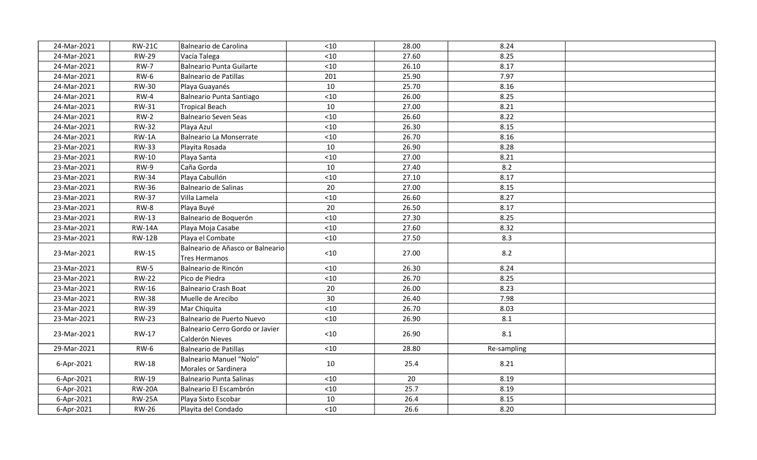| 24-Mar-2021 | <b>RW-21C</b> | Balneario de Carolina                              | $<10$ | 28.00 | 8.24        |  |
|-------------|---------------|----------------------------------------------------|-------|-------|-------------|--|
| 24-Mar-2021 | <b>RW-29</b>  | Vacía Talega                                       | $<10$ | 27.60 | 8.25        |  |
| 24-Mar-2021 | <b>RW-7</b>   | Balneario Punta Guilarte                           | $<10$ | 26.10 | 8.17        |  |
| 24-Mar-2021 | $RW-6$        | Balneario de Patillas                              | 201   | 25.90 | 7.97        |  |
| 24-Mar-2021 | <b>RW-30</b>  | Playa Guayanés                                     | 10    | 25.70 | 8.16        |  |
| 24-Mar-2021 | $RW-4$        | Balneario Punta Santiago                           | $<10$ | 26.00 | 8.25        |  |
| 24-Mar-2021 | <b>RW-31</b>  | Tropical Beach                                     | 10    | 27.00 | 8.21        |  |
| 24-Mar-2021 | $RW-2$        | Balneario Seven Seas                               | $<10$ | 26.60 | 8.22        |  |
| 24-Mar-2021 | <b>RW-32</b>  | Playa Azul                                         | $<10$ | 26.30 | 8.15        |  |
| 24-Mar-2021 | $RW-1A$       | Balneario La Monserrate                            | $<10$ | 26.70 | 8.16        |  |
| 23-Mar-2021 | <b>RW-33</b>  | Playita Rosada                                     | 10    | 26.90 | 8.28        |  |
| 23-Mar-2021 | RW-10         | Playa Santa                                        | $<10$ | 27.00 | 8.21        |  |
| 23-Mar-2021 | $RW-9$        | Caña Gorda                                         | 10    | 27.40 | 8.2         |  |
| 23-Mar-2021 | <b>RW-34</b>  | Playa Cabullón                                     | $<10$ | 27.10 | 8.17        |  |
| 23-Mar-2021 | <b>RW-36</b>  | Balneario de Salinas                               | 20    | 27.00 | 8.15        |  |
| 23-Mar-2021 | <b>RW-37</b>  | Villa Lamela                                       | $<10$ | 26.60 | 8.27        |  |
| 23-Mar-2021 | $RW-8$        | Playa Buyé                                         | 20    | 26.50 | 8.17        |  |
| 23-Mar-2021 | RW-13         | Balneario de Boquerón                              | $<10$ | 27.30 | 8.25        |  |
| 23-Mar-2021 | <b>RW-14A</b> | Playa Moja Casabe                                  | $<10$ | 27.60 | 8.32        |  |
| 23-Mar-2021 | <b>RW-12B</b> | Playa el Combate                                   | $<10$ | 27.50 | 8.3         |  |
| 23-Mar-2021 | <b>RW-15</b>  | Balneario de Añasco or Balneario<br>Tres Hermanos  | $<10$ | 27.00 | 8.2         |  |
| 23-Mar-2021 | $RW-5$        | Balneario de Rincón                                | $<10$ | 26.30 | 8.24        |  |
| 23-Mar-2021 | <b>RW-22</b>  | Pico de Piedra                                     | $<10$ | 26.70 | 8.25        |  |
| 23-Mar-2021 | RW-16         | Balneario Crash Boat                               | 20    | 26.00 | 8.23        |  |
| 23-Mar-2021 | <b>RW-38</b>  | Muelle de Arecibo                                  | 30    | 26.40 | 7.98        |  |
| 23-Mar-2021 | <b>RW-39</b>  | Mar Chiquita                                       | < 10  | 26.70 | 8.03        |  |
| 23-Mar-2021 | <b>RW-23</b>  | Balneario de Puerto Nuevo                          | < 10  | 26.90 | 8.1         |  |
| 23-Mar-2021 | <b>RW-17</b>  | Balneario Cerro Gordo or Javier<br>Calderón Nieves | $<10$ | 26.90 | 8.1         |  |
| 29-Mar-2021 | <b>RW-6</b>   | Balneario de Patillas                              | $<10$ | 28.80 | Re-sampling |  |
| 6-Apr-2021  | <b>RW-18</b>  | Balneario Manuel "Nolo"<br>Morales or Sardinera    | 10    | 25.4  | 8.21        |  |
| 6-Apr-2021  | RW-19         | Balneario Punta Salinas                            | < 10  | 20    | 8.19        |  |
| 6-Apr-2021  | <b>RW-20A</b> | Balneario El Escambrón                             | $<10$ | 25.7  | 8.19        |  |
| 6-Apr-2021  | <b>RW-25A</b> | Playa Sixto Escobar                                | 10    | 26.4  | 8.15        |  |
| 6-Apr-2021  | <b>RW-26</b>  | Playita del Condado                                | < 10  | 26.6  | 8.20        |  |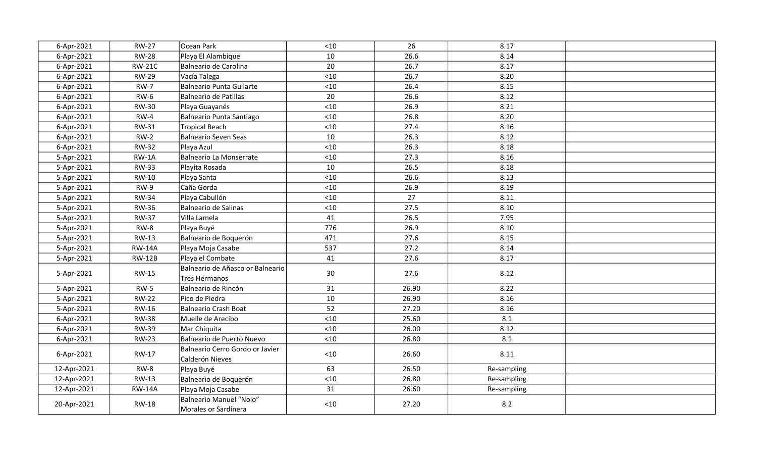| 6-Apr-2021  | <b>RW-27</b>  | Ocean Park                                         | $<10$ | 26    | 8.17        |  |
|-------------|---------------|----------------------------------------------------|-------|-------|-------------|--|
| 6-Apr-2021  | <b>RW-28</b>  | Playa El Alambique                                 | 10    | 26.6  | 8.14        |  |
| 6-Apr-2021  | <b>RW-21C</b> | Balneario de Carolina                              | 20    | 26.7  | 8.17        |  |
| 6-Apr-2021  | <b>RW-29</b>  | Vacía Talega                                       | < 10  | 26.7  | 8.20        |  |
| 6-Apr-2021  | <b>RW-7</b>   | Balneario Punta Guilarte                           | $<10$ | 26.4  | 8.15        |  |
| 6-Apr-2021  | $RW-6$        | Balneario de Patillas                              | 20    | 26.6  | 8.12        |  |
| 6-Apr-2021  | <b>RW-30</b>  | Playa Guayanés                                     | < 10  | 26.9  | 8.21        |  |
| 6-Apr-2021  | $RW-4$        | Balneario Punta Santiago                           | $<10$ | 26.8  | 8.20        |  |
| 6-Apr-2021  | <b>RW-31</b>  | Tropical Beach                                     | < 10  | 27.4  | 8.16        |  |
| 6-Apr-2021  | $RW-2$        | Balneario Seven Seas                               | 10    | 26.3  | 8.12        |  |
| 6-Apr-2021  | <b>RW-32</b>  | Playa Azul                                         | $<10$ | 26.3  | 8.18        |  |
| 5-Apr-2021  | $RW-1A$       | Balneario La Monserrate                            | $<10$ | 27.3  | 8.16        |  |
| 5-Apr-2021  | <b>RW-33</b>  | Playita Rosada                                     | 10    | 26.5  | 8.18        |  |
| 5-Apr-2021  | RW-10         | Playa Santa                                        | $<10$ | 26.6  | 8.13        |  |
| 5-Apr-2021  | RW-9          | Caña Gorda                                         | $<10$ | 26.9  | 8.19        |  |
| 5-Apr-2021  | <b>RW-34</b>  | Playa Cabullón                                     | $<10$ | 27    | 8.11        |  |
| 5-Apr-2021  | <b>RW-36</b>  | Balneario de Salinas                               | $<10$ | 27.5  | 8.10        |  |
| 5-Apr-2021  | <b>RW-37</b>  | Villa Lamela                                       | 41    | 26.5  | 7.95        |  |
| 5-Apr-2021  | $RW-8$        | Playa Buyé                                         | 776   | 26.9  | 8.10        |  |
| 5-Apr-2021  | <b>RW-13</b>  | Balneario de Boquerón                              | 471   | 27.6  | 8.15        |  |
| 5-Apr-2021  | <b>RW-14A</b> | Playa Moja Casabe                                  | 537   | 27.2  | 8.14        |  |
| 5-Apr-2021  | <b>RW-12B</b> | Playa el Combate                                   | 41    | 27.6  | 8.17        |  |
| 5-Apr-2021  | <b>RW-15</b>  | Balneario de Añasco or Balneario<br>Tres Hermanos  | 30    | 27.6  | 8.12        |  |
| 5-Apr-2021  | $RW-5$        | Balneario de Rincón                                | 31    | 26.90 | 8.22        |  |
| 5-Apr-2021  | <b>RW-22</b>  | Pico de Piedra                                     | 10    | 26.90 | 8.16        |  |
| 5-Apr-2021  | <b>RW-16</b>  | Balneario Crash Boat                               | 52    | 27.20 | 8.16        |  |
| 6-Apr-2021  | <b>RW-38</b>  | Muelle de Arecibo                                  | < 10  | 25.60 | 8.1         |  |
| 6-Apr-2021  | <b>RW-39</b>  | Mar Chiquita                                       | < 10  | 26.00 | 8.12        |  |
| 6-Apr-2021  | <b>RW-23</b>  | Balneario de Puerto Nuevo                          | < 10  | 26.80 | 8.1         |  |
| 6-Apr-2021  | RW-17         | Balneario Cerro Gordo or Javier<br>Calderón Nieves | $<10$ | 26.60 | 8.11        |  |
| 12-Apr-2021 | $RW-8$        | Playa Buyé                                         | 63    | 26.50 | Re-sampling |  |
| 12-Apr-2021 | RW-13         | Balneario de Boquerón                              | < 10  | 26.80 | Re-sampling |  |
| 12-Apr-2021 | <b>RW-14A</b> | Playa Moja Casabe                                  | 31    | 26.60 | Re-sampling |  |
| 20-Apr-2021 | RW-18         | Balneario Manuel "Nolo"<br>Morales or Sardinera    | $<10$ | 27.20 | 8.2         |  |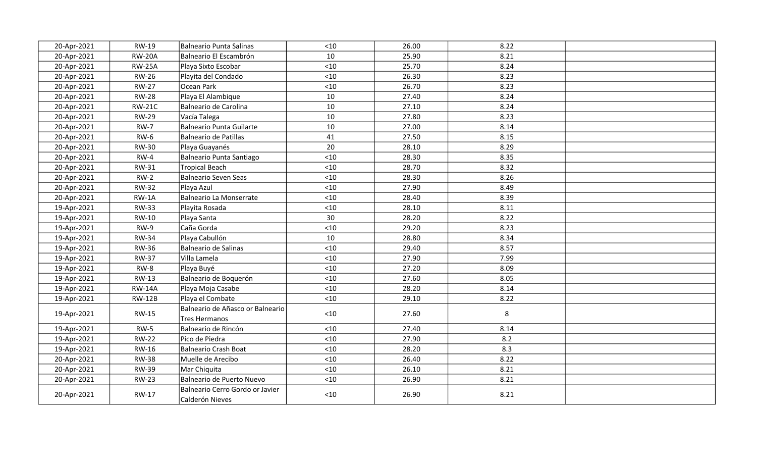| 20-Apr-2021 | RW-19         | Balneario Punta Salinas                            | < 10  | 26.00 | 8.22 |  |
|-------------|---------------|----------------------------------------------------|-------|-------|------|--|
| 20-Apr-2021 | <b>RW-20A</b> | Balneario El Escambrón                             | 10    | 25.90 | 8.21 |  |
| 20-Apr-2021 | <b>RW-25A</b> | Playa Sixto Escobar                                | < 10  | 25.70 | 8.24 |  |
| 20-Apr-2021 | <b>RW-26</b>  | Playita del Condado                                | $<10$ | 26.30 | 8.23 |  |
| 20-Apr-2021 | <b>RW-27</b>  | Ocean Park                                         | < 10  | 26.70 | 8.23 |  |
| 20-Apr-2021 | <b>RW-28</b>  | Playa El Alambique                                 | 10    | 27.40 | 8.24 |  |
| 20-Apr-2021 | <b>RW-21C</b> | Balneario de Carolina                              | 10    | 27.10 | 8.24 |  |
| 20-Apr-2021 | <b>RW-29</b>  | Vacía Talega                                       | 10    | 27.80 | 8.23 |  |
| 20-Apr-2021 | <b>RW-7</b>   | Balneario Punta Guilarte                           | 10    | 27.00 | 8.14 |  |
| 20-Apr-2021 | <b>RW-6</b>   | Balneario de Patillas                              | 41    | 27.50 | 8.15 |  |
| 20-Apr-2021 | <b>RW-30</b>  | Playa Guayanés                                     | 20    | 28.10 | 8.29 |  |
| 20-Apr-2021 | $RW-4$        | Balneario Punta Santiago                           | < 10  | 28.30 | 8.35 |  |
| 20-Apr-2021 | <b>RW-31</b>  | Tropical Beach                                     | $<10$ | 28.70 | 8.32 |  |
| 20-Apr-2021 | $RW-2$        | Balneario Seven Seas                               | $<10$ | 28.30 | 8.26 |  |
| 20-Apr-2021 | <b>RW-32</b>  | Playa Azul                                         | $<10$ | 27.90 | 8.49 |  |
| 20-Apr-2021 | RW-1A         | Balneario La Monserrate                            | < 10  | 28.40 | 8.39 |  |
| 19-Apr-2021 | <b>RW-33</b>  | Playita Rosada                                     | < 10  | 28.10 | 8.11 |  |
| 19-Apr-2021 | RW-10         | Playa Santa                                        | 30    | 28.20 | 8.22 |  |
| 19-Apr-2021 | <b>RW-9</b>   | Caña Gorda                                         | < 10  | 29.20 | 8.23 |  |
| 19-Apr-2021 | <b>RW-34</b>  | Playa Cabullón                                     | 10    | 28.80 | 8.34 |  |
| 19-Apr-2021 | <b>RW-36</b>  | Balneario de Salinas                               | < 10  | 29.40 | 8.57 |  |
| 19-Apr-2021 | <b>RW-37</b>  | Villa Lamela                                       | < 10  | 27.90 | 7.99 |  |
| 19-Apr-2021 | $RW-8$        | Playa Buyé                                         | < 10  | 27.20 | 8.09 |  |
| 19-Apr-2021 | <b>RW-13</b>  | Balneario de Boquerón                              | < 10  | 27.60 | 8.05 |  |
| 19-Apr-2021 | <b>RW-14A</b> | Playa Moja Casabe                                  | < 10  | 28.20 | 8.14 |  |
| 19-Apr-2021 | <b>RW-12B</b> | Playa el Combate                                   | $<10$ | 29.10 | 8.22 |  |
| 19-Apr-2021 | <b>RW-15</b>  | Balneario de Añasco or Balneario<br>Tres Hermanos  | $<10$ | 27.60 | 8    |  |
| 19-Apr-2021 | $RW-5$        | Balneario de Rincón                                | $<10$ | 27.40 | 8.14 |  |
| 19-Apr-2021 | <b>RW-22</b>  | Pico de Piedra                                     | $<10$ | 27.90 | 8.2  |  |
| 19-Apr-2021 | RW-16         | Balneario Crash Boat                               | $<10$ | 28.20 | 8.3  |  |
| 20-Apr-2021 | <b>RW-38</b>  | Muelle de Arecibo                                  | < 10  | 26.40 | 8.22 |  |
| 20-Apr-2021 | <b>RW-39</b>  | Mar Chiquita                                       | $<10$ | 26.10 | 8.21 |  |
| 20-Apr-2021 | <b>RW-23</b>  | Balneario de Puerto Nuevo                          | $<10$ | 26.90 | 8.21 |  |
| 20-Apr-2021 | RW-17         | Balneario Cerro Gordo or Javier<br>Calderón Nieves | $<10$ | 26.90 | 8.21 |  |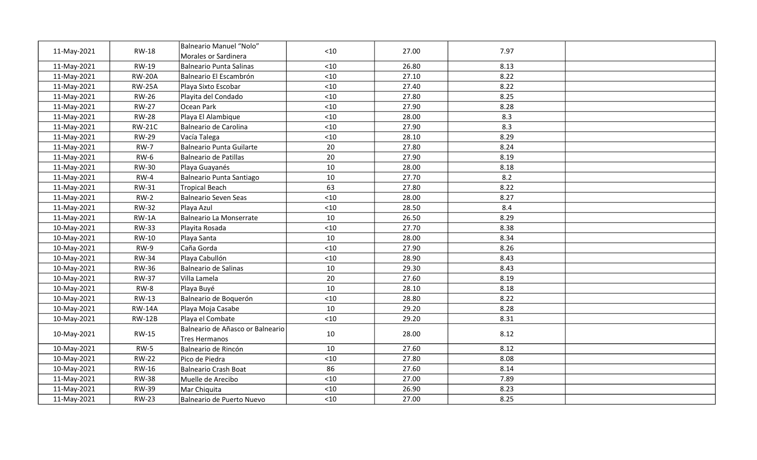| 11-May-2021 | <b>RW-18</b>  | Balneario Manuel "Nolo"<br>Morales or Sardinera   | $<10$ | 27.00 | 7.97 |  |
|-------------|---------------|---------------------------------------------------|-------|-------|------|--|
| 11-May-2021 | RW-19         | Balneario Punta Salinas                           | $<10$ | 26.80 | 8.13 |  |
| 11-May-2021 | <b>RW-20A</b> | Balneario El Escambrón                            | $<10$ | 27.10 | 8.22 |  |
| 11-May-2021 | <b>RW-25A</b> | Playa Sixto Escobar                               | < 10  | 27.40 | 8.22 |  |
| 11-May-2021 | <b>RW-26</b>  | Playita del Condado                               | $<10$ | 27.80 | 8.25 |  |
| 11-May-2021 | <b>RW-27</b>  | Ocean Park                                        | $<10$ | 27.90 | 8.28 |  |
| 11-May-2021 | <b>RW-28</b>  | Playa El Alambique                                | < 10  | 28.00 | 8.3  |  |
| 11-May-2021 | <b>RW-21C</b> | Balneario de Carolina                             | < 10  | 27.90 | 8.3  |  |
| 11-May-2021 | <b>RW-29</b>  | Vacía Talega                                      | $<10$ | 28.10 | 8.29 |  |
| 11-May-2021 | <b>RW-7</b>   | Balneario Punta Guilarte                          | 20    | 27.80 | 8.24 |  |
| 11-May-2021 | $RW-6$        | Balneario de Patillas                             | 20    | 27.90 | 8.19 |  |
| 11-May-2021 | <b>RW-30</b>  | Playa Guayanés                                    | 10    | 28.00 | 8.18 |  |
| 11-May-2021 | $RW-4$        | Balneario Punta Santiago                          | 10    | 27.70 | 8.2  |  |
| 11-May-2021 | RW-31         | Tropical Beach                                    | 63    | 27.80 | 8.22 |  |
| 11-May-2021 | $RW-2$        | Balneario Seven Seas                              | $<10$ | 28.00 | 8.27 |  |
| 11-May-2021 | <b>RW-32</b>  | Playa Azul                                        | $<10$ | 28.50 | 8.4  |  |
| 11-May-2021 | $RW-1A$       | Balneario La Monserrate                           | 10    | 26.50 | 8.29 |  |
| 10-May-2021 | <b>RW-33</b>  | Playita Rosada                                    | $<10$ | 27.70 | 8.38 |  |
| 10-May-2021 | <b>RW-10</b>  | Playa Santa                                       | 10    | 28.00 | 8.34 |  |
| 10-May-2021 | $RW-9$        | Caña Gorda                                        | < 10  | 27.90 | 8.26 |  |
| 10-May-2021 | <b>RW-34</b>  | Playa Cabullón                                    | $<10$ | 28.90 | 8.43 |  |
| 10-May-2021 | <b>RW-36</b>  | Balneario de Salinas                              | 10    | 29.30 | 8.43 |  |
| 10-May-2021 | <b>RW-37</b>  | Villa Lamela                                      | 20    | 27.60 | 8.19 |  |
| 10-May-2021 | RW-8          | Playa Buyé                                        | 10    | 28.10 | 8.18 |  |
| 10-May-2021 | RW-13         | Balneario de Boquerón                             | $<10$ | 28.80 | 8.22 |  |
| 10-May-2021 | <b>RW-14A</b> | Playa Moja Casabe                                 | 10    | 29.20 | 8.28 |  |
| 10-May-2021 | <b>RW-12B</b> | Playa el Combate                                  | $<10$ | 29.20 | 8.31 |  |
| 10-May-2021 | <b>RW-15</b>  | Balneario de Añasco or Balneario<br>Tres Hermanos | 10    | 28.00 | 8.12 |  |
| 10-May-2021 | $RW-5$        | Balneario de Rincón                               | 10    | 27.60 | 8.12 |  |
| 10-May-2021 | <b>RW-22</b>  | Pico de Piedra                                    | < 10  | 27.80 | 8.08 |  |
| 10-May-2021 | RW-16         | Balneario Crash Boat                              | 86    | 27.60 | 8.14 |  |
| 11-May-2021 | <b>RW-38</b>  | Muelle de Arecibo                                 | < 10  | 27.00 | 7.89 |  |
| 11-May-2021 | <b>RW-39</b>  | Mar Chiquita                                      | < 10  | 26.90 | 8.23 |  |
| 11-May-2021 | <b>RW-23</b>  | Balneario de Puerto Nuevo                         | $<10$ | 27.00 | 8.25 |  |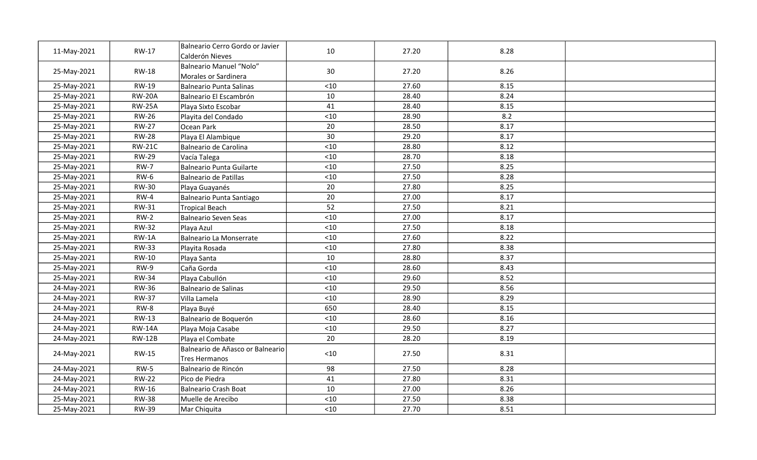| 11-May-2021 | <b>RW-17</b>  | Balneario Cerro Gordo or Javier<br>Calderón Nieves | 10    | 27.20 | 8.28 |  |
|-------------|---------------|----------------------------------------------------|-------|-------|------|--|
| 25-May-2021 | <b>RW-18</b>  | Balneario Manuel "Nolo"<br>Morales or Sardinera    | 30    | 27.20 | 8.26 |  |
| 25-May-2021 | <b>RW-19</b>  | Balneario Punta Salinas                            | $<10$ | 27.60 | 8.15 |  |
| 25-May-2021 | <b>RW-20A</b> | Balneario El Escambrón                             | 10    | 28.40 | 8.24 |  |
| 25-May-2021 | <b>RW-25A</b> | Playa Sixto Escobar                                | 41    | 28.40 | 8.15 |  |
| 25-May-2021 | <b>RW-26</b>  | Playita del Condado                                | $<10$ | 28.90 | 8.2  |  |
| 25-May-2021 | <b>RW-27</b>  | Ocean Park                                         | 20    | 28.50 | 8.17 |  |
| 25-May-2021 | <b>RW-28</b>  | Playa El Alambique                                 | 30    | 29.20 | 8.17 |  |
| 25-May-2021 | <b>RW-21C</b> | Balneario de Carolina                              | $<10$ | 28.80 | 8.12 |  |
| 25-May-2021 | <b>RW-29</b>  | Vacía Talega                                       | $<10$ | 28.70 | 8.18 |  |
| 25-May-2021 | <b>RW-7</b>   | Balneario Punta Guilarte                           | $<10$ | 27.50 | 8.25 |  |
| 25-May-2021 | <b>RW-6</b>   | Balneario de Patillas                              | $<10$ | 27.50 | 8.28 |  |
| 25-May-2021 | <b>RW-30</b>  | Playa Guayanés                                     | 20    | 27.80 | 8.25 |  |
| 25-May-2021 | $RW-4$        | Balneario Punta Santiago                           | 20    | 27.00 | 8.17 |  |
| 25-May-2021 | <b>RW-31</b>  | Tropical Beach                                     | 52    | 27.50 | 8.21 |  |
| 25-May-2021 | $RW-2$        | Balneario Seven Seas                               | $<10$ | 27.00 | 8.17 |  |
| 25-May-2021 | <b>RW-32</b>  | Playa Azul                                         | $<10$ | 27.50 | 8.18 |  |
| 25-May-2021 | $RW-1A$       | Balneario La Monserrate                            | $<10$ | 27.60 | 8.22 |  |
| 25-May-2021 | <b>RW-33</b>  | Playita Rosada                                     | $<10$ | 27.80 | 8.38 |  |
| 25-May-2021 | <b>RW-10</b>  | Playa Santa                                        | 10    | 28.80 | 8.37 |  |
| 25-May-2021 | RW-9          | Caña Gorda                                         | $<10$ | 28.60 | 8.43 |  |
| 25-May-2021 | <b>RW-34</b>  | Playa Cabullón                                     | $<10$ | 29.60 | 8.52 |  |
| 24-May-2021 | <b>RW-36</b>  | Balneario de Salinas                               | $<10$ | 29.50 | 8.56 |  |
| 24-May-2021 | <b>RW-37</b>  | Villa Lamela                                       | < 10  | 28.90 | 8.29 |  |
| 24-May-2021 | RW-8          | Playa Buyé                                         | 650   | 28.40 | 8.15 |  |
| 24-May-2021 | <b>RW-13</b>  | Balneario de Boquerón                              | < 10  | 28.60 | 8.16 |  |
| 24-May-2021 | <b>RW-14A</b> | Playa Moja Casabe                                  | $<10$ | 29.50 | 8.27 |  |
| 24-May-2021 | <b>RW-12B</b> | Playa el Combate                                   | 20    | 28.20 | 8.19 |  |
| 24-May-2021 | <b>RW-15</b>  | Balneario de Añasco or Balneario<br>Tres Hermanos  | $<10$ | 27.50 | 8.31 |  |
| 24-May-2021 | $RW-5$        | Balneario de Rincón                                | 98    | 27.50 | 8.28 |  |
| 24-May-2021 | <b>RW-22</b>  | Pico de Piedra                                     | 41    | 27.80 | 8.31 |  |
| 24-May-2021 | RW-16         | Balneario Crash Boat                               | 10    | 27.00 | 8.26 |  |
| 25-May-2021 | <b>RW-38</b>  | Muelle de Arecibo                                  | < 10  | 27.50 | 8.38 |  |
| 25-May-2021 | <b>RW-39</b>  | Mar Chiquita                                       | $<10$ | 27.70 | 8.51 |  |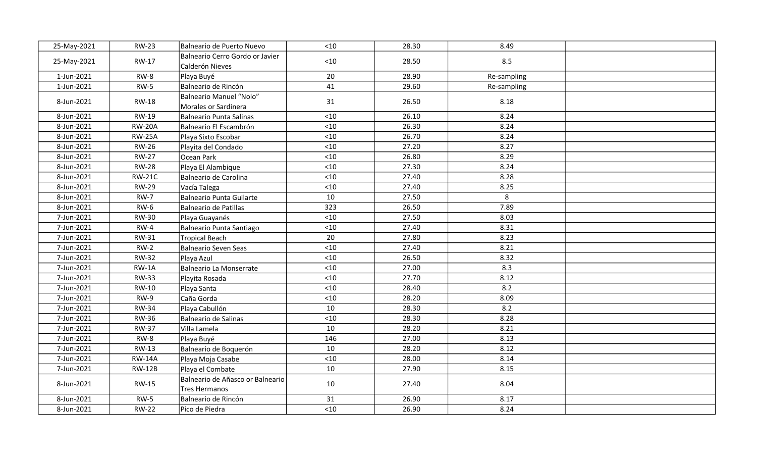| 25-May-2021 | <b>RW-23</b>  | Balneario de Puerto Nuevo                          | < 10  | 28.30 | 8.49        |  |
|-------------|---------------|----------------------------------------------------|-------|-------|-------------|--|
| 25-May-2021 | <b>RW-17</b>  | Balneario Cerro Gordo or Javier<br>Calderón Nieves | $<10$ | 28.50 | 8.5         |  |
| 1-Jun-2021  | RW-8          | Playa Buyé                                         | 20    | 28.90 | Re-sampling |  |
| 1-Jun-2021  | $RW-5$        | Balneario de Rincón                                | 41    | 29.60 | Re-sampling |  |
| 8-Jun-2021  | <b>RW-18</b>  | Balneario Manuel "Nolo"<br>Morales or Sardinera    | 31    | 26.50 | 8.18        |  |
| 8-Jun-2021  | <b>RW-19</b>  | Balneario Punta Salinas                            | $<10$ | 26.10 | 8.24        |  |
| 8-Jun-2021  | <b>RW-20A</b> | Balneario El Escambrón                             | < 10  | 26.30 | 8.24        |  |
| 8-Jun-2021  | <b>RW-25A</b> | Playa Sixto Escobar                                | < 10  | 26.70 | 8.24        |  |
| 8-Jun-2021  | <b>RW-26</b>  | Playita del Condado                                | < 10  | 27.20 | 8.27        |  |
| 8-Jun-2021  | <b>RW-27</b>  | Ocean Park                                         | $<10$ | 26.80 | 8.29        |  |
| 8-Jun-2021  | <b>RW-28</b>  | Playa El Alambique                                 | $<10$ | 27.30 | 8.24        |  |
| 8-Jun-2021  | <b>RW-21C</b> | Balneario de Carolina                              | $<10$ | 27.40 | 8.28        |  |
| 8-Jun-2021  | <b>RW-29</b>  | Vacía Talega                                       | $<10$ | 27.40 | 8.25        |  |
| 8-Jun-2021  | <b>RW-7</b>   | Balneario Punta Guilarte                           | 10    | 27.50 | 8           |  |
| 8-Jun-2021  | $RW-6$        | Balneario de Patillas                              | 323   | 26.50 | 7.89        |  |
| 7-Jun-2021  | <b>RW-30</b>  | Playa Guayanés                                     | $<10$ | 27.50 | 8.03        |  |
| 7-Jun-2021  | $RW-4$        | Balneario Punta Santiago                           | $<10$ | 27.40 | 8.31        |  |
| 7-Jun-2021  | <b>RW-31</b>  | Tropical Beach                                     | 20    | 27.80 | 8.23        |  |
| 7-Jun-2021  | $RW-2$        | Balneario Seven Seas                               | $<10$ | 27.40 | 8.21        |  |
| 7-Jun-2021  | <b>RW-32</b>  | Playa Azul                                         | < 10  | 26.50 | 8.32        |  |
| 7-Jun-2021  | $RW-1A$       | Balneario La Monserrate                            | < 10  | 27.00 | 8.3         |  |
| 7-Jun-2021  | <b>RW-33</b>  | Playita Rosada                                     | $<10$ | 27.70 | 8.12        |  |
| 7-Jun-2021  | <b>RW-10</b>  | Playa Santa                                        | $<10$ | 28.40 | 8.2         |  |
| 7-Jun-2021  | $RW-9$        | Caña Gorda                                         | $<10$ | 28.20 | 8.09        |  |
| 7-Jun-2021  | <b>RW-34</b>  | Playa Cabullón                                     | 10    | 28.30 | 8.2         |  |
| 7-Jun-2021  | <b>RW-36</b>  | Balneario de Salinas                               | $<10$ | 28.30 | 8.28        |  |
| 7-Jun-2021  | <b>RW-37</b>  | Villa Lamela                                       | 10    | 28.20 | 8.21        |  |
| 7-Jun-2021  | RW-8          | Playa Buyé                                         | 146   | 27.00 | 8.13        |  |
| 7-Jun-2021  | <b>RW-13</b>  | Balneario de Boquerón                              | 10    | 28.20 | 8.12        |  |
| 7-Jun-2021  | <b>RW-14A</b> | Playa Moja Casabe                                  | $<10$ | 28.00 | 8.14        |  |
| 7-Jun-2021  | <b>RW-12B</b> | Playa el Combate                                   | 10    | 27.90 | 8.15        |  |
| 8-Jun-2021  | <b>RW-15</b>  | Balneario de Añasco or Balneario<br>Tres Hermanos  | 10    | 27.40 | 8.04        |  |
| 8-Jun-2021  | $RW-5$        | Balneario de Rincón                                | 31    | 26.90 | 8.17        |  |
| 8-Jun-2021  | <b>RW-22</b>  | Pico de Piedra                                     | < 10  | 26.90 | 8.24        |  |